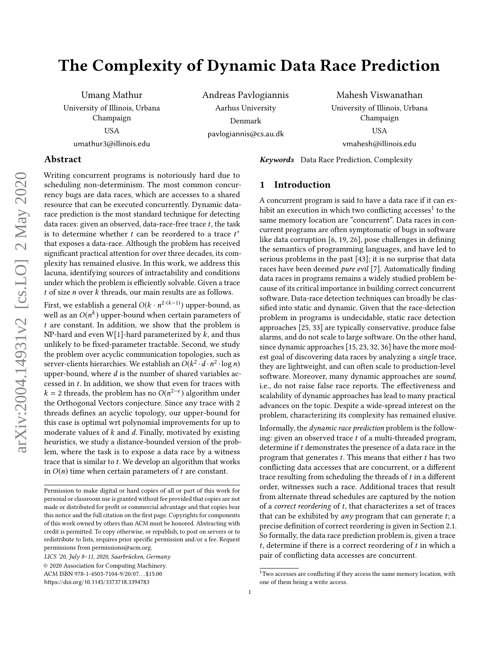# The Complexity of Dynamic Data Race Prediction

Umang Mathur University of Illinois, Urbana Champaign USA umathur3@illinois.edu

Andreas Pavlogiannis Aarhus University Denmark pavlogiannis@cs.au.dk

Mahesh Viswanathan University of Illinois, Urbana Champaign USA vmahesh@illinois.edu

## Abstract

Writing concurrent programs is notoriously hard due to scheduling non-determinism. The most common concurrency bugs are data races, which are accesses to a shared resource that can be executed concurrently. Dynamic datarace prediction is the most standard technique for detecting data races: given an observed, data-race-free trace  $t$ , the task is to determine whether t can be reordered to a trace  $t^*$ <br>that exposes a data-race. Although the problem has received that exposes a data-race. Although the problem has received significant practical attention for over three decades, its complexity has remained elusive. In this work, we address this lacuna, identifying sources of intractability and conditions under which the problem is efficiently solvable. Given a trace  $t$  of size  $n$  over  $k$  threads, our main results are as follows.

First, we establish a general  $O(k \cdot n^{2 \cdot (k-1)})$  upper-bound, as<br>well as an  $O(n^k)$  upper-bound when certain parameters of well as an  $O(n^k)$  upper-bound when certain parameters of t are constant. In addition, we show that the problem is t are constant. In addition, we show that the problem is NP-hard and even W[1]-hard parameterized by  $k$ , and thus unlikely to be fixed-parameter tractable. Second, we study the problem over acyclic communication topologies, such as server-clients hierarchies. We establish an  $O(k^2 \cdot d \cdot n^2 \cdot \log n)$ <br>upper-bound, where d is the number of shared variables acupper-bound, where  $d$  is the number of shared variables accessed in t. In addition, we show that even for traces with  $k = 2$  threads, the problem has no  $O(n^{2-\epsilon})$  algorithm under<br>the Orthogonal Vectors conjecture. Since any trace with 2 the Orthogonal Vectors conjecture. Since any trace with 2 threads defines an acyclic topology, our upper-bound for this case is optimal wrt polynomial improvements for up to moderate values of  $k$  and  $d$ . Finally, motivated by existing heuristics, we study a distance-bounded version of the problem, where the task is to expose a data race by a witness trace that is similar to t. We develop an algorithm that works in  $O(n)$  time when certain parameters of t are constant.

© 2020 Association for Computing Machinery. ACM ISBN 978-1-4503-7104-9/20/07... \$15.00

## 1 Introduction

Keywords Data Race Prediction, Complexity

A concurrent program is said to have a data race if it can exhibit an execution in which two conflicting accesses $^1$  $^1$  to the same memory location are "concurrent". Data races in concurrent programs are often symptomatic of bugs in software like data corruption [\[6,](#page-13-0) [19,](#page-13-1) [26\]](#page-13-2), pose challenges in defining the semantics of programming languages, and have led to serious problems in the past [\[43\]](#page-14-0); it is no surprise that data races have been deemed pure evil [\[7\]](#page-13-3). Automatically finding data races in programs remains a widely studied problem because of its critical importance in building correct concurrent software. Data-race detection techniques can broadly be classified into static and dynamic. Given that the race-detection problem in programs is undecidable, static race detection approaches [\[25,](#page-13-4) [33\]](#page-14-1) are typically conservative, produce false alarms, and do not scale to large software. On the other hand, since dynamic approaches [\[15,](#page-13-5) [23,](#page-13-6) [32,](#page-14-2) [36\]](#page-14-3) have the more modest goal of discovering data races by analyzing a single trace, they are lightweight, and can often scale to production-level software. Moreover, many dynamic approaches are sound, i.e., do not raise false race reports. The effectiveness and scalability of dynamic approaches has lead to many practical advances on the topic. Despite a wide-spread interest on the problem, characterizing its complexity has remained elusive.

Informally, the dynamic race prediction problem is the following: given an observed trace t of a multi-threaded program, determine if t demonstrates the presence of a data race in the program that generates  $t$ . This means that either  $t$  has two conflicting data accesses that are concurrent, or a different trace resulting from scheduling the threads of  $t$  in a different order, witnesses such a race. Additional traces that result from alternate thread schedules are captured by the notion of a *correct reordering* of  $t$ , that characterizes a set of traces that can be exhibited by  $any$  program that can generate  $t$ ; a precise definition of correct reordering is given in Section [2.1.](#page-2-0) So formally, the data race prediction problem is, given a trace t, determine if there is a correct reordering of  $t$  in which a pair of conflicting data accesses are concurrent.

Permission to make digital or hard copies of all or part of this work for personal or classroom use is granted without fee provided that copies are not made or distributed for profit or commercial advantage and that copies bear this notice and the full citation on the first page. Copyrights for components of this work owned by others than ACM must be honored. Abstracting with credit is permitted. To copy otherwise, or republish, to post on servers or to redistribute to lists, requires prior specific permission and/or a fee. Request permissions from permissions@acm.org.

LICS '20, July 8–11, 2020, Saarbrücken, Germany

<https://doi.org/10.1145/3373718.3394783>

<span id="page-0-0"></span><sup>&</sup>lt;sup>1</sup>Two accesses are conflicting if they access the same memory location, with one of them being a write access.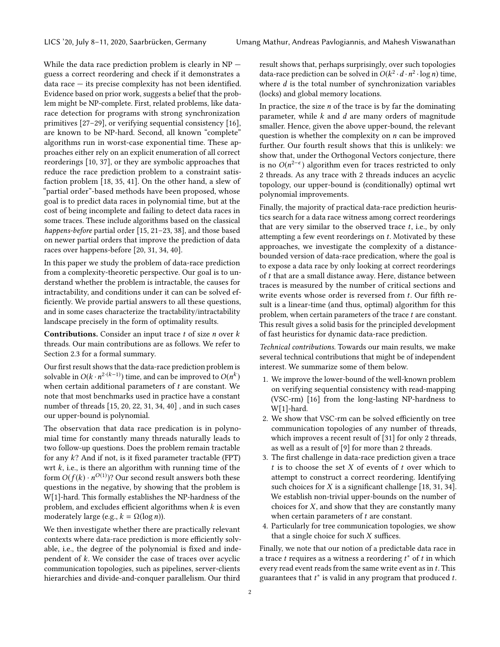While the data race prediction problem is clearly in  $NP$  – guess a correct reordering and check if it demonstrates a data race — its precise complexity has not been identified. Evidence based on prior work, suggests a belief that the problem might be NP-complete. First, related problems, like datarace detection for programs with strong synchronization primitives [\[27–](#page-14-4)[29\]](#page-14-5), or verifying sequential consistency [\[16\]](#page-13-7), are known to be NP-hard. Second, all known "complete" algorithms run in worst-case exponential time. These approaches either rely on an explicit enumeration of all correct reorderings [\[10,](#page-13-8) [37\]](#page-14-6), or they are symbolic approaches that reduce the race prediction problem to a constraint satisfaction problem [\[18,](#page-13-9) [35,](#page-14-7) [41\]](#page-14-8). On the other hand, a slew of "partial order"-based methods have been proposed, whose goal is to predict data races in polynomial time, but at the cost of being incomplete and failing to detect data races in some traces. These include algorithms based on the classical happens-before partial order [\[15,](#page-13-5) [21](#page-13-10)[–23,](#page-13-6) [38\]](#page-14-9), and those based on newer partial orders that improve the prediction of data races over happens-before [\[20,](#page-13-11) [31,](#page-14-10) [34,](#page-14-11) [40\]](#page-14-12).

In this paper we study the problem of data-race prediction from a complexity-theoretic perspective. Our goal is to understand whether the problem is intractable, the causes for intractability, and conditions under it can can be solved efficiently. We provide partial answers to all these questions, and in some cases characterize the tractability/intractability landscape precisely in the form of optimality results.

**Contributions.** Consider an input trace  $t$  of size  $n$  over  $k$ threads. Our main contributions are as follows. We refer to Section [2.3](#page-4-0) for a formal summary.

Our first result shows that the data-race prediction problem is solvable in  $O(k \cdot n^{2 \cdot (k-1)})$  time, and can be improved to  $O(n^k)$ <br>when certain additional parameters of t are constant. We when certain additional parameters of  $t$  are constant. We note that most benchmarks used in practice have a constant number of threads [\[15,](#page-13-5) [20,](#page-13-11) [22,](#page-13-12) [31,](#page-14-10) [34,](#page-14-11) [40\]](#page-14-12) , and in such cases our upper-bound is polynomial.

The observation that data race predication is in polynomial time for constantly many threads naturally leads to two follow-up questions. Does the problem remain tractable for any k? And if not, is it fixed parameter tractable (FPT) wrt  $k$ , i.e., is there an algorithm with running time of the form  $O(f(k) \cdot n^{O(1)})$ ? Our second result answers both these questions in the negative, by showing that the problem is W[1]-hard. This formally establishes the NP-hardness of the problem, and excludes efficient algorithms when  $k$  is even moderately large (e.g.,  $k = \Omega(\log n)$ ).

We then investigate whether there are practically relevant contexts where data-race prediction is more efficiently solvable, i.e., the degree of the polynomial is fixed and independent of k. We consider the case of traces over acyclic communication topologies, such as pipelines, server-clients hierarchies and divide-and-conquer parallelism. Our third

result shows that, perhaps surprisingly, over such topologies data-race prediction can be solved in  $O(k^2 \cdot d \cdot n^2 \cdot \log n)$  time,<br>where d is the total number of synchronization variables where  $d$  is the total number of synchronization variables (locks) and global memory locations.

In practice, the size  $n$  of the trace is by far the dominating parameter, while  $k$  and  $d$  are many orders of magnitude smaller. Hence, given the above upper-bound, the relevant question is whether the complexity on  $n$  can be improved further. Our fourth result shows that this is unlikely: we show that, under the Orthogonal Vectors conjecture, there is no  $O(n^{2-\epsilon})$  algorithm even for traces restricted to only<br>2 threads. As any trace with 2 threads induces an acyclic 2 threads. As any trace with 2 threads induces an acyclic topology, our upper-bound is (conditionally) optimal wrt polynomial improvements.

Finally, the majority of practical data-race prediction heuristics search for a data race witness among correct reorderings that are very similar to the observed trace  $t$ , i.e., by only attempting a few event reorderings on t. Motivated by these approaches, we investigate the complexity of a distancebounded version of data-race predication, where the goal is to expose a data race by only looking at correct reorderings of t that are a small distance away. Here, distance between traces is measured by the number of critical sections and write events whose order is reversed from t. Our fifth result is a linear-time (and thus, optimal) algorithm for this problem, when certain parameters of the trace t are constant. This result gives a solid basis for the principled development of fast heuristics for dynamic data-race prediction.

Technical contributions. Towards our main results, we make several technical contributions that might be of independent interest. We summarize some of them below.

- 1. We improve the lower-bound of the well-known problem on verifying sequential consistency with read-mapping (VSC-rm) [\[16\]](#page-13-7) from the long-lasting NP-hardness to W[1]-hard.
- 2. We show that VSC-rm can be solved efficiently on tree communication topologies of any number of threads, which improves a recent result of [\[31\]](#page-14-10) for only 2 threads, as well as a result of [\[9\]](#page-13-13) for more than 2 threads.
- 3. The first challenge in data-race prediction given a trace  $t$  is to choose the set  $X$  of events of  $t$  over which to attempt to construct a correct reordering. Identifying such choices for  $X$  is a significant challenge [\[18,](#page-13-9) [31,](#page-14-10) [34\]](#page-14-11). We establish non-trivial upper-bounds on the number of choices for X, and show that they are constantly many when certain parameters of  $t$  are constant.
- 4. Particularly for tree communication topologies, we show that a single choice for such  $X$  suffices.

Finally, we note that our notion of a predictable data race in a trace t requires as a witness a reordering  $t^*$  of t in which event read event reads from the same write event as in t. This every read event reads from the same write event as in t. This guarantees that  $t^*$  is valid in any program that produced  $t$ .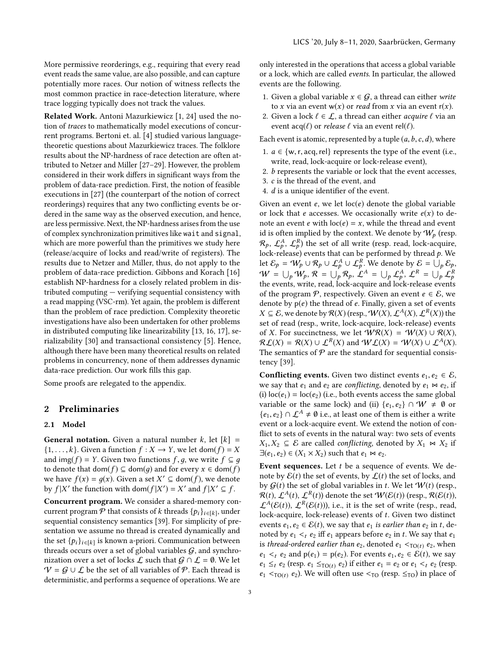More permissive reorderings, e.g., requiring that every read event reads the same value, are also possible, and can capture potentially more races. Our notion of witness reflects the most common practice in race-detection literature, where trace logging typically does not track the values.

Related Work. Antoni Mazurkiewicz [\[1,](#page-13-14) [24\]](#page-13-15) used the notion of traces to mathematically model executions of concurrent programs. Bertoni et. al. [\[4\]](#page-13-16) studied various languagetheoretic questions about Mazurkiewicz traces. The folklore results about the NP-hardness of race detection are often attributed to Netzer and Miller [\[27–](#page-14-4)[29\]](#page-14-5). However, the problem considered in their work differs in significant ways from the problem of data-race prediction. First, the notion of feasible executions in [\[27\]](#page-14-4) (the counterpart of the notion of correct reorderings) requires that any two conflicting events be ordered in the same way as the observed execution, and hence, are less permissive. Next, the NP-hardness arises from the use of complex synchronization primitives like wait and signal, which are more powerful than the primitives we study here (release/acquire of locks and read/write of registers). The results due to Netzer and Miller, thus, do not apply to the problem of data-race prediction. Gibbons and Korach [\[16\]](#page-13-7) establish NP-hardness for a closely related problem in distributed computing — verifying sequential consistency with a read mapping (VSC-rm). Yet again, the problem is different than the problem of race prediction. Complexity theoretic investigations have also been undertaken for other problems in distributed computing like linearizability [\[13,](#page-13-17) [16,](#page-13-7) [17\]](#page-13-18), serializability [\[30\]](#page-14-13) and transactional consistency [\[5\]](#page-13-19). Hence, although there have been many theoretical results on related problems in concurrency, none of them addresses dynamic data-race prediction. Our work fills this gap.

Some proofs are relegated to the appendix.

## <span id="page-2-1"></span>2 Preliminaries

#### <span id="page-2-0"></span>2.1 Model

**General notation.** Given a natural number k, let  $[k]$  =  $\{1, \ldots, k\}$ . Given a function  $f : X \rightarrow Y$ , we let dom $(f) = X$ and img(f) = Y. Given two functions f, q, we write  $f \subseteq q$ to denote that dom(f)  $\subseteq$  dom(q) and for every  $x \in$  dom(f) we have  $f(x) = g(x)$ . Given a set  $X' \subseteq \text{dom}(f)$ , we denote by  $f|X'$  the function with dom( $f|X') = X'$  and  $f|X' \subseteq f$ by  $f | X'$  the function with dom $(f | X') = X'$  and  $f | X' \subseteq f$ .

Concurrent program. We consider a shared-memory concurrent program  $P$  that consists of k threads  $\{p_i\}_{i \in [k]}$ , under<br>sequential consistency semantics [39]. For simplicity of presequential consistency semantics [\[39\]](#page-14-14). For simplicity of presentation we assume no thread is created dynamically and the set  $\{p_i\}_{i \in [k]}$  is known a-priori. Communication between<br>threads occurs over a set of global variables  $G$  and synchrothreads occurs over a set of global variables  $G$ , and synchronization over a set of locks  $\mathcal L$  such that  $\mathcal G \cap \mathcal L = \emptyset$ . We let  $V = G \cup L$  be the set of all variables of  $P$ . Each thread is deterministic, and performs a sequence of operations. We are

only interested in the operations that access a global variable or a lock, which are called events. In particular, the allowed events are the following.

- 1. Given a global variable  $x \in G$ , a thread can either write to x via an event  $w(x)$  or *read* from x via an event  $r(x)$ .
- 2. Given a lock  $\ell \in \mathcal{L}$ , a thread can either *acquire*  $\ell$  via an event  $acq(\ell)$  or *release*  $\ell$  via an event rel( $\ell$ ).

Each event is atomic, represented by a tuple  $(a, b, c, d)$ , where

- 1.  $a \in \{w, r, \text{acq}, \text{rel}\}\$  represents the type of the event (i.e., write, read, lock-acquire or lock-release event),
- 2. b represents the variable or lock that the event accesses,
- 3. c is the thread of the event, and
- 4. d is a unique identifier of the event.

Given an event  $e$ , we let  $loc(e)$  denote the global variable or lock that *e* accesses. We occasionally write  $e(x)$  to denote an event *e* with  $loc(e) = x$ , while the thread and event id is often implied by the context. We denote by  $W_p$  (resp.  $\mathcal{R}_p, \mathcal{L}_p^A, \mathcal{L}_p^R$ ) the set of all write (resp. read, lock-acquire, lock-release) events that can be performed by thread p. We<br>let  $\mathcal{E}_n = \mathcal{W} \cup \mathcal{R} \cup \mathcal{L}^A \cup \mathcal{L}^R$ . We denote by  $\mathcal{E}_n = \cup \mathcal{L}$ . let  $\mathcal{E}_p = W_p \cup \mathcal{R}_p \cup \mathcal{L}_p^A \cup \mathcal{L}_p^R$ . We denote by  $\mathcal{E} = \bigcup_p \mathcal{E}_p$ ,  $W = \bigcup_p \mathcal{W}_p, \mathcal{R} = \bigcup_p \mathcal{R}_p, \mathcal{L}^A = \bigcup_p \mathcal{L}^A_p, \mathcal{L}^R = \bigcup_p \mathcal{L}^R_p$ <br>the quanta write, road look against and look release quanta the events, write, read, lock-acquire and lock-release events of the program  $P$ , respectively. Given an event  $e \in \mathcal{E}$ , we denote by  $p(e)$  the thread of e. Finally, given a set of events  $X \subseteq \mathcal{E}$ , we denote by  $\mathcal{R}(X)$  (resp.,  $\mathcal{W}(X), \mathcal{L}^{A}(X), \mathcal{L}^{R}(X)$ ) the<br>set of read (resp., write, lock-acquire, lock-release) events set of read (resp., write, lock-acquire, lock-release) events of X. For succinctness, we let  $\mathcal{W}\mathcal{R}(X) = \mathcal{W}(X) \cup \mathcal{R}(X)$ ,  $\mathcal{R} \mathcal{L}(X) = \mathcal{R}(X) \cup \mathcal{L}^R(X)$  and  $\mathcal{W} \mathcal{L}(X) = \mathcal{W}(X) \cup \mathcal{L}^A(X)$ .<br>The semantics of  $\mathcal P$  are the standard for sequential consis-The semantics of  $P$  are the standard for sequential consistency [\[39\]](#page-14-14).

**Conflicting events.** Given two distinct events  $e_1, e_2 \in \mathcal{E}$ , we say that  $e_1$  and  $e_2$  are conflicting, denoted by  $e_1 \bowtie e_2$ , if (i)  $loc(e_1) = loc(e_2)$  (i.e., both events access the same global variable or the same lock) and (ii)  $\{e_1, e_2\} \cap W \neq \emptyset$  or { $e_1, e_2$ } ∩  $\mathcal{L}^A \neq \emptyset$  i.e., at least one of them is either a write event or a lock-acquire event. We extend the notion of conflict to sets of events in the natural way: two sets of events  $X_1, X_2 \subseteq \mathcal{E}$  are called *conflicting*, denoted by  $X_1 \bowtie X_2$  if  $\exists (e_1, e_2) \in (X_1 \times X_2)$  such that  $e_1 \bowtie e_2$ .

Event sequences. Let  $t$  be a sequence of events. We denote by  $\mathcal{E}(t)$  the set of events, by  $\mathcal{L}(t)$  the set of locks, and by  $G(t)$  the set of global variables in t. We let  $W(t)$  (resp.,  $\mathcal{R}(t)$ ,  $\mathcal{L}^{A}(t)$ ,  $\mathcal{L}^{R}(t)$ ) denote the set  $W(\mathcal{E}(t))$  (resp.,  $\mathcal{R}(\mathcal{E}(t))$ ),  $\mathcal{L}^{A}(\mathcal{E}(t))$ ,  $\mathcal{L}^{R}(\mathcal{E}(t))$ ) i.e., it is the set of write (resp., read.  $\mathcal{L}^{A}(\mathcal{E}(t)), \mathcal{L}^{R}(\mathcal{E}(t)))$ , i.e., it is the set of write (resp., read, lock-acquire, lock-release) events of t. Given two distinct lock-acquire, lock-release) events of t. Given two distinct events  $e_1, e_2 \in \mathcal{E}(t)$ , we say that  $e_1$  is earlier than  $e_2$  in t, denoted by  $e_1 <_t e_2$  iff  $e_1$  appears before  $e_2$  in t. We say that  $e_1$ is thread-ordered earlier than  $e_2$ , denoted  $e_1 <_{TO(t)} e_2$ , when  $e_1 \lt_{t} e_2$  and  $p(e_1) = p(e_2)$ . For events  $e_1, e_2 \in \mathcal{E}(t)$ , we say  $e_1 \leq_t e_2$  (resp.  $e_1 \leq_{\text{TO}(t)} e_2$ ) if either  $e_1 = e_2$  or  $e_1 \leq_t e_2$  (resp.  $e_1$  <<sub>TO(t)</sub>  $e_2$ ). We will often use <<sub>TO</sub> (resp.  $\leq_{TO}$ ) in place of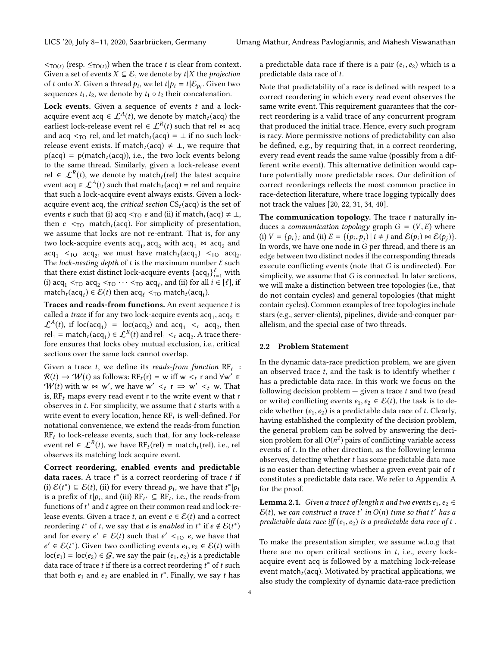$\langle \tau_{\text{O}(t)} \rangle$  (resp.  $\langle \tau_{\text{O}(t)} \rangle$ ) when the trace t is clear from context.<br>Given a set of events  $X \subseteq \mathcal{E}$ , we denote by t|X the projection Given a set of events  $X \subseteq \mathcal{E}$ , we denote by  $t|X$  the *projection* of t onto X. Given a thread  $p_i$ , we let  $t|p_i = t | \mathcal{E}_{p_i}$ . Given two sequences to the we denote by to a to their concatenation sequences  $t_1, t_2$ , we denote by  $t_1 \circ t_2$  their concatenation.

Lock events. Given a sequence of events  $t$  and a lockacquire event acq  $\in \mathcal{L}^{A}(t)$ , we denote by match<sub>t</sub> (acq) the earliest lock-release event rel  $\in \mathcal{L}^R(t)$  such that rel  $\bowtie$  acq and acq  $\leq_{\text{TO}}$  rel, and let match<sub>t</sub> (acq) =  $\perp$  if no such lockrelease event exists. If match<sub>t</sub> (acq)  $\neq \perp$ , we require that  $p(acq) = p(match_t(acq))$ , i.e., the two lock events belong to the same thread. Similarly, given a lock-release event rel ∈  $\mathcal{L}^R(t)$ , we denote by match<sub>t</sub>(rel) the latest acquire<br>event acq ∈  $\int_{0}^{A}(t)$  such that match (acq) – rel and require event acq  $\in \mathcal{L}^A(t)$  such that match<sub>t</sub>(acq) = rel and require that such a lock-acquire event always exists. Given a lockacquire event acq, the *critical section*  $CS_t(\text{acq})$  is the set of events *e* such that (i) acq <<sub>TO</sub> *e* and (ii) if match<sub>t</sub>(acq)  $\neq \perp$ , then  $e <sub>TO</sub>$  match<sub>t</sub> (acq). For simplicity of presentation, we assume that locks are not re-entrant. That is, for any two lock-acquire events  $acq_1, acq_2$  with  $acq_1 \bowtie acq_2$  and  $acq_2$  are  $acq_2$  with  $acq_1 \bowtie acq_2$  and  $\text{acq}_1 \leq_{\text{TO}} \text{acq}_2$ , we must have match<sub>t</sub>( $\text{acq}_1$ )  $\leq_{\text{TO}} \text{acq}_2$ .<br>The lock-nesting denth of t is the maximum number f such The lock-nesting depth of t is the maximum number  $\ell$  such that there exist distinct lock-acquire events  $\{acq_i\}_{i=1}^{\ell}$  with<br>(i) acq.  $\leq$  ro acq.  $\leq$  ro  $\cdots \leq$  ro acq. and (ii) for all  $i \in [\ell]$  if (i)  $acq_1 <_{TO} acq_2 <_{TO} \cdots <_{TO} acq_\ell$ , and (ii) for all  $i \in [\ell]$ , if<br>match (acq.)  $\in \mathcal{E}(t)$  then acq.  $\leq$  match (acq.) match $_t(\text{acq}_i) \in \mathcal{E}(t)$  then  $\text{acq}_\ell <_{\text{TO}} \text{match}_t(\text{acq}_i)$ .

Traces and reads-from functions. An event sequence  $t$  is called a *trace* if for any two lock-acquire events  $\text{acq}_1, \text{acq}_2 \in$ <br> $\mathcal{L}^A(t)$  if  $\text{loc}(360, t) = \text{loc}(360, t)$  and  $360, \leq t$  acquire  $\mathcal{L}^{A}(t)$ , if  $\text{loc}(a\text{c}q_1) = \text{loc}(a\text{c}q_2)$  and  $\text{ac}q_1 \leq t$  acq<sub>2</sub>, then  $\text{rel}_{\mathcal{L}} = \text{match}(a\text{c}q_1) \in \mathcal{L}^{R}(t)$  and  $\text{rel}_{\mathcal{L}} \leq \text{real}_{\mathcal{L}}$ . A trace there rel<sub>1</sub> = match<sub>t</sub>(acq<sub>1</sub>)  $\in \mathcal{L}^R(t)$  and rel<sub>1</sub>  $\lt_t$  acq<sub>2</sub>. A trace there-<br>fore ensures that locks obey mutual exclusion i.e. critical fore ensures that locks obey mutual exclusion, i.e., critical sections over the same lock cannot overlap.

Given a trace t, we define its reads-from function RF<sub>t</sub>:<br> $\mathcal{R}(t) \rightarrow \mathcal{W}(t)$  as follows: RF  $(t) = w$  iff  $w < t$  and  $\forall w' \in$  $\mathcal{R}(t) \to \mathcal{W}(t)$  as follows:  $\mathrm{RF}_{t}(r) = w$  iff  $w <_{t} r$  and  $\forall w' \in \mathcal{W}(t)$  with  $w \sim w'$ , we have  $w' \leq r \Rightarrow w' \leq w$ . That  $W(t)$  with  $w \bowtie w'$ , we have  $w' <_t r \implies w' <_t w$ . That is RE, mans every read event r to the write event w that r is,  $RF<sub>t</sub>$  maps every read event r to the write event w that r observes in  $t$ . For simplicity, we assume that  $t$  starts with a write event to every location, hence  $RF_t$  is well-defined. For notational convenience, we extend the reade from function notational convenience, we extend the reads-from function  $RF<sub>t</sub>$  to lock-release events, such that, for any lock-release event rel  $\in \mathcal{L}^R(t)$ , we have  $RF_t(\text{rel}) = \text{match}_t(\text{rel})$ , i.e., rel observes its matching lock acquire event.

Correct reordering, enabled events and predictable **data races.** A trace  $t^*$  is a correct reordering of trace t if (i)  $\mathcal{E}(t^*) \subset \mathcal{E}(t)$  (ii) for every thread  $v$ , we have that  $t^*|v$ . (i)  $\mathcal{E}(t^*) \subseteq \mathcal{E}(t)$ , (ii) for every thread  $p_i$ , we have that  $t^*|p_i$ <br>is a prefix of the and (iii) RE.  $\subset$  RE, i.e. the reads-from is a prefix of  $t|p_i$ , and (iii)  $RF_{t^*} \subseteq RF_t$ , i.e., the reads-from<br>functions of  $t^*$  and  $t$  agree on their common read and lock-refunctions of  $t^*$  and  $t$  agree on their common read and lock-re-<br>lease events. Given a trace  $t$ , an event  $e \in \mathcal{E}(t)$  and a correct lease events. Given a trace t, an event  $e \in \mathcal{E}(t)$  and a correct reordering  $t^*$  of t, we say that e is enabled in  $t^*$  if  $e \notin \mathcal{E}(t^*)$ <br>and for every  $e' \in \mathcal{E}(t)$  such that  $e' < \infty$  e we have that and for every  $e' \in \mathcal{E}(t)$  such that  $e' <_{\text{TO }} e$ , we have that  $e' \in \mathcal{E}(t^*)$ . Given two conflicting events  $e_1, e_2 \in \mathcal{E}(t)$  with  $\log(e_1) = \log(e_2) \in \mathcal{G}$ , we say the pair  $(e_1, e_2)$  is a predictable<br>data race of trace *t* if there is a correct reordering *t*<sup>\*</sup> of *t* such  $\mathcal{E} \in \mathcal{E}(t^*)$ . Given two conflicting events  $e_1, e_2 \in \mathcal{E}(t)$  with  $\mathcal{E}(e_2) = \mathcal{E}(e_1) \in \mathcal{E}(e_2)$  we say the pair  $(e_1, e_2)$  is a predictable data race of trace t if there is a correct reordering  $t^*$  of t such that both  $e_t$  and  $e_2$  are enabled in  $t^*$ . Finally, we say t has that both  $e_1$  and  $e_2$  are enabled in  $t^*$ . Finally, we say t has

a predictable data race if there is a pair  $(e_1, e_2)$  which is a predictable data race of t.

Note that predictability of a race is defined with respect to a correct reordering in which every read event observes the same write event. This requirement guarantees that the correct reordering is a valid trace of any concurrent program that produced the initial trace. Hence, every such program is racy. More permissive notions of predictability can also be defined, e.g., by requiring that, in a correct reordering, every read event reads the same value (possibly from a different write event). This alternative definition would capture potentially more predictable races. Our definition of correct reorderings reflects the most common practice in race-detection literature, where trace logging typically does not track the values [\[20,](#page-13-11) [22,](#page-13-12) [31,](#page-14-10) [34,](#page-14-11) [40\]](#page-14-12).

The communication topology. The trace  $t$  naturally induces a *communication topology* graph  $G = (V, E)$  where (i)  $V = \{p_i\}_i$  and (ii)  $E = \{(\dot{p}_i, \dot{p}_j) | i \neq j \text{ and } \mathcal{E}(p_i) \bowtie \mathcal{E}(p_j)\}.$ <br>In words, we have one node in G per thread, and there is an In words, we have one node in  $G$  per thread, and there is an edge between two distinct nodes if the corresponding threads execute conflicting events (note that G is undirected). For simplicity, we assume that  $G$  is connected. In later sections, we will make a distinction between tree topologies (i.e., that do not contain cycles) and general topologies (that might contain cycles). Common examples of tree topologies include stars (e.g., server-clients), pipelines, divide-and-conquer parallelism, and the special case of two threads.

#### 2.2 Problem Statement

In the dynamic data-race prediction problem, we are given an observed trace  $t$ , and the task is to identify whether  $t$ has a predictable data race. In this work we focus on the following decision problem  $-$  given a trace  $t$  and two (read or write) conflicting events  $e_1, e_2 \in \mathcal{E}(t)$ , the task is to decide whether  $(e_1, e_2)$  is a predictable data race of t. Clearly, having established the complexity of the decision problem, the general problem can be solved by answering the decision problem for all  $O(n^2)$  pairs of conflicting variable access<br>events of t. In the other direction, as the following lemma events of t. In the other direction, as the following lemma observes, detecting whether t has some predictable data race is no easier than detecting whether a given event pair of t constitutes a predictable data race. We refer to Appendix [A](#page-15-0) for the proof.

<span id="page-3-0"></span>**Lemma 2.1.** Given a trace t of length n and two events  $e_1, e_2 \in$  $\mathcal{E}(t)$ , we can construct a trace  $t'$  in  $O(n)$  time so that  $t'$  has a predictable data race of t predictable data race iff  $(e_1, e_2)$  is a predictable data race of t.

To make the presentation simpler, we assume w.l.o.g that there are no open critical sections in  $t$ , i.e., every lockacquire event acq is followed by a matching lock-release event match $<sub>t</sub>(acq)$ . Motivated by practical applications, we</sub> also study the complexity of dynamic data-race prediction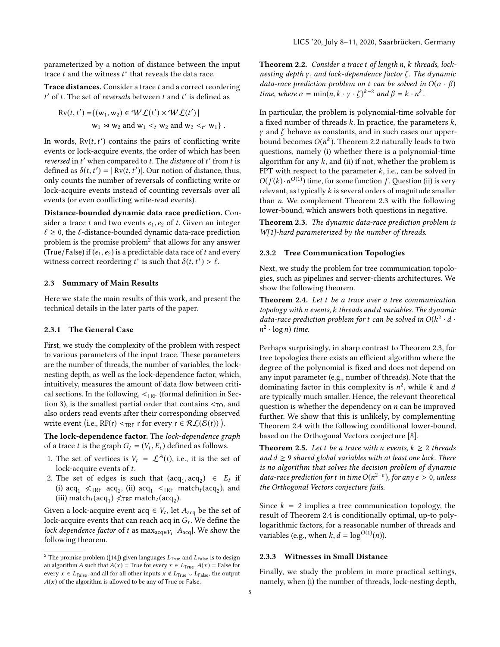parameterized by a notion of distance between the input trace  $t$  and the witness  $t^*$  that reveals the data race.

Trace distances. Consider a trace t and a correct reordering ' of t. The set of *reversals* between  $t$  and  $t'$  is defined as

$$
\text{Rv}(t, t') = \{ (w_1, w_2) \in \mathcal{WL}(t') \times \mathcal{WL}(t') \mid
$$
  
 
$$
w_1 \bowtie w_2 \text{ and } w_1 <_t w_2 \text{ and } w_2 <_{t'} w_1 \} .
$$

In words,  $Rv(t, t')$  contains the pairs of conflicting write<br>events or lock-acquire events, the order of which has been events or lock-acquire events, the order of which has been reversed in t' when compared to t. The distance of t' from t is<br>defined as  $\delta(t, t') = |Rv(t, t')|$ . Our notion of distance, thus defined as  $\delta(t, t') = |\nabla v(t, t')|$ . Our notion of distance, thus,<br>only counts the number of reversels of conflicting write or only counts the number of reversals of conflicting write or lock-acquire events instead of counting reversals over all events (or even conflicting write-read events).

Distance-bounded dynamic data race prediction. Consider a trace  $t$  and two events  $e_1, e_2$  of  $t$ . Given an integer  $\ell \geq 0$ , the  $\ell$ -distance-bounded dynamic data-race prediction problem is the promise problem $^2$  $^2$  that allows for any answer (True/False) if  $(e_1, e_2)$  is a predictable data race of t and every witness correct reordering  $t^*$  is such that  $\delta(t, t^*) > \ell$ .

#### <span id="page-4-0"></span>2.3 Summary of Main Results

Here we state the main results of this work, and present the technical details in the later parts of the paper.

#### 2.3.1 The General Case

First, we study the complexity of the problem with respect to various parameters of the input trace. These parameters are the number of threads, the number of variables, the locknesting depth, as well as the lock-dependence factor, which, intuitively, measures the amount of data flow between critical sections. In the following,  $\prec_{\text{TRF}}$  (formal definition in Sec-tion [3\)](#page-5-0), is the smallest partial order that contains  $<sub>TO</sub>$ , and</sub> also orders read events after their corresponding observed write event (i.e.,  $RF(r) <_{TRF} r$  for every  $r \in \mathcal{RL}(\mathcal{E}(t))$ ).

The lock-dependence factor. The lock-dependence graph of a trace t is the graph  $G_t = (V_t, E_t)$  defined as follows.

- 1. The set of vertices is  $V_t = \mathcal{L}^{A}(t)$ , i.e., it is the set of lock-acquire events of t.
- 2. The set of edges is such that  $(acq_1, acq_2) \in E_t$  if<br>(i) acq  $\angle$ rs acq. (ii) acq.  $\angle$ rs match (acq.) and (i)  $acq_1 \nless_{\text{TRF}} acq_2$ , (ii)  $acq_1 \nless_{\text{TRF}} match_t (acq_2)$ , and<br>(iii) match (acq.)  $\measuredangle_{\text{TRF}} match_t (acq_2)$ (iii) match<sub>t</sub> (acq<sub>1</sub>)  $\angle$ <sub>TRF</sub> match<sub>t</sub> (acq<sub>2</sub>).

Given a lock-acquire event acq  $\in V_t$ , let  $A_{\text{acq}}$  be the set of lock-acquire events that can reach acq in G. We define the lock-acquire events that can reach acq in  $G_t$ . We define the lock dependence factor of t as may  $\sim 14 \times 1$  We show the lock dependence factor of t as  $\max_{\text{acq} \in V_t} |A_{\text{acq}}|$ . We show the following theorem following theorem.

Theorem 2.2. Consider a trace t of length n, k threads, locknesting depth  $\gamma$ , and lock-dependence factor  $\zeta$ . The dynamic data-race prediction problem on t can be solved in  $O(\alpha \cdot \beta)$ time, where  $\alpha = \min(n, k \cdot \gamma \cdot \zeta)^{k-2}$  and  $\beta = k \cdot n^k$ .

<span id="page-4-3"></span>In particular, the problem is polynomial-time solvable for a fixed number of threads  $k$ . In practice, the parameters  $k$ ,  $\gamma$  and  $\zeta$  behave as constants, and in such cases our upperbound becomes  $O(n^k)$ . Theorem [2.2](#page-4-2) naturally leads to two questions, namely (i) whether there is a polynomial-time questions, namely (i) whether there is a polynomial-time algorithm for any  $k$ , and (ii) if not, whether the problem is FPT with respect to the parameter  $k$ , i.e., can be solved in  $O(f(k) \cdot n^{O(1)})$  time, for some function f. Question [\(ii\)](#page-4-3) is very<br>relevant as typically k is several orders of magnitude smaller relevant, as typically  $k$  is several orders of magnitude smaller than n. We complement Theorem [2.3](#page-4-4) with the following lower-bound, which answers both questions in negative.

<span id="page-4-4"></span>Theorem 2.3. The dynamic data-race prediction problem is W[1]-hard parameterized by the number of threads.

#### 2.3.2 Tree Communication Topologies

Next, we study the problem for tree communication topologies, such as pipelines and server-clients architectures. We show the following theorem.

<span id="page-4-5"></span>Theorem 2.4. Let t be a trace over a tree communication topology with n events, k threads and d variables. The dynamic data-race prediction problem for t can be solved in  $O(k^2 \cdot d \cdot n^2 \cdot \log n)$  time  $^2 \cdot \log n)$  time.

Perhaps surprisingly, in sharp contrast to Theorem [2.3,](#page-4-4) for tree topologies there exists an efficient algorithm where the degree of the polynomial is fixed and does not depend on any input parameter (e.g., number of threads). Note that the dominating factor in this complexity is  $n^2$ , while k and d<br>are typically much smaller. Hence, the relevant theoretical are typically much smaller. Hence, the relevant theoretical question is whether the dependency on  $n$  can be improved further. We show that this is unlikely, by complementing Theorem [2.4](#page-4-5) with the following conditional lower-bound, based on the Orthogonal Vectors conjecture [\[8\]](#page-13-21).

<span id="page-4-6"></span>**Theorem 2.5.** Let t be a trace with n events,  $k \ge 2$  threads and  $d \geq 9$  shared global variables with at least one lock. There is no algorithm that solves the decision problem of dynamic data-race prediction for t in time  $O(n^{2-\epsilon})$ , for any  $\epsilon > 0$ , unless<br>the Orthogonal Vectors conjecture fails the Orthogonal Vectors conjecture fails.

Since  $k = 2$  implies a tree communication topology, the result of Theorem [2.4](#page-4-5) is conditionally optimal, up-to polylogarithmic factors, for a reasonable number of threads and variables (e.g., when  $k, d = \log^{O(1)}(n)$ ).

## 2.3.3 Witnesses in Small Distance

Finally, we study the problem in more practical settings, namely, when (i) the number of threads, lock-nesting depth,

<span id="page-4-2"></span><span id="page-4-1"></span> $^2$  The promise problem ([\[14\]](#page-13-20)) given languages  $L_{\rm{True}}$  and  $L_{\rm{False}}$  is to design an algorithm A such that  $A(x)$  = True for every  $x \in L$ <sub>True</sub>,  $A(x)$  = False for every  $x \in L_{\text{False}}$ , and all for all other inputs  $x \notin L_{\text{True}} \cup L_{\text{False}}$ , the output  $A(x)$  of the algorithm is allowed to be any of True or False.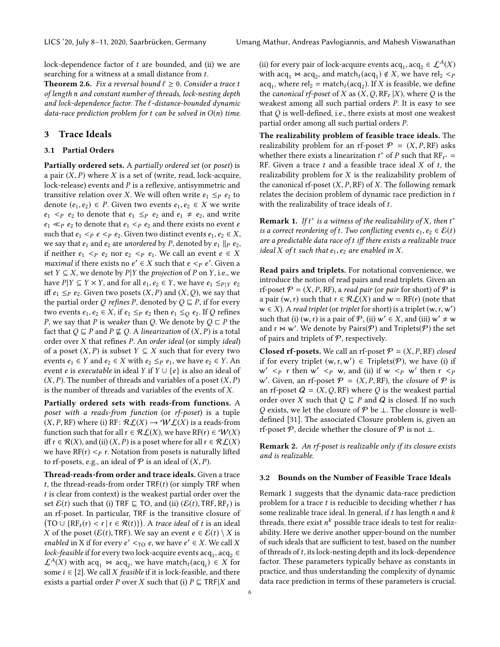lock-dependence factor of t are bounded, and (ii) we are searching for a witness at a small distance from t.

<span id="page-5-4"></span>**Theorem 2.6.** Fix a reversal bound  $\ell \geq 0$ . Consider a trace t of length n and constant number of threads, lock-nesting depth and lock-dependence factor. The ℓ-distance-bounded dynamic data-race prediction problem for t can be solved in  $O(n)$  time.

# <span id="page-5-0"></span>3 Trace Ideals

#### <span id="page-5-2"></span>3.1 Partial Orders

Partially ordered sets. A partially ordered set (or poset) is a pair  $(X, P)$  where X is a set of (write, read, lock-acquire, lock-release) events and P is a reflexive, antisymmetric and transitive relation over X. We will often write  $e_1 \leq_P e_2$  to denote  $(e_1, e_2)$  ∈ P. Given two events  $e_1, e_2$  ∈ X we write  $e_1$  <  $\leq$   $e_2$  to denote that  $e_1 \leq$   $e_2$  and  $e_1 \neq e_2$ , and write  $e_1 \ll_P e_2$  to denote that  $e_1 \lt_P e_2$  and there exists no event e such that  $e_1 <_P e <_P e_2$ . Given two distinct events  $e_1, e_2 \in X$ , we say that  $e_1$  and  $e_2$  are unordered by P, denoted by  $e_1 \parallel_P e_2$ , if neither  $e_1 \leq p \cdot e_2$  nor  $e_2 \leq p \cdot e_1$ . We call an event  $e \in X$ *maximal* if there exists no  $e' \in X$  such that  $e \leq_P e'$ . Given a set  $Y \subset X$  we denote by  $P|Y$  the projection of  $P$  on  $Y$  i.e. we set  $Y \subseteq X$ , we denote by  $P|Y$  the *projection* of P on Y, i.e., we have  $P | Y \subseteq Y \times Y$ , and for all  $e_1, e_2 \in Y$ , we have  $e_1 \leq_{P | Y} e_2$ iff  $e_1 \leq_P e_2$ . Given two posets  $(X, P)$  and  $(X, Q)$ , we say that the partial order Q refines P, denoted by  $Q \sqsubseteq P$ , if for every two events  $e_1, e_2 \in X$ , if  $e_1 \leq_P e_2$  then  $e_1 \leq_Q e_2$ . If Q refines P, we say that P is weaker than Q. We denote by  $Q \sqsubset P$  the fact that  $Q \sqsubseteq P$  and  $P \not\sqsubseteq Q$ . A linearization of  $(X, P)$  is a total order over X that refines P. An order ideal (or simply ideal) of a poset  $(X, P)$  is subset  $Y \subseteq X$  such that for every two events  $e_1 \in Y$  and  $e_2 \in X$  with  $e_2 \leq_P e_1$ , we have  $e_2 \in Y$ . An event *e* is *executable* in ideal *Y* if  $Y \cup \{e\}$  is also an ideal of  $(X, P)$ . The number of threads and variables of a poset  $(X, P)$ is the number of threads and variables of the events of X.

Partially ordered sets with reads-from functions. A poset with a reads-from function (or rf-poset) is a tuple  $(X, P, RF)$  where (i) RF:  $\mathcal{RL}(X) \to \mathcal{WL}(X)$  is a reads-from function such that for all  $r \in \mathcal{RL}(X)$ , we have  $RF(r) \in \mathcal{W}(X)$ iff  $r \in \mathcal{R}(X)$ , and (ii)  $(X, P)$  is a poset where for all  $r \in \mathcal{R}\mathcal{L}(X)$ we have  $RF(r) < p r$ . Notation from posets is naturally lifted to rf-posets, e.g., an ideal of  $P$  is an ideal of  $(X, P)$ .

Thread-reads-from order and trace ideals. Given a trace t, the thread-reads-from order  $TRF(t)$  (or simply TRF when t is clear from context) is the weakest partial order over the set  $\mathcal{E}(t)$  such that (i) TRF  $\subseteq$  TO, and (ii) ( $\mathcal{E}(t)$ , TRF, RF<sub>t</sub>) is an rf-poset. In particular, TRF is the transitive closure of  $(TO \cup \{RF_t(r) < r \mid r \in \mathcal{R}(t)\})$ . A trace ideal of t is an ideal  $Y$  of the poset  $(E(t) \cap \text{PE})$ . We say an event  $e \in E(t) \setminus Y$  is X of the poset ( $\mathcal{E}(t)$ , TRF). We say an event  $e \in \mathcal{E}(t) \setminus X$  is enabled in X if for every  $e' <sub>TO</sub> e$ , we have  $e' \in X$ . We call X<br>lock-feasible if for every two lock-acquire events acquired lock-feasible if for every two lock-acquire events  $acq_1$ ,  $acq_2 \in$ <br> $C^A(Y)$  with acq. M acq., we have match (acq.)  $\in X$  for  $\mathcal{L}^A(X)$  with  $\text{acq}_1 \bowtie \text{acq}_2$ , we have match  $\ell(\text{acq}_i) \in X$  for some  $i \in [2]$ . We call X feasible if it is lock-feasible, and there some  $i \in [2]$ . We call X *feasible* if it is lock-feasible, and there exists a partial order P over X such that (i)  $P \sqsubseteq TRF|X$  and

(ii) for every pair of lock-acquire events  $\text{acq}_1, \text{acq}_2 \in \mathcal{L}^A(X)$ <br>with acq. M acq., and match (acq.)  $\notin X$ , we have related with  $acq_1 \bowtie acq_2$ , and match $t (acq_1) \notin X$ , we have rel<sub>2</sub>  $\lt p$ <br>acq. where rel<sub>2</sub> = match (acq.) If X is feasible we define  $acq_1$ , where rel<sub>2</sub> = match<sub>t</sub> ( $acq_2$ ). If X is feasible, we define<br>the *canonical rf-poset* of X as (X Q BE, IX) where Q is the the canonical rf-poset of X as  $(X, Q, RF<sub>t</sub> | X)$ , where Q is the weakest among all such partial orders P. It is easy to see weakest among all such partial orders P. It is easy to see that Q is well-defined, i.e., there exists at most one weakest partial order among all such partial orders P.

The realizability problem of feasible trace ideals. The realizability problem for an rf-poset  $\mathcal{P} = (X, P, RF)$  asks whether there exists a linearization  $t^*$  of P such that  $RF_{t^*} = RF$ . Given a trace t and a feasible trace ideal X of t the RF. Given a trace  $t$  and a feasible trace ideal  $X$  of  $t$ , the realizability problem for  $X$  is the realizability problem of the canonical rf-poset  $(X, P, RF)$  of X. The following remark relates the decision problem of dynamic race prediction in t with the realizability of trace ideals of t.

<span id="page-5-1"></span>**Remark 1.** If  $t^*$  is a witness of the realizability of X, then  $t^*$  is a correct reordering of t. Two conflicting events  $e_1$ ,  $e_2 \in \mathcal{E}(t)$ is a correct reordering of t. Two conflicting events  $e_1, e_2 \in \mathcal{E}(t)$ are a predictable data race of t iff there exists a realizable trace ideal X of t such that  $e_1, e_2$  are enabled in X.

Read pairs and triplets. For notational convenience, we introduce the notion of read pairs and read triplets. Given an rf-poset  $P = (X, P, RF)$ , a read pair (or pair for short) of P is a pair (w, r) such that  $r \in \mathcal{RL}(X)$  and  $w = RF(r)$  (note that  $w \in X$ ). A read triplet (or triplet for short) is a triplet  $(w, r, w')$ <br>such that (i)  $(w, r)$  is a pair of  $P$  (ii)  $w' \in X$  and (iii)  $w' \neq w$ such that (i)  $(w, r)$  is a pair of  $P$ , (ii)  $w' \in X$ , and (iii)  $w' \neq w$ <br>and  $r \bowtie w'$ . We denote by Pairs( $P$ ) and Triplets( $P$ ) the set and  $r \Join w'$ . We denote by Pairs( $\mathcal{P}$ ) and Triplets( $\mathcal{P}$ ) the set of pairs and triplets of  $P$ , respectively.

**Closed rf-posets.** We call an rf-poset  $P = (X, P, RF)$  closed if for every triplet  $(w, r, w') \in$  Triplets(P), we have (i) if  $w \leq w'$  then  $r \leq w'$  $w' < p$  r then  $w' < p$  w, and (ii) if  $w < p$  w' then  $r < p$ <br>w' Given an reference  $\varphi = (X \circ p)$  RF) the closure of  $\varphi$  is w'. Given, an rf-poset  $P = (X, P, RF)$ , the *closure* of  $P$  is an rf-poset  $Q = (X, Q, RF)$  where  $Q$  is the weakest partial an rf-poset  $Q = (X, Q, RF)$  where Q is the weakest partial order over X such that  $Q \subseteq P$  and Q is closed. If no such Q exists, we let the closure of  $\mathcal P$  be  $\bot$ . The closure is welldefined [\[31\]](#page-14-10). The associated Closure problem is, given an rf-poset P, decide whether the closure of P is not  $\perp$ .

<span id="page-5-3"></span>Remark 2. An rf-poset is realizable only if its closure exists and is realizable.

#### 3.2 Bounds on the Number of Feasible Trace Ideals

Remark [1](#page-5-1) suggests that the dynamic data-race prediction problem for a trace  $t$  is reducible to deciding whether  $t$  has some realizable trace ideal. In general, if  $t$  has length  $n$  and  $k$ threads, there exist  $n^k$  possible trace ideals to test for realiz-<br>ability. Here we derive another unper-bound on the number ability. Here we derive another upper-bound on the number of such ideals that are sufficient to test, based on the number of threads of  $t$ , its lock-nesting depth and its lock-dependence factor. These parameters typically behave as constants in practice, and thus understanding the complexity of dynamic data race prediction in terms of these parameters is crucial.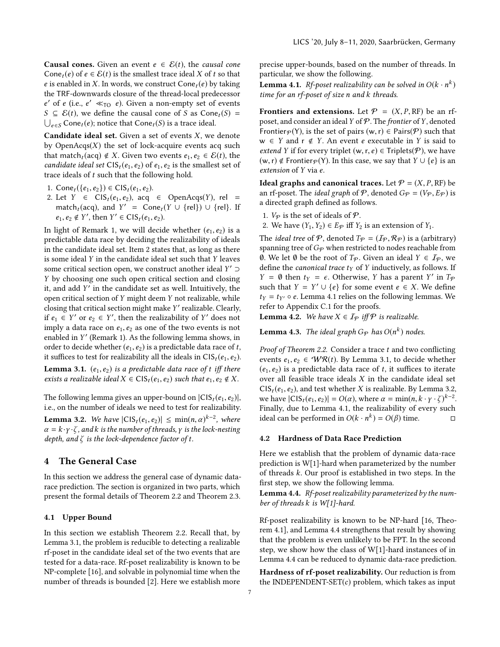**Causal cones.** Given an event  $e \in \mathcal{E}(t)$ , the causal cone Cone<sub>t</sub> $(e)$  of  $e \in \mathcal{E}(t)$  is the smallest trace ideal X of t so that e is enabled in X. In words, we construct  $Cone_t(e)$  by taking the TRF-downwards closure of the thread-local predecessor  $S \subseteq \mathcal{E}(t)$ , we define the causal cone of S as Cone<sub>t</sub>(S) =  $\bigcup_{e \in S} \text{Cone}_t(e)$ ; notice that Cone<sub>t</sub>(S) is a trace ideal.  $\prime$  of *e* (i.e., *e'*  $\ll_{TO}$  *e*). Given a non-empty set of events  $\subset$  *∈*(*t*) we define the causal cone of *S* as Cone (*S*) −  $\bigcup_{e \in S} \text{Cone}_t(e)$ ; notice that  $\text{Cone}_t(S)$  is a trace ideal.

**Candidate ideal set.** Given a set of events  $X$ , we denote by  $OpenAcqs(X)$  the set of lock-acquire events acq such that match<sub>t</sub> (acq)  $\notin X$ . Given two events  $e_1, e_2 \in \mathcal{E}(t)$ , the candidate ideal set  $CIS_t(e_1, e_2)$  of  $e_1, e_2$  is the smallest set of trace ideals of  $t$  such that the following hold.

- 1. Cone<sub>t</sub> ({ $e_1, e_2$ })  $\in \text{CIS}_t(e_1, e_2)$ .
- <span id="page-6-0"></span>2. Let  $Y \in \text{CIS}_t(e_1, e_2)$ , acq  $\in \text{OpenAcqs}(Y)$ , rel = match<sub>t</sub> (acq), and  $Y' = \text{Cone}_t(Y \cup \{\text{rel}\}) \cup \{\text{rel}\}.$  If  $e_1, e_2 \notin Y'$ , then  $Y' \in \text{CIS}_t(e_1, e_2)$ .

In light of Remark [1,](#page-5-1) we will decide whether  $(e_1, e_2)$  is a predictable data race by deciding the realizability of ideals in the candidate ideal set. Item [2](#page-6-0) states that, as long as there is some ideal Y in the candidate ideal set such that Y leaves some critical section open, we construct another ideal  $Y' \supset Y$  by choosing one such open critical section and closing <sup>Y</sup> by choosing one such open critical section and closing it, and add  $Y'$  in the candidate set as well. Intuitively, the onen critical section of  $Y$  might deem  $Y$  not realizable, while open critical section of Y might deem Y not realizable, while closing that critical section might make Y' realizable. Clearly,<br>if  $e_i \in Y'$  or  $e_i \in Y'$  then the realizability of Y' does not if  $e_1 \text{ } \in Y'$  or  $e_2 \in Y'$ , then the realizability of Y' does not<br>imply a data race on  $e_1$   $e_2$  as one of the two events is not imply a data race on  $e_1, e_2$  as one of the two events is not enabled in Y' (Remark [1\)](#page-5-1). As the following lemma shows, in order to decide whether  $(e, e_0)$  is a predictable data race of t order to decide whether  $(e_1, e_2)$  is a predictable data race of t, it suffices to test for realizability all the ideals in  $\text{CIS}_t(e_1, e_2)$ . **Lemma 3.1.**  $(e_1, e_2)$  is a predictable data race of t iff there exists a realizable ideal  $X \in \text{CIS}_t(e_1, e_2)$  such that  $e_1, e_2 \notin X$ .

<span id="page-6-3"></span><span id="page-6-1"></span>The following lemma gives an upper-bound on  $|CIS_t(e_1, e_2)|$ , i.e., on the number of ideals we need to test for realizability. **Lemma 3.2.** We have  $|C|S_t(e_1, e_2)| \le \min(n, \alpha)^{k-2}$ , where  $\alpha = k, \nu, \lambda$  and k is the number of threads  $\nu$  is the lock-nesting  $\alpha = k \cdot \gamma \cdot \zeta$ , and k is the number of threads,  $\gamma$  is the lock-nesting depth, and  $\zeta$  is the lock-dependence factor of t.

## <span id="page-6-5"></span>4 The General Case

In this section we address the general case of dynamic datarace prediction. The section is organized in two parts, which present the formal details of Theorem [2.2](#page-4-2) and Theorem [2.3.](#page-4-4)

## <span id="page-6-6"></span>4.1 Upper Bound

In this section we establish Theorem [2.2.](#page-4-2) Recall that, by Lemma [3.1,](#page-6-1) the problem is reducible to detecting a realizable rf-poset in the candidate ideal set of the two events that are tested for a data-race. Rf-poset realizability is known to be NP-complete [\[16\]](#page-13-7), and solvable in polynomial time when the number of threads is bounded [\[2\]](#page-13-22). Here we establish more precise upper-bounds, based on the number of threads. In particular, we show the following.

<span id="page-6-2"></span>**Lemma 4.1.** Rf-poset realizability can be solved in  $O(k \cdot n^k)$ <br>time for an rf-poset of size n and k threads time for an rf-poset of size n and k threads.

Frontiers and extensions. Let  $P = (X, P, RF)$  be an rfposet, and consider an ideal Y of  $P$ . The frontier of Y, denoted Frontier $p(Y)$ , is the set of pairs  $(w, r) \in \text{Pairs}(\mathcal{P})$  such that  $w \in Y$  and  $r \notin Y$ . An event e executable in Y is said to extend Y if for every triplet  $(w, r, e) \in$  Triplets(P), we have  $(w, r)$  ∉ Frontier $\varphi$ (Y). In this case, we say that  $Y \cup \{e\}$  is an extension of Y via e.

**Ideal graphs and canonical traces.** Let  $P = (X, P, RF)$  be an rf-poset. The *ideal graph* of  $P$ , denoted  $G_P = (V_P, E_P)$  is a directed graph defined as follows.

- 1.  $V_P$  is the set of ideals of  $P$ .
- 2. We have  $(Y_1, Y_2) \in E_{\mathcal{P}}$  iff  $Y_2$  is an extension of  $Y_1$ .

The *ideal tree* of P, denoted  $T_p = (I_p, R_p)$  is a (arbitrary) spanning tree of  $G_{\mathcal{P}}$  when restricted to nodes reachable from Ø. We let ∅ be the root of  $T_{\mathcal{P}}$ . Given an ideal  $Y \in \mathcal{I}_{\mathcal{P}}$ , we define the *canonical trace*  $t_Y$  of Y inductively, as follows. If  $Y = \emptyset$  then  $t_Y = \epsilon$ . Otherwise, Y has a parent Y' in  $T_P$ <br>such that  $Y = Y' \cup \{e\}$  for some event  $e \in Y$ . We define such that  $Y = Y' \cup \{e\}$  for some event  $e \in X$ . We define  $t_X = t_W \circ e$ . Lemma 4.1 relies on the following lemmas. We  $t_Y = t_{Y'} \circ e$ . Lemma [4.1](#page-6-2) relies on the following lemmas. We refer to Appendix [C.1](#page-15-1) for the proofs.

<span id="page-6-7"></span>**Lemma 4.2.** We have  $X \in I_{\mathcal{P}}$  if  $\mathcal{P}$  is realizable.

<span id="page-6-8"></span>**Lemma 4.3.** The ideal graph  $G_{\mathcal{P}}$  has  $O(n^k)$  nodes.

Proof of Theorem [2.2.](#page-4-2) Consider a trace  $t$  and two conflicting events  $e_1, e_2 \in \mathcal{WR}(t)$ . By Lemma [3.1,](#page-6-1) to decide whether  $(e_1, e_2)$  is a predictable data race of t, it suffices to iterate over all feasible trace ideals  $X$  in the candidate ideal set  $CIS<sub>t</sub>(e<sub>1</sub>, e<sub>2</sub>)$ , and test whether X is realizable. By Lemma [3.2,](#page-6-3) we have  $|C|S_t(e_1, e_2)| = O(\alpha)$ , where  $\alpha = \min(n, k \cdot \gamma \cdot \zeta)^{k-2}$ .<br>Finally due to Lemma 4.1, the realizability of every such Finally, due to Lemma [4.1,](#page-6-2) the realizability of every such ideal can be performed in *O*(*k* ⋅ *n<sup>k</sup>*) = *O*(*β*) time. □

#### <span id="page-6-9"></span>4.2 Hardness of Data Race Prediction

Here we establish that the problem of dynamic data-race prediction is W[1]-hard when parameterized by the number of threads k. Our proof is established in two steps. In the first step, we show the following lemma.

<span id="page-6-4"></span>Lemma 4.4. Rf-poset realizability parameterized by the number of threads k is W[1]-hard.

Rf-poset realizability is known to be NP-hard [\[16,](#page-13-7) Theorem 4.1], and Lemma [4.4](#page-6-4) strengthens that result by showing that the problem is even unlikely to be FPT. In the second step, we show how the class of W[1]-hard instances of in Lemma [4.4](#page-6-4) can be reduced to dynamic data-race prediction.

Hardness of rf-poset realizability. Our reduction is from the INDEPENDENT-SET $(c)$  problem, which takes as input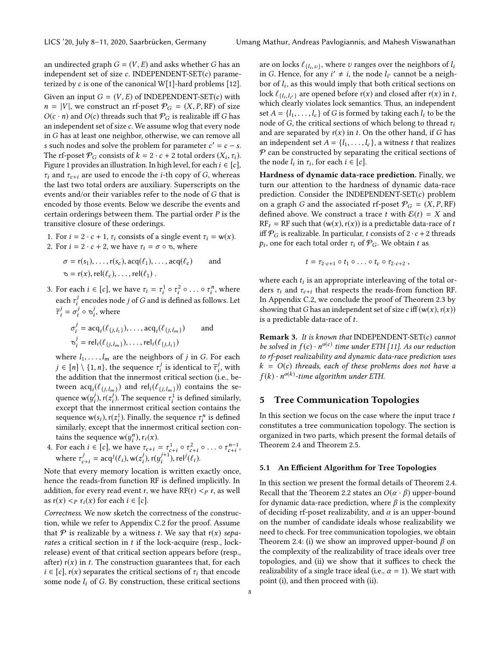an undirected graph  $G = (V, E)$  and asks whether G has an independent set of size  $c$ . INDEPENDENT-SET $(c)$  parameterized by  $c$  is one of the canonical W[1]-hard problems [\[12\]](#page-13-23). Given an input  $G = (V, E)$  of INDEPENDENT-SET(c) with  $n = |V|$ , we construct an rf-poset  $\mathcal{P}_G = (X, P, RF)$  of size  $O(c \cdot n)$  and  $O(c)$  threads such that  $\mathcal{P}_G$  is realizable iff G has an independent set of size c. We assume wlog that every node in G has at least one neighbor, otherwise, we can remove all s such nodes and solve the problem for parameter  $c' = c - s$ .<br>The rf-poset  $\mathcal{P}_c$  consists of  $k = 2$ ,  $c + 2$  total orders  $(X, \tau)$ . The rf-poset  $\mathcal{P}_G$  consists of  $k = 2 \cdot c + 2$  total orders  $(X_i, \tau_i)$ .<br>Figure 1 provides an illustration In high level for each  $i \in [c]$ . Figure [1](#page-8-0) provides an illustration. In high level, for each  $i \in [c]$ ,  $\tau_i$  and  $\tau_{c+i}$  are used to encode the *i*-th copy of *G*, whereas the last two total orders are auxiliary. Superscripts on the events and/or their variables refer to the node of G that is encoded by those events. Below we describe the events and certain orderings between them. The partial order  $P$  is the transitive closure of these orderings.

1. For  $i = 2 \cdot c + 1$ ,  $\tau_i$  consists of a single event  $\tau_i = w(x)$ . 2. For  $i = 2 \cdot c + 2$ , we have  $\tau_i = \sigma \circ \sigma$ , where

$$
\sigma = r(s_1), \dots, r(s_c), \text{acq}(\ell_1), \dots, \text{acq}(\ell_c) \quad \text{and} \\ \sigma = r(x), \text{rel}(\ell_c), \dots, \text{rel}(\ell_1) .
$$

3. For each  $i \in [c]$ , we have  $\tau_i = \tau_i^1 \circ \tau_i^2 \circ \ldots \circ \tau_i^n$ , where each  $\tau_i^j$  encodes node j of G and is defined as follows. Let  $\tau^j = \int_{\tau_j}^{\tau_j} \tau_j \tau_j$ i  $\overline{\tau}_i^j = \sigma_i^j \circ \sigma_i^j$ , where

$$
\sigma_i^j = \text{acq}_i(\ell_{\{j,l_1\}}), \dots, \text{acq}_i(\ell_{\{j,l_m\}}) \quad \text{and}
$$
  

$$
\sigma_i^j = \text{rel}_i(\ell_{\{j,l_m\}}), \dots, \text{rel}_i(\ell_{\{j,l_1\}})
$$

where  $l_1, \ldots, l_m$  are the neighbors of j in G. For each  $j \in [n] \setminus \{1, n\}$ , the sequence  $\tau_i^j$  is identical to  $\overline{\tau}_i^j$ , with the addition that the innermost critical section (i.e. bethe addition that the innermost critical section (i.e., between  $\text{acq}_i(\ell_{\{j,l_m\}})$  and  $\text{rel}_i(\ell_{\{j,l_m\}})$  contains the se-<br>example  $\text{vol}_i(\ell_i)$ . The examples also defined similarly quence  $w(y_i^j)$ ,  $r(z_i^j)$ . The sequence  $\tau_i^1$  is defined similarly,<br>except that the innermost critical section contains the except that the innermost critical section contains the sequence  $w(s_i)$ ,  $r(z_i^1)$ . Finally, the sequence  $\tau_i^n$  is defined<br>similarly, except that the innermost critical section consimilarly, except that the innermost critical section contains the sequence  $w(y_i^n)$ ,  $r_i(x)$ .<br>For each  $i \in [c]$ , we have  $\tau$ 

4. For each  $i \in [c]$ , we have  $\tau_{c+i} = \tau_{c+i}^1 \circ \tau_{c+i}^2 \circ \dots \circ \tau_{c+i}^{n-1}$ , where  $\tau_{c+i}^j = \text{acq}^j(\ell_i)$ ,  $w(z_i^j)$ ,  $r(y_i^{j+1})$ , rel<sup>j</sup> $(\ell_i)$ .

Note that every memory location is written exactly once, hence the reads-from function RF is defined implicitly. In addition, for every read event r, we have  $RF(r) < p r$ , as well as  $r(x) < p r_i(x)$  for each  $i \in [c]$ .

Correctness. We now sketch the correctness of the construction, while we refer to Appendix [C.2](#page-16-0) for the proof. Assume that  $P$  is realizable by a witness t. We say that  $r(x)$  separates a critical section in  $t$  if the lock-acquire (resp., lockrelease) event of that critical section appears before (resp., after)  $r(x)$  in t. The construction guarantees that, for each  $i \in [c]$ , r(x) separates the critical sections of  $\tau_i$  that encode some node  $l_i$  of G. By construction, these critical sections

are on locks  $\ell_{\{l_i, v\}}$ , where v ranges over the neighbors of  $l_i$ <br>in G. Hence, for any  $i' \neq i$ , the node  $l_i$  cannot be a neigh in G. Hence, for any  $i' \neq i$ , the node  $l_{i'}$  cannot be a neigh-<br>hor of  $l_{i'}$  as this would imply that hoth critical sections on bor of  $l_i$ , as this would imply that both critical sections on  $\log l_i$ ,  $\ldots$  are opened before  $r(x)$  and closed after  $r(x)$  in t lock  $\ell_{\{l_i, l_{i'}\}}$  are opened before r(x) and closed after r(x) in t,<br>which clearly violates lock semantics. Thus, an independent best  $e_{\{i_i, i_{i'}\}}$  are opened before  $\{x\}$  and crossed dree  $\{x\}$  in  $i_j$ , which clearly violates lock semantics. Thus, an independent set  $A = \{l_1, \ldots, l_c\}$  of G is formed by taking each  $l_i$  to be the node of G, the critical sections of which belong to thread  $\tau_i$ and are separated by  $r(x)$  in t. On the other hand, if G has an independent set  $A = \{l_1, \ldots, l_c\}$ , a witness t that realizes  $P$  can be constructed by separating the critical sections of the node  $l_i$  in  $\tau_i$ , for each  $i \in [c]$ .

Hardness of dynamic data-race prediction. Finally, we turn our attention to the hardness of dynamic data-race prediction. Consider the INDEPENDENT-SET $(c)$  problem on a graph G and the associated rf-poset  $P_G = (X, P, RF)$ defined above. We construct a trace t with  $\mathcal{E}(t) = X$  and  $RF_t = RF$  such that  $(w(x), r(x))$  is a predictable data-race of t iff  $\mathcal{P}_G$  is realizable. In particular, t consists of  $2 \cdot c + 2$  threads  $p_i$ , one for each total order  $\tau_i$  of  $\mathcal{P}_G$ . We obtain t as

$$
t=\tau_{2\cdot c+1}\circ t_1\circ\ldots\circ t_c\circ\tau_{2\cdot c+2}\,,
$$

where each  $t_i$  is an appropriate interleaving of the total or-<br>ders  $\tau_i$  and  $\tau_{i+1}$  that respects the reads-from function RF ders  $\tau_i$  and  $\tau_{c+i}$  that respects the reads-from function RF. In Appendix [C.2,](#page-16-0) we conclude the proof of Theorem [2.3](#page-4-4) by showing that G has an independent set of size c iff  $(w(x), r(x))$ is a predictable data-race of  $t$ .

<span id="page-7-0"></span>**Remark 3.** It is known that INDEPENDENT-SET $(c)$  cannot be solved in  $f(c) \cdot n^{o(c)}$  time under ETH [\[11\]](#page-13-24). As our reduction<br>to rf-poset realizability and dynamic data-race prediction uses to rf-poset realizability and dynamic data-race prediction uses  $k = O(c)$  threads, each of these problems does not have a  $f(k) \cdot n^{o(k)}$ -time algorithm under ETH.

#### <span id="page-7-1"></span>5 Tree Communication Topologies

In this section we focus on the case where the input trace  $t$ constitutes a tree communication topology. The section is organized in two parts, which present the formal details of Theorem [2.4](#page-4-5) and Theorem [2.5.](#page-4-6)

#### <span id="page-7-2"></span>5.1 An Efficient Algorithm for Tree Topologies

In this section we present the formal details of Theorem [2.4.](#page-4-5) Recall that the Theorem [2.2](#page-4-2) states an  $O(\alpha \cdot \beta)$  upper-bound for dynamic data-race prediction, where  $\beta$  is the complexity of deciding rf-poset realizability, and  $\alpha$  is an upper-bound on the number of candidate ideals whose realizability we need to check. For tree communication topologies, we obtain Theorem [2.4:](#page-4-5) (i) we show an improved upper-bound  $\beta$  on the complexity of the realizability of trace ideals over tree topologies, and (ii) we show that it suffices to check the realizability of a single trace ideal (i.e.,  $\alpha = 1$ ). We start with point (i), and then proceed with (ii).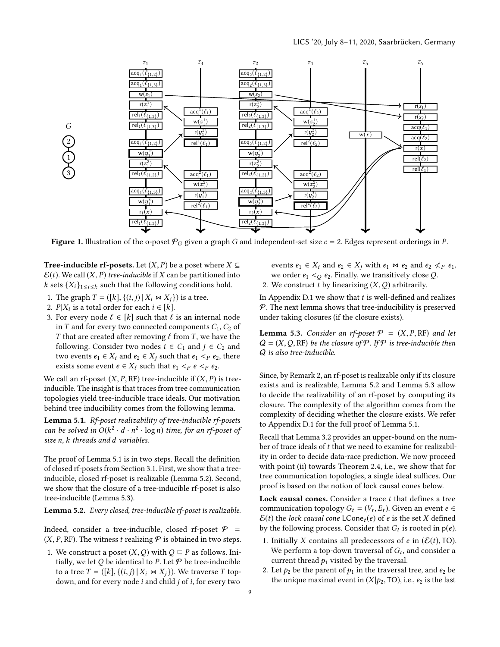<span id="page-8-0"></span>

Figure 1. Illustration of the o-poset  $P_G$  given a graph G and independent-set size  $c = 2$ . Edges represent orderings in P.

**Tree-inducible rf-posets.** Let  $(X, P)$  be a poset where  $X \subseteq$  $\mathcal{E}(t)$ . We call  $(X, P)$  tree-inducible if X can be partitioned into k sets  $\{X_i\}_{1 \leq i \leq k}$  such that the following conditions hold.

- <span id="page-8-4"></span>1. The graph  $T = ([k], \{(i, j) | X_i \bowtie X_j \})$  is a tree.
- <span id="page-8-5"></span>2.  $P|X_i$  is a total order for each  $i \in [k]$ .<br>3. For every node  $\ell \in [k]$  such that  $\ell$ .

 $\overline{a}$ 

1 2

3

<span id="page-8-6"></span>3. For every node  $\ell \in [k]$  such that  $\ell$  is an internal node in T and for every two connected components  $C_1$ ,  $C_2$  of T that are created after removing  $\ell$  from T, we have the following. Consider two nodes  $i \in C_1$  and  $j \in C_2$  and two events  $e_1 \in X_i$  and  $e_2 \in X_j$  such that  $e_1 \leq_P e_2$ , there exists some event  $e \in X_\ell$  such that  $e_1 \leq p \leq e_2$ .

We call an rf-poset  $(X, P, RF)$  tree-inducible if  $(X, P)$  is treeinducible. The insight is that traces from tree communication topologies yield tree-inducible trace ideals. Our motivation behind tree inducibility comes from the following lemma.

<span id="page-8-1"></span>Lemma 5.1. Rf-poset realizability of tree-inducible rf-posets can be solved in  $O(k^2 \cdot d \cdot n^2 \cdot \log n)$  time, for an rf-poset of<br>size n k threads and d variables size n, k threads and d variables.

The proof of Lemma [5.1](#page-8-1) is in two steps. Recall the definition of closed rf-posets from Section [3.1.](#page-5-2) First, we show that a treeinducible, closed rf-poset is realizable (Lemma [5.2\)](#page-8-2). Second, we show that the closure of a tree-inducible rf-poset is also tree-inducible (Lemma [5.3\)](#page-8-3).

<span id="page-8-2"></span>Lemma 5.2. Every closed, tree-inducible rf-poset is realizable.

Indeed, consider a tree-inducible, closed rf-poset  $P =$  $(X, P, RF)$ . The witness t realizing  $P$  is obtained in two steps.

1. We construct a poset  $(X, Q)$  with  $Q \sqsubseteq P$  as follows. Initially, we let  $Q$  be identical to P. Let  $P$  be tree-inducible to a tree  $T = (\lceil k \rceil, \{(i, j) | X_i \bowtie X_j \})$ . We traverse T topdown, and for every node  $i$  and child  $j$  of  $i$ , for every two

- events  $e_1 \in X_i$  and  $e_2 \in X_j$  with  $e_1 \bowtie e_2$  and  $e_2 \nless p e_1$ , we order  $e_1 <sub>O</sub> e_2$ . Finally, we transitively close Q.
- 2. We construct t by linearizing  $(X, Q)$  arbitrarily.

In Appendix [D.1](#page-17-0) we show that  $t$  is well-defined and realizes  $P$ . The next lemma shows that tree-inducibility is preserved under taking closures (if the closure exists).

<span id="page-8-3"></span>**Lemma 5.3.** Consider an rf-poset  $P = (X, P, RF)$  and let  $Q = (X, Q, RF)$  be the closure of P. If P is tree-inducible then Q is also tree-inducible.

Since, by Remark [2,](#page-5-3) an rf-poset is realizable only if its closure exists and is realizable, Lemma [5.2](#page-8-2) and Lemma [5.3](#page-8-3) allow to decide the realizability of an rf-poset by computing its closure. The complexity of the algorithm comes from the complexity of deciding whether the closure exists. We refer to Appendix [D.1](#page-17-0) for the full proof of Lemma [5.1.](#page-8-1)

Recall that Lemma [3.2](#page-6-3) provides an upper-bound on the number of trace ideals of t that we need to examine for realizability in order to decide data-race prediction. We now proceed with point (ii) towards Theorem [2.4,](#page-4-5) i.e., we show that for tree communication topologies, a single ideal suffices. Our proof is based on the notion of lock causal cones below.

Lock causal cones. Consider a trace  $t$  that defines a tree communication topology  $G_t = (V_t, E_t)$ . Given an event  $e \in \mathcal{E}(t)$  the lock causal cone  $(\epsilon)$  of e is the set X defined  $\mathcal{E}(t)$  the lock causal cone LCone<sub>t</sub>(e) of e is the set X defined by the following process. Consider that  $G_t$  is rooted in  $p(e)$ .

- <span id="page-8-7"></span>1. Initially X contains all predecessors of e in  $(\mathcal{E}(t), \mathsf{T}O)$ . We perform a top-down traversal of  $G_t$ , and consider a<br>current thread  $\rho_t$  visited by the traversal current thread  $p_1$  visited by the traversal.
- <span id="page-8-8"></span>2. Let  $p_2$  be the parent of  $p_1$  in the traversal tree, and  $e_2$  be the unique maximal event in  $(X|p_2, \text{TO})$ , i.e.,  $e_2$  is the last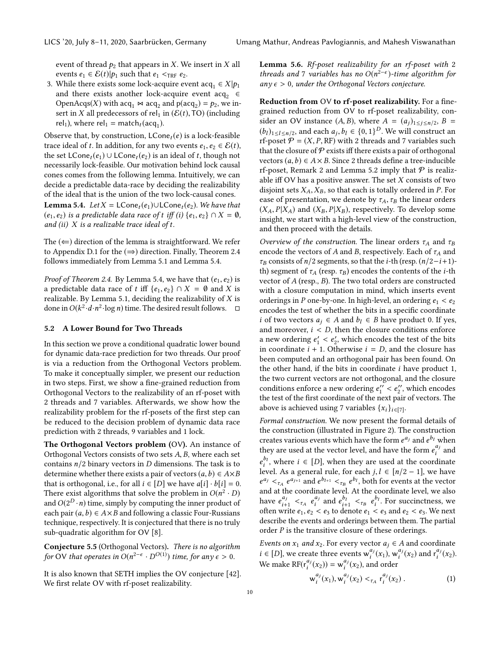event of thread  $p_2$  that appears in X. We insert in X all events  $e_1 \in \mathcal{E}(t) | p_1$  such that  $e_1 <_{\text{TRF}} e_2$ .

<span id="page-9-2"></span>3. While there exists some lock-acquire event  $acq_1 \in X|p_1$ <br>and there exists another lock-acquire event acq. and there exists another lock-acquire event  $acq_2 \in$ OpenAcqs(X) with  $acq_1 \bowtie acq_2$  and  $p(acq_2) = p_2$ , we in-<br>sert in X all predecessors of rel, in  $(E(t)$  TO) (including sert in X all predecessors of rel<sub>1</sub> in  $(\mathcal{E}(t), \textsf{TO})$  (including rel<sub>1</sub>), where rel<sub>1</sub> = match<sub>t</sub>(acq<sub>1</sub>).

Observe that, by construction,  $LCone_t(e)$  is a lock-feasible trace ideal of t. In addition, for any two events  $e_1, e_2 \in \mathcal{E}(t)$ , the set  $LCone_t(e_1) \cup LCone_t(e_2)$  is an ideal of t, though not necessarily lock-feasible. Our motivation behind lock causal cones comes from the following lemma. Intuitively, we can decide a predictable data-race by deciding the realizability of the ideal that is the union of the two lock-causal cones.

<span id="page-9-0"></span>**Lemma 5.4.** Let  $X = \textsf{LCone}_t(e_1) \cup \textsf{LCone}_t(e_2)$ . We have that  $(e_1, e_2)$  is a predictable data race of t iff (i)  $\{e_1, e_2\} \cap X = \emptyset$ , and (ii)  $X$  is a realizable trace ideal of  $t$ .

The  $(\Leftarrow)$  direction of the lemma is straightforward. We refer to Appendix [D.1](#page-17-0) for the  $(\Rightarrow)$  direction. Finally, Theorem [2.4](#page-4-5) follows immediately from Lemma [5.1](#page-8-1) and Lemma [5.4.](#page-9-0)

*Proof of Theorem [2.4.](#page-4-5)* By Lemma [5.4,](#page-9-0) we have that  $(e_1, e_2)$  is a predictable data race of t iff  $\{e_1, e_2\} \cap X = \emptyset$  and X is realizable. By Lemma [5.1,](#page-8-1) deciding the realizability of  $X$  is done in  $O(k^2 \cdot d \cdot n^2 \cdot \log n)$  time. The desired result follows.  $\Box$ 

## <span id="page-9-3"></span>5.2 A Lower Bound for Two Threads

In this section we prove a conditional quadratic lower bound for dynamic data-race prediction for two threads. Our proof is via a reduction from the Orthogonal Vectors problem. To make it conceptually simpler, we present our reduction in two steps. First, we show a fine-grained reduction from Orthogonal Vectors to the realizability of an rf-poset with 2 threads and 7 variables. Afterwards, we show how the realizability problem for the rf-posets of the first step can be reduced to the decision problem of dynamic data race prediction with 2 threads, 9 variables and 1 lock.

The Orthogonal Vectors problem (OV). An instance of Orthogonal Vectors consists of two sets A, B, where each set contains  $n/2$  binary vectors in D dimensions. The task is to determine whether there exists a pair of vectors  $(a, b) \in A \times B$ that is orthogonal, i.e., for all  $i \in [D]$  we have  $a[i] \cdot b[i] = 0$ . There exist algorithms that solve the problem in  $O(n^2 \cdot D)$ <br>and  $O(2^D \cdot n)$  time-simply by computing the inner product of and  $O(2^D \cdot n)$  time, simply by computing the inner product of each pair  $(a, b) \in A \times B$  and following a classic Four-Pussians each pair  $(a, b) \in A \times B$  and following a classic Four-Russians technique, respectively. It is conjectured that there is no truly sub-quadratic algorithm for OV [\[8\]](#page-13-21).

Conjecture 5.5 (Orthogonal Vectors). There is no algorithm for OV that operates in  $O(n^{2-\epsilon} \cdot D^{O(1)})$  time, for any  $\epsilon > 0$ .

<span id="page-9-1"></span>It is also known that SETH implies the OV conjecture [\[42\]](#page-14-15). We first relate OV with rf-poset realizability.

Lemma 5.6. Rf-poset realizability for an rf-poset with 2 threads and 7 variables has no  $O(n^{2-\epsilon})$ -time algorithm for<br>any  $\epsilon > 0$  under the Orthogonal Vectors conjecture any  $\epsilon > 0$ , under the Orthogonal Vectors conjecture.

Reduction from OV to rf-poset realizability. For a finegrained reduction from OV to rf-poset realizability, consider an OV instance  $(A, B)$ , where  $A = (a_j)_{1 \leq j \leq n/2}$ ,  $B = (b_1)_{1 \leq j \leq n/2}$ ,  $B = (b_2)_{1 \leq j \leq n/2}$  $(b_l)_{1 \leq l \leq n/2}$ , and each  $a_j, b_l \in \{0, 1\}^D$ . We will construct an <br>represent  $\Phi - (X, P, \text{RF})$  with 2 threads and 7 variables such rf-poset  $P = (X, P, RF)$  with 2 threads and 7 variables such that the closure of  $P$  exists iff there exists a pair of orthogonal vectors  $(a, b) \in A \times B$ . Since 2 threads define a tree-inducible rf-poset, Remark [2](#page-5-3) and Lemma [5.2](#page-8-2) imply that  $P$  is realizable iff OV has a positive answer. The set  $X$  consists of two disjoint sets  $X_A, X_B$ , so that each is totally ordered in  $P$ . For ease of presentation, we denote by  $\tau_A$ ,  $\tau_B$  the linear orders  $(X_A, P | X_A)$  and  $(X_B, P | X_B)$ , respectively. To develop some insight, we start with a high-level view of the construction, and then proceed with the details.

Overview of the construction. The linear orders  $\tau_A$  and  $\tau_B$ encode the vectors of A and B, respectively. Each of  $\tau_A$  and  $\tau_B$  consists of *n*/2 segments, so that the *i*-th (resp.  $(n/2-i+1)$ th) segment of  $\tau_A$  (resp.  $\tau_B$ ) encodes the contents of the *i*-th vector of A (resp., B). The two total orders are constructed with a closure computation in mind, which inserts event orderings in P one-by-one. In high-level, an ordering  $e_1 < e_2$ encodes the test of whether the bits in a specific coordinate *i* of two vectors  $a_j$  ∈ A and  $b_l$  ∈ B have product 0. If yes, and moreover,  $i < D$ , then the closure conditions enforce a new ordering  $e'_1 < e'_2$ , which encodes the test of the bits<br>in coordinate  $i + 1$ , Otherwise  $i - D$  and the closure has in coordinate  $i + 1$ . Otherwise  $i = D$ , and the closure has<br>heen computed and an orthogonal pair has been found. On been computed and an orthogonal pair has been found. On the other hand, if the bits in coordinate  $i$  have product 1, the two current vectors are not orthogonal, and the closure conditions enforce a new ordering  $e''_1 < e''_2$ , which encodes<br>the test of the first coordinate of the next pair of vectors. The to number of the first coordinate of the next pair of vectors. The test of the first coordinate of the next pair of vectors. The above is achieved using 7 variables  $\{x_i\}_{i \in [7]}$ .

Formal construction. We now present the formal details of the construction (illustrated in Figure [2\)](#page-10-0). The construction creates various events which have the form  $e^{a_j}$  and  $e^{b_l}$  when<br>they are used at the vector level, and have the form  $e^{a_j}$  and they are used at the vector level, and have the form  $e_i^{a_j}$  and  $b_i$  $\frac{b_i}{b_i}$ , where *i* ∈ [*D*], when they are used at the coordinate level. As a general rule, for each  $j, l \in [n/2 - 1]$ , we have and at the coordinate level. At the coordinate level, we also  $\frac{a_j}{\tau_A} e^{a_{j+1}}$  and  $e^{b_{l+1}} <_{\tau_B} e^{b_l}$ , both for events at the vector nd at the coordinate level we also have  $e_{i+1}^{a_j} <_{\tau_A} e_i^{a_j}$  and  $e_{i+1}^{b_l} <_{\tau_B} e_i^{b_l}$ . For succinctness, we often write  $e_1$ ,  $e_2$   $\epsilon_b$  to denote  $e_1$   $\epsilon_c$  and  $e_2$   $\epsilon_e$ . We next often write  $e_1, e_2 < e_3$  to denote  $e_1 < e_3$  and  $e_2 < e_3$ . We next<br>describe the events and orderings between them. The partial describe the events and orderings between them. The partial order  $P$  is the transitive closure of these orderings.

Events on  $x_1$  and  $x_2$ . For every vector  $a_j \in A$  and coordinate  $i \in [D]$ , we create three events  $w_i^{aj}(x_1), w_i^{aj}(x_2)$  and  $r_i^{aj}(x_2)$ .<br>We make  $DE(x_i^{aj}(x_1)) = w_i^{aj}(x_1)$  and arder We make  $\text{RF}(r_i^{a_j}(x_2)) = w_i^{a_j}(x_2)$ , and order

$$
w_i^{a_j}(x_1), w_i^{a_j}(x_2) <_{\tau_A} r_i^{a_j}(x_2).
$$
 (1)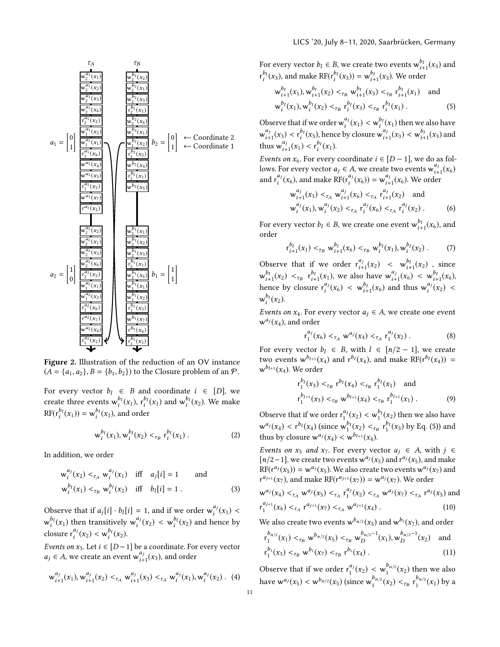<span id="page-10-0"></span>

Figure 2. Illustration of the reduction of an OV instance  $(A = \{a_1, a_2\}, B = \{b_1, b_2\})$  to the Closure problem of an  $P$ .

For every vector  $b_l \in B$  and coordinate  $i \in [D]$ , we create three events  $w_i^{b_l}(x_1)$ ,  $r_i^{b_l}(x_1)$  and  $w_i^{b_l}(x_2)$ . We make  $RF(r_i^{b_l}(x_1)) = w_i^{b_l}(x_1)$ , and order

$$
w_i^{b_l}(x_1), w_i^{b_l}(x_2) <_{\tau_B} r_i^{b_l}(x_1) \tag{2}
$$

In addition, we order

$$
w_i^{aj}(x_2) <_{\tau_A} w_i^{aj}(x_1) \quad \text{iff} \quad a_j[i] = 1 \qquad \text{and}
$$
  

$$
w_i^{b_l}(x_1) <_{\tau_B} w_i^{b_l}(x_2) \quad \text{iff} \quad b_l[i] = 1 \,. \tag{3}
$$

Observe that if  $a_j[i] \cdot b_l[i] = 1$ , and if we order  $w_i^{a_j}(x_1) <$  $w_i^{b_i}(x_1)$  then transitively  $w_i^{a_j}(x_2) < w_i^{b_i}(x_2)$  and hence by closure  $r_i^{a_j}(x_2) < w_i^{b_l}(x_2)$ .

Events on  $x_3$ . Let  $i \in [D-1]$  be a coordinate. For every vector  $a_j \in A$ , we create an event  $w_{i+1}^{a_j}(x_3)$ , and order

$$
w_{i+1}^{a_j}(x_1), w_{i+1}^{a_j}(x_2) <_{\tau_A} w_{i+1}^{a_j}(x_3) <_{\tau_A} w_i^{a_j}(x_1), w_i^{a_j}(x_2).
$$
 (4)

For every vector  $b_l \in B$ , we create two events  $w_{l+1}^{b_l}(x_3)$  and  $b_l(x_1)$ For every vector  $v_l \in B$ , we create two events  $w_{i+1}$ <br>  $r_l^{b_l}(x_3)$ , and make  $\text{RF}(r_l^{b_l}(x_3)) = w_{i+1}^{b_l}(x_3)$ . We order

<span id="page-10-1"></span>
$$
w_{i+1}^{b_l}(x_1), w_{i+1}^{b_l}(x_2) <_{\tau_B} w_{i+1}^{b_l}(x_3) <_{\tau_B} r_{i+1}^{b_l}(x_1) \text{ and}
$$
  

$$
w_i^{b_l}(x_1), w_i^{b_l}(x_2) <_{\tau_B} r_i^{b_l}(x_3) <_{\tau_B} r_i^{b_l}(x_1).
$$
 (5)

Observe that if we order  $w_i^{a_j}(x_1) < w_i^{b_j}(x_1)$  then we also have  $w_{i+1}^{a_j}(x_3) < r_i^{b_l}(x_3)$ , hence by closure  $w_{i+1}^{a_j}(x_3) < w_{i+1}^{b_l}(x_3)$  and thus  $w_{i+1}^{a_j}(x_1) < r_i^{b_l}(x_1)$ .

Events on  $x_6$ . For every coordinate  $i \in [D-1]$ , we do as fol-<br>lows. For every vector  $a_1 \in A$ , we create two events  $w^{a_j}(x_1)$ . lows. For every vector  $a_j \in A$ , we create two events  $w_{j+1}^{a_j}(x_6)$ <br>and  $x_1^{a_j}(x_1)$  and make  $DE(x_{j}^{a_j}(x_1)) = w_{j}^{a_j}(x_1)$ . We arder hows. For every vector  $a_j \in A$ , we create two events  $w_{i+1}$ <br>and  $r_i^{a_j}(x_6)$ , and make  $RF(r_i^{a_j}(x_6)) = w_{i+1}^{a_j}(x_6)$ . We order

$$
w_{i+1}^{a_j}(x_3) <_{\tau_A} w_{i+1}^{a_j}(x_6) <_{\tau_A} r_{i+1}^{a_j}(x_2)
$$
 and  

$$
w_i^{a_j}(x_1), w_i^{a_j}(x_2) <_{\tau_A} r_i^{a_j}(x_6) <_{\tau_A} r_i^{a_j}(x_2).
$$
 (6)

For every vector  $b_l \in B$ , we create one event  $w_{i+1}^{b_l}(x_6)$ , and order order

$$
r_{i+1}^{b_l}(x_1) <_{\tau_B} w_{i+1}^{b_l}(x_6) <_{\tau_B} w_i^{b_l}(x_1), w_i^{b_l}(x_2).
$$
 (7)

Observe that if we order  $r_{i+1}^{a_j}(x_2) < w_{i+1}^{b_l}(x_2)$ , since  $w_{i+1}^{b_l}(x_2) < r_{i+1}^{b_l}(x_1)$ , we also have  $w_{i+1}^{a_j}(x_6) < w_{i+1}^{b_l}(x_6)$ , hence by closure  $r_i^{a_j}(x_6) < w_{i+1}^{b_l}(x_6)$  and thus  $w_i^{a_j}(x_2) <$  $\int_{i}^{a_j}(x_6) < w_{i+1}^{b_l}(x_6)$  and thus  $w_i^{a_j}$  $\int_{i}^{a_j}(x_2)$  <  $w_i^{b_l}(x_2)$ .

Events on  $x_4$ . For every vector  $a_j \in A$ , we create one event  $w_i^{aj}(x)$  and order  $w^{a_j}(x_4)$ , and order

$$
r_1^{a_j}(x_6) <_{\tau_A} w^{a_j}(x_4) <_{\tau_A} r_1^{a_j}(x_2).
$$
 (8)

For every vector  $b_l \in B$ , with  $l \in [n/2 - 1]$ , we create two events  $w^{b_{l+1}}(x_4)$  and  $r^{b_l}(x_4)$ , and make  $RF(r^{b_l}(x_4)) = w^{b_{l+1}}(x_4)$ .  $\mathsf{w}^{b_{l+1}}(x_4)$ . We order

$$
r_1^{b_l}(x_3) <_{\tau_B} r^{b_l}(x_4) <_{\tau_B} r_1^{b_l}(x_1) \text{ and}
$$
  
\n
$$
r_1^{b_{l+1}}(x_3) <_{\tau_B} w^{b_{l+1}}(x_4) <_{\tau_B} r_1^{b_{l+1}}(x_1).
$$
\n(9)

Observe that if we order  $r_1^{a_j}(x_2) < w_1^{b_j}(x_2)$  then we also have  $w^{aj}(x_4) < r^{b}(\chi_4)$  (since  $w^{b}(\chi_2) <_{\tau_B} r^{b}(\chi_3)$  by Eq. [\(5\)](#page-10-1)) and<br>thus by glosure  $w^{aj}(\chi_1) < w^{b}(\chi_2)$ thus by closure  $w^{a_j}(x_4) < w^{b_{l+1}}(x_4)$ .

Events on  $x_5$  and  $x_7$ . For every vector  $a_j \in A$ , with  $j \in$  $[n/2-1]$ , we create two events  $w^{a_j}(x_5)$  and  $r^{a_j}(x_5)$ , and make<br> $RE(r^{a_j}(x_5)) = w^{a_j}(x_5)$ . We also create two events  $w^{a_j}(x_5)$  and  $\text{RF}(r^{a_j}(x_5)) = w^{a_j}(x_5)$ . We also create two events  $w^{a_j}(x_7)$  and  $r^{a_{j+1}}(x_1)$  and make  $\text{RF}(r^{a_{j+1}}(x_1)) = w^{a_j}(x_2)$ . We order  $r^{a_{j+1}}(x_7)$ , and make  $RF(r^{a_{j+1}}(x_7)) = w^{a_j}(x_7)$ . We order

$$
w^{a_j}(x_4) <_{\tau_A} w^{a_j}(x_5) <_{\tau_A} r_1^{a_j}(x_2) <_{\tau_A} w^{a_j}(x_7) <_{\tau_A} r^{a_j}(x_5) \text{ and}
$$
  

$$
r_1^{a_{j+1}}(x_6) <_{\tau_A} r^{a_{j+1}}(x_7) <_{\tau_A} w^{a_{j+1}}(x_4).
$$
 (10)

We also create two events  $w^{b_{n/2}}(x_5)$  and  $w^{b_1}(x_7)$ , and order

$$
r_1^{b_{n/2}}(x_1) <_{\tau_B} w^{b_{n/2}}(x_5) <_{\tau_B} w_D^{b_{n/2}-1}(x_1), w_D^{b_{n/2}-1}(x_2) \text{ and}
$$
  
\n
$$
r_1^{b_1}(x_3) <_{\tau_B} w^{b_1}(x_7) <_{\tau_B} r^{b_1}(x_4).
$$
\n(11)

Observe that if we order  $r_1^{a_j}(x_2) < w_1^{b_{n/2}}(x_2)$  then we also have  $w^{a_j}(x_5) < w^{b_{n/2}}(x_5)$  (since  $w_1^{b_{n/2}}(x_2) <_{\tau_B} r_1^{b_{n/2}}(x_1)$  by a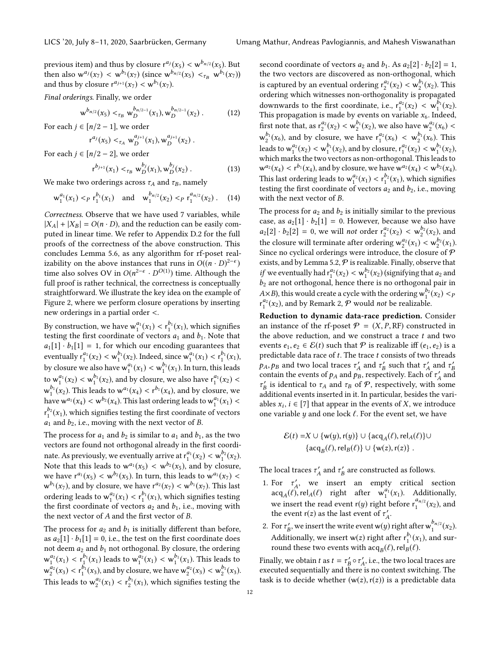previous item) and thus by closure  $r^{a_j}(x_5) < w^{b_{n/2}}(x_5)$ . But<br>then also  $w^{a_j}(x_5) < w^{b_1}(x_5)$  (since  $w^{b_n/2}(x_5) < w^{b_1}(x_5)$ ) then also  $w^{a_j}(x_7) < w^{b_1}(x_7)$  (since  $w^{b_{n/2}}(x_5) <_{\tau_B} w^{b_1}(x_7)$ )<br>and thus by closure  $r^{a_{j+1}}(x_7) < w^{b_1}(x_7)$ and thus by closure  $r^{a_{j+1}}(x_7) < w^{b_1}(x_7)$ .

Final orderings. Finally, we order

$$
w^{b_{n/2}}(x_5) <_{\tau_B} w^{b_{n/2-1}}_D(x_1), w^{b_{n/2-1}}_D(x_2).
$$
 (12)

For each  $j \in [n/2 - 1]$ , we order

$$
^{a_{j}}(x_{5}) <_{\tau_{A}} w_{D}^{a_{j+1}}(x_{1}), w_{D}^{a_{j+1}}(x_{2}).
$$

For each  $j \in [n/2 - 2]$ , we order

r

$$
r^{b_{j+1}}(x_1) <_{\tau_B} w_D^{b_j}(x_1), w_D^{b_j}(x_2) \,. \tag{13}
$$

We make two orderings across  $\tau_A$  and  $\tau_B$ , namely

$$
w_1^{a_1}(x_1) <_p r_1^{b_1}(x_1)
$$
 and  $w_1^{b_{n/2}}(x_2) <_p r_1^{a_{n/2}}(x_2)$ . (14)

Correctness. Observe that we have used 7 variables, while  $|X_A| + |X_B| = O(n \cdot D)$ , and the reduction can be easily computed in linear time. We refer to Appendix [D.2](#page-19-0) for the full proofs of the correctness of the above construction. This concludes Lemma [5.6,](#page-9-1) as any algorithm for rf-poset realizability on the above instances that runs in  $O((n \cdot D)^{2-\epsilon})$ <br>time also solves  $OV$  in  $O(n^{2-\epsilon} \cdot D^{O(1)})$  time. Although the time also solves OV in  $O(n^{2-\epsilon} \cdot D^{O(1)})$  time. Although the full proof is rather technical, the correctness is concentually full proof is rather technical, the correctness is conceptually straightforward. We illustrate the key idea on the example of Figure [2,](#page-10-0) where we perform closure operations by inserting new orderings in a partial order <.

By construction, we have  $w_1^{a_1}(x_1) < r_2^{b_1}(x_1)$ , which signifies<br>testing the first coordinate of vectors  $a_1$  and  $b_1$ . Note that testing the first coordinate of vectors  $a_1$  and  $b_1$ . Note that  $a_1[1] \cdot b_1[1] = 1$ , for which our encoding guarantees that eventually  $r_1^{a_1}(x_2) < w_1^{b_1}(x_2)$ . Indeed, since  $w_1^{a_1}(x_1) < r_1^{b_1}(x_1)$ ,<br>les de sur une also harves  $a_1^{a_1}(x_1) < w_1^{b_1}(x_1)$ . In terms this last by closure we also have  $w_1^{a_1}(x_1) < w_1^{b_1}(x_1)$ . In turn, this leads to  $w_1^{a_1}(x_2) < w_2^{b_1}(x_2)$ , and by closure, we also have  $r_1^{a_1}(x_2) <$  $w_1^{b_1}(x_2)$ . This leads to  $w_1^{a_1}(x_4) < r_2^{b_1}(x_4)$ , and by closure, we have  $w^{a_1}(x_4) < w^{b_2}(x_4)$ . This last ordering leads to  $w^{a_1}_1(x_1) <$  $r_1^{p_2}(x_1)$ , which signifies testing the first coordinate of vectors<br>a, and b, i.e. moving with the next vector of B  $a_1$  and  $b_2$ , i.e., moving with the next vector of B.

The process for  $a_1$  and  $b_2$  is similar to  $a_1$  and  $b_1$ , as the two vectors are found not orthogonal already in the first coordinate. As previously, we eventually arrive at  $r_1^{a_1}(x_2) < w_2^{b_2}(x_2)$ .<br>Note that this loads to  $w_1^{a_1}(x) < w_2^{b_2}(x_1)$  and by algoring Note that this leads to  $w^{a_1}(x_5) < w^{b_2}(x_5)$ , and by closure,<br>we have  $r^{a_1}(x_5) < w^{b_2}(x_5)$ . In turn, this leads to  $w^{a_1}(x_5) <$ we have  $r^{a_1}(x_5) < w^{b_2}(x_5)$ . In turn, this leads to  $w^{a_1}(x_7) < w^{b_1}(x_7)$  and by closure we have  $r^{a_2}(x_7) < w^{b_1}(x_7)$ . This last  $w^{b_1}(x_7)$ , and by closure, we have  $r^{a_2}(x_7) < w^{b_1}(x_7)$ . This last ordering leads to  $w_1^{a_2}(x_1) < r_1^{b_1}(x_1)$ , which signifies testing<br>the first coordinate of vectors  $a_2$  and  $b_1$ , i.e., moving with the first coordinate of vectors  $a_2$  and  $b_1$ , i.e., moving with the next vector of A and the first vector of B.

The process for  $a_2$  and  $b_1$  is initially different than before, as  $a_2[1] \cdot b_1[1] = 0$ , i.e., the test on the first coordinate does not deem  $a_2$  and  $b_1$  not orthogonal. By closure, the ordering  $w_1^{a_2}(x_1) < r_1^{b_1}(x_1)$  leads to  $w_1^{a_2}(x_1) < w_1^{b_1}(x_1)$ . This leads to  $w_2^{a_2}(x_3) < r_1^{b_1}(x_3)$ , and by closure, we have  $w_2^{a_2}(x_3) < w_2^{b_1}(x_3)$ .<br>This land to  $w_3^{a_2}(y_1) < r_2^{b_1}(y_2)$ , which simple a testing the This leads to  $w_2^{a_2}(x_1) < r_2^{b_1}(x_1)$ , which signifies testing the

second coordinate of vectors  $a_2$  and  $b_1$ . As  $a_2[2] \cdot b_2[2] = 1$ , the two vectors are discovered as non-orthogonal, which is captured by an eventual ordering  $r_2^{a_2}(x_2) < w_2^{b_1}(x_2)$ . This ordering which witnesses non-orthogonality is propagated ordering which witnesses non-orthogonality is propagated downwards to the first coordinate, i.e.,  $r_1^{a_2}(x_2) < w_1^{b_1}(x_2)$ .<br>This propagation is made by events on variable x. Indeed This propagation is made by events on variable  $x_6$ . Indeed, first note that, as  $r_2^{a_2}(x_2) < w_2^{b_1}(x_2)$ , we also have  $w_2^{a_2}(x_6) <$ <br> $w_2^{b_1}(x_1)$ , and has also means are have  $w_2^{a_2}(x_1) < w_2^{b_1}(x_1)$ . This  $w_2^{b_1}(x_6)$ , and by closure, we have  $r_1^{a_2}(x_6) < w_2^{b_1}(x_6)$ . This leads to  $w_1^{a_2}(x_2) < w_1^{b_1}(x_2)$ , and by closure,  $r_1^{a_2}(x_2) < w_1^{b_1}(x_2)$ ,<br>which marks the two vectors as non-orthogonal. This leads to which marks the two vectors as non-orthogonal. This leads to  $w^{a_2}(x_4) < r^{b_1}(x_4)$ , and by closure, we have  $w^{a_2}(x_4) < w^{b_2}(x_4)$ .<br>This lest ordering leads to  $w^{a_2}(x) < r^{b_2}(x_4)$ , which signifies This last ordering leads to  $w_1^{a_2}(x_1) < r_2^{b_2}(x_1)$ , which signifies<br>testing the first coordinate of vectors  $a_2$  and  $b_2$  i.e., moving testing the first coordinate of vectors  $a_2$  and  $b_2$ , i.e., moving with the next vector of B.

The process for  $a_2$  and  $b_2$  is initially similar to the previous case, as  $a_2[1] \cdot b_2[1] = 0$ . However, because we also have  $a_2[2] \cdot b_2[2] = 0$ , we will not order  $r_2^{a_2}(x_2) < w_2^{b_2}(x_2)$ , and<br>the classes will tenuine to the substantial  $a_2^{a_2}(x_2) \leq w_2^{b_2}(x_2)$ . the closure will terminate after ordering  $w_2^{a_2}(x_1) < w_2^{b_2}(x_1)$ .<br>Since no cyclical orderings were introduce the closure of  $\Phi$ . Since no cyclical orderings were introduce, the closure of  $P$ exists, and by Lemma [5.2,](#page-8-2)  $P$  is realizable. Finally, observe that *if* we eventually had  $r_1^{a_2}(x_2) < w_1^{b_2}(x_2)$  (signifying that  $a_2$  and  $b_2$  are not orthogonal hence there is no orthogonal pair in  $b_2$  are not orthogonal, hence there is no orthogonal pair in  $A\times B$ ), this would create a cycle with the ordering  $w_1^{b_2}(x_2) < p$ <br> $r^{a_2}(x_2)$  and by Remark 2.  $\Phi$  would not be realizable  $r_1^{a_2}(x_2)$ , and by Remark [2,](#page-5-3)  $P$  would *not* be realizable.

Reduction to dynamic data-race prediction. Consider an instance of the rf-poset  $\mathcal{P} = (X, P, RF)$  constructed in the above reduction, and we construct a trace  $t$  and two events  $e_1, e_2 \in \mathcal{E}(t)$  such that  $\mathcal P$  is realizable iff  $(e_1, e_2)$  is a predictable data race of  $t$ . The trace  $t$  consists of two threads  $p_A, p_B$  and two local traces  $\tau'_A$  and  $\tau'_B$  such that  $\tau'_A$  and  $\tau'_B$ <br>contain the events of  $\rho_A$  and  $\rho_B$  respectively. Each of  $\tau'$  and contain the events of  $p_A$  and  $p_B$ , respectively. Each of  $\tau'_A$  and  $\tau'_B$  is identical to  $\tau_A$  and  $\tau_B$  of  $\mathcal P$  respectively, with some  $\mathcal{L}'_B$  is identical to  $\tau_A$  and  $\tau_B$  of  $\mathcal{P}$ , respectively, with some distanced in it. In particular besides the vari- $\frac{B}{B}$  as a continuous to  $\frac{B}{A}$  and  $\frac{B}{B}$  and  $\frac{B}{B}$  (see Fig. 2), we can consider the variables  $x_i$ ,  $i \in [7]$  that appear in the events of X, we introduce<br>one variable u and one lock  $\ell$ . For the event set, we have one variable  $y$  and one lock  $\ell$ . For the event set, we have

$$
\mathcal{E}(t) = X \cup \{w(y), r(y)\} \cup \{acq_A(\ell), rel_A(\ell)\} \cup \{acq_B(\ell), rel_B(\ell)\} \cup \{w(z), r(z)\} .
$$

The local traces  $\tau'_{A}$  and  $\tau'_{B}$  are constructed as follows.

- 1. For  $\tau'_{A}$ , we insert an empty critical section  $\text{acq}_A(\ell)$ , rel<sub>A</sub>( $\ell$ ) right after  $w_1^{a_1}(x_1)$ . Additionally, we insert the read event  $r(y)$  right before  $r_1^{a_{n/2}}(x_2)$ , and the event  $r(z)$  as the last event of  $r'$ the event r(z) as the last event of  $\tau'_{A}$ .
- 2. For  $\tau'_B$ , we insert the write event w(y) right after  $w_1^{b_{n/2}}(x_2)$ . Additionally, we insert  $w(z)$  right after  $r_1^{b_1}(x_1)$ , and sur-<br>round these two events with acq.  $(f)$  rel<sub>p</sub>( $f$ ) round these two events with  $\text{acq}_B(\ell)$ , rel $_B(\ell)$ .

Finally, we obtain t as  $t = \tau_B' \circ \tau_A'$ , i.e., the two local traces are<br>executed sequentially and there is no context switching. The executed sequentially and there is no context switching. The task is to decide whether  $(w(z), r(z))$  is a predictable data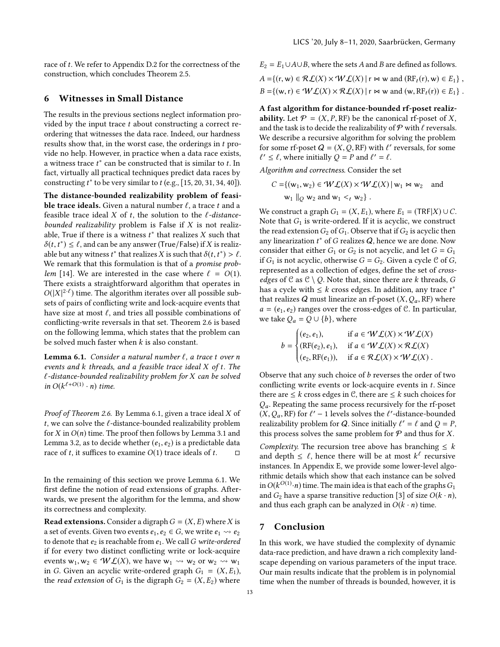race of t. We refer to Appendix [D.2](#page-19-0) for the correctness of the construction, which concludes Theorem [2.5.](#page-4-6)

# <span id="page-12-1"></span>6 Witnesses in Small Distance

The results in the previous sections neglect information provided by the input trace  $t$  about constructing a correct reordering that witnesses the data race. Indeed, our hardness results show that, in the worst case, the orderings in t provide no help. However, in practice when a data race exists, a witness trace  $t^*$  can be constructed that is similar to  $t$ . In fact, with all practical techniques predict data races by fact, virtually all practical techniques predict data races by constructing  $t^*$  to be very similar to  $t$  (e.g., [\[15,](#page-13-5) [20,](#page-13-11) [31,](#page-14-10) [34,](#page-14-11) [40\]](#page-14-12)).

The distance-bounded realizability problem of feasible trace ideals. Given a natural number  $\ell$ , a trace t and a feasible trace ideal X of t, the solution to the  $\ell$ -distancebounded realizability problem is False if  $X$  is not realizable, True if there is a witness  $t^*$  that realizes X such that  $\delta(t, t^*) < l$  and can be any answer (True/False) if X is realized  $\delta(t, t^*) \leq \ell$ , and can be any answer (True/False) if X is realizable but any witness  $t^*$  that realizes X is such that  $\delta(t, t^*) > \ell$ able but any witness  $t^*$  that realizes X is such that  $\delta(t, t^*) > \ell$ .<br>We remark that this formulation is that of a *promise prob-*We remark that this formulation is that of a *promise prob-*lem [\[14\]](#page-13-20). We are interested in the case where  $\ell = O(1)$ . There exists a straightforward algorithm that operates in  $O(|X|^{2-\ell})$  time. The algorithm iterates over all possible subsets of pairs of conflicting write and lock-acquire events that sets of pairs of conflicting write and lock-acquire events that have size at most  $\ell$ , and tries all possible combinations of conflicting-write reversals in that set. Theorem [2.6](#page-5-4) is based on the following lemma, which states that the problem can be solved much faster when  $k$  is also constant.

<span id="page-12-0"></span>Lemma 6.1. Consider a natural number  $\ell$ , a trace t over n events and k threads, and a feasible trace ideal X of t. The  $\ell$ -distance-bounded realizability problem for X can be solved in  $O(k^{\ell+O(1)} \cdot n)$  time.

Proof of Theorem [2.6.](#page-5-4) By Lemma [6.1,](#page-12-0) given a trace ideal X of t, we can solve the  $\ell$ -distance-bounded realizability problem for X in  $O(n)$  time. The proof then follows by Lemma [3.1](#page-6-1) and Lemma [3.2,](#page-6-3) as to decide whether  $(e_1, e_2)$  is a predictable data race of t. it suffices to examine  $O(1)$  trace ideals of t. race of t, it suffices to examine  $O(1)$  trace ideals of t.

In the remaining of this section we prove Lemma [6.1.](#page-12-0) We first define the notion of read extensions of graphs. Afterwards, we present the algorithm for the lemma, and show its correctness and complexity.

**Read extensions.** Consider a digraph  $G = (X, E)$  where X is a set of events. Given two events  $e_1, e_2 \in G$ , we write  $e_1 \leadsto e_2$ to denote that  $e_2$  is reachable from  $e_1$ . We call G write-ordered if for every two distinct conflicting write or lock-acquire events  $w_1, w_2 \in \mathcal{WL}(X)$ , we have  $w_1 \leadsto w_2$  or  $w_2 \leadsto w_1$ in G. Given an acyclic write-ordered graph  $G_1 = (X, E_1)$ , the *read extension* of  $G_1$  is the digraph  $G_2 = (X, E_2)$  where

 $E_2 = E_1 \cup A \cup B$ , where the sets A and B are defined as follows.  $A = \{(r, w) \in \mathcal{RL}(X) \times \mathcal{WL}(X) \mid r \bowtie w \text{ and } (\mathbb{RF}_t(r), w) \in E_1 \},$  $B = \{ (w, r) \in \mathcal{WL}(X) \times \mathcal{RL}(X) \mid r \bowtie w \text{ and } (w, RF_t(r)) \in E_1 \}.$ 

A fast algorithm for distance-bounded rf-poset realizability. Let  $\mathcal{P} = (X, P, RF)$  be the canonical rf-poset of X, and the task is to decide the realizability of  $P$  with  $\ell$  reversals. We describe a recursive algorithm for solving the problem for some rf-poset  $Q = (X, Q, RF)$  with  $\ell'$  reversals, for some  $\ell' < \ell$  where initially  $Q - P$  and  $\ell' = \ell$  $\ell' \leq \ell$ , where initially  $Q = P$  and  $\ell' = \ell$ .

Algorithm and correctness. Consider the set

$$
C = \{ (w_1, w_2) \in \mathcal{WL}(X) \times \mathcal{WL}(X) \mid w_1 \bowtie w_2 \text{ and } w_1 \mid_{Q} w_2 \text{ and } w_1 <_{t} w_2 \}.
$$

We construct a graph  $G_1 = (X, E_1)$ , where  $E_1 = (TRF|X) \cup C$ . Note that  $G_1$  is write-ordered. If it is acyclic, we construct the read extension  $G_2$  of  $G_1$ . Observe that if  $G_2$  is acyclic then any linearization  $t^*$  of G realizes Q, hence we are done. Now<br>consider that either G, or G is not acyclic, and let  $G = G$ . consider that either  $G_1$  or  $G_2$  is not acyclic, and let  $G = G_1$ if  $G_1$  is not acyclic, otherwise  $G = G_2$ . Given a cycle  $C$  of  $G$ , represented as a collection of edges, define the set of crossedges of C as  $C \setminus O$ . Note that, since there are k threads, G has a cycle with  $\leq k$  cross edges. In addition, any trace  $t^*$ <br>that realizes  $\Omega$  must linearize an rf-poset  $(X, \Omega, \text{ RF})$  where that realizes Q must linearize an rf-poset  $(X, Q_a, RF)$  where  $a = (e_1, e_2)$  ranges over the cross-edges of C. In particular, we take  $Q_a = Q \cup \{b\}$ , where

$$
b = \begin{cases} (e_2, e_1), & \text{if } a \in \mathcal{W} \mathcal{L}(X) \times \mathcal{W} \mathcal{L}(X) \\ (\text{RF}(e_2), e_1), & \text{if } a \in \mathcal{W} \mathcal{L}(X) \times \mathcal{R} \mathcal{L}(X) \\ (e_2, \text{RF}(e_1)), & \text{if } a \in \mathcal{R} \mathcal{L}(X) \times \mathcal{W} \mathcal{L}(X) \end{cases}.
$$

Ĩ, Observe that any such choice of  $b$  reverses the order of two conflicting write events or lock-acquire events in t. Since there are  $\leq k$  cross edges in  $\mathcal{C}$ , there are  $\leq k$  such choices for  $Q_a$ . Repeating the same process recursively for the rf-poset  $(X, Q_a, RF)$  for  $\ell' - 1$  levels solves the  $\ell'$ -distance-bounded<br>realizability problem for O Since initially  $\ell' - \ell$  and  $Q - P$ realizability problem for Q. Since initially  $\ell' = \ell$  and  $Q = P$ ,<br>this process solves the same problem for  $\mathcal{P}$  and thus for X this process solves the same problem for  $P$  and thus for X.

Complexity. The recursion tree above has branching  $\leq k$ and depth  $\leq \ell$ , hence there will be at most  $k^{\ell}$  recursive<br>instances. In Appendix E, we provide some lower-level algoinstances. In Appendix [E,](#page-21-0) we provide some lower-level algorithmic details which show that each instance can be solved in  $O(k^{O(1)} \cdot n)$  time. The main idea is that each of the graphs  $G_1$ <br>and  $G_2$  have a spare transitive reduction [3] of size  $O(k, n)$ and  $G_2$  have a sparse transitive reduction [\[3\]](#page-13-25) of size  $O(k \cdot n)$ , and thus each graph can be analyzed in  $O(k \cdot n)$  time.

# 7 Conclusion

In this work, we have studied the complexity of dynamic data-race prediction, and have drawn a rich complexity landscape depending on various parameters of the input trace. Our main results indicate that the problem is in polynomial time when the number of threads is bounded, however, it is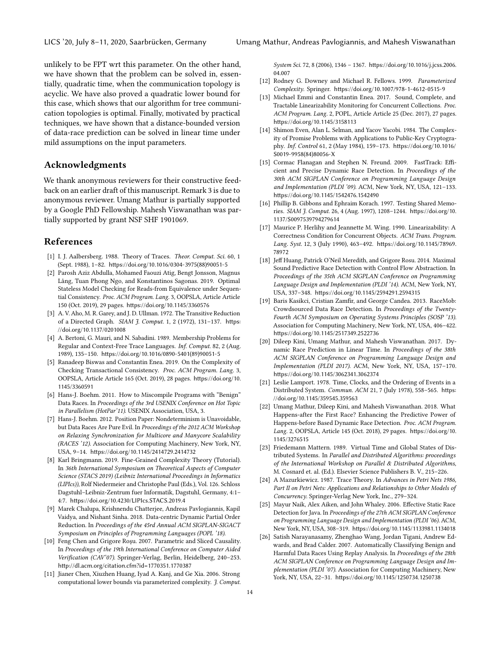unlikely to be FPT wrt this parameter. On the other hand, we have shown that the problem can be solved in, essentially, quadratic time, when the communication topology is acyclic. We have also proved a quadratic lower bound for this case, which shows that our algorithm for tree communication topologies is optimal. Finally, motivated by practical techniques, we have shown that a distance-bounded version of data-race prediction can be solved in linear time under mild assumptions on the input parameters.

# Acknowledgments

We thank anonymous reviewers for their constructive feedback on an earlier draft of this manuscript. Remark [3](#page-7-0) is due to anonymous reviewer. Umang Mathur is partially supported by a Google PhD Fellowship. Mahesh Viswanathan was partially supported by grant NSF SHF 1901069.

# References

- <span id="page-13-14"></span>[1] I. J. Aalbersberg. 1988. Theory of Traces. Theor. Comput. Sci. 60, 1 (Sept. 1988), 1–82. [https://doi.org/10.1016/0304-3975\(88\)90051-5](https://doi.org/10.1016/0304-3975(88)90051-5)
- <span id="page-13-22"></span>[2] Parosh Aziz Abdulla, Mohamed Faouzi Atig, Bengt Jonsson, Magnus Lång, Tuan Phong Ngo, and Konstantinos Sagonas. 2019. Optimal Stateless Model Checking for Reads-from Equivalence under Sequential Consistency. Proc. ACM Program. Lang. 3, OOPSLA, Article Article 150 (Oct. 2019), 29 pages. <https://doi.org/10.1145/3360576>
- <span id="page-13-25"></span>[3] A. V. Aho, M. R. Garey, and J. D. Ullman. 1972. The Transitive Reduction of a Directed Graph. SIAM J. Comput. 1, 2 (1972), 131–137. [https:](https://doi.org/10.1137/0201008) [//doi.org/10.1137/0201008](https://doi.org/10.1137/0201008)
- <span id="page-13-16"></span>[4] A. Bertoni, G. Mauri, and N. Sabadini. 1989. Membership Problems for Regular and Context-Free Trace Languages. Inf. Comput. 82, 2 (Aug. 1989), 135–150. [https://doi.org/10.1016/0890-5401\(89\)90051-5](https://doi.org/10.1016/0890-5401(89)90051-5)
- <span id="page-13-19"></span>[5] Ranadeep Biswas and Constantin Enea. 2019. On the Complexity of Checking Transactional Consistency. Proc. ACM Program. Lang. 3, OOPSLA, Article Article 165 (Oct. 2019), 28 pages. [https://doi.org/10.](https://doi.org/10.1145/3360591) [1145/3360591](https://doi.org/10.1145/3360591)
- <span id="page-13-0"></span>[6] Hans-J. Boehm. 2011. How to Miscompile Programs with "Benign" Data Races. In Proceedings of the 3rd USENIX Conference on Hot Topic in Parallelism (HotPar'11). USENIX Association, USA, 3.
- <span id="page-13-3"></span>[7] Hans-J. Boehm. 2012. Position Paper: Nondeterminism is Unavoidable, but Data Races Are Pure Evil. In Proceedings of the 2012 ACM Workshop on Relaxing Synchronization for Multicore and Manycore Scalability (RACES '12). Association for Computing Machinery, New York, NY, USA, 9–14. <https://doi.org/10.1145/2414729.2414732>
- <span id="page-13-21"></span>[8] Karl Bringmann. 2019. Fine-Grained Complexity Theory (Tutorial). In 36th International Symposium on Theoretical Aspects of Computer Science (STACS 2019) (Leibniz International Proceedings in Informatics (LIPIcs)), Rolf Niedermeier and Christophe Paul (Eds.), Vol. 126. Schloss Dagstuhl–Leibniz-Zentrum fuer Informatik, Dagstuhl, Germany, 4:1– 4:7. <https://doi.org/10.4230/LIPIcs.STACS.2019.4>
- <span id="page-13-13"></span>[9] Marek Chalupa, Krishnendu Chatterjee, Andreas Pavlogiannis, Kapil Vaidya, and Nishant Sinha. 2018. Data-centric Dynamic Partial Order Reduction. In Proceedings of the 45rd Annual ACM SIGPLAN-SIGACT Symposium on Principles of Programming Languages (POPL '18).
- <span id="page-13-8"></span>[10] Feng Chen and Grigore Roşu. 2007. Parametric and Sliced Causality. In Proceedings of the 19th International Conference on Computer Aided Verification (CAV'07). Springer-Verlag, Berlin, Heidelberg, 240–253. <http://dl.acm.org/citation.cfm?id=1770351.1770387>
- <span id="page-13-24"></span>[11] Jianer Chen, Xiuzhen Huang, Iyad A. Kanj, and Ge Xia. 2006. Strong computational lower bounds via parameterized complexity. J. Comput.

System Sci. 72, 8 (2006), 1346 – 1367. [https://doi.org/10.1016/j.jcss.2006.](https://doi.org/10.1016/j.jcss.2006.04.007) [04.007](https://doi.org/10.1016/j.jcss.2006.04.007)

- <span id="page-13-23"></span>[12] Rodney G. Downey and Michael R. Fellows. 1999. Parameterized Complexity. Springer. <https://doi.org/10.1007/978-1-4612-0515-9>
- <span id="page-13-17"></span>[13] Michael Emmi and Constantin Enea. 2017. Sound, Complete, and Tractable Linearizability Monitoring for Concurrent Collections. Proc. ACM Program. Lang. 2, POPL, Article Article 25 (Dec. 2017), 27 pages. <https://doi.org/10.1145/3158113>
- <span id="page-13-20"></span>[14] Shimon Even, Alan L. Selman, and Yacov Yacobi. 1984. The Complexity of Promise Problems with Applications to Public-Key Cryptography. Inf. Control 61, 2 (May 1984), 159–173. [https://doi.org/10.1016/](https://doi.org/10.1016/S0019-9958(84)80056-X) [S0019-9958\(84\)80056-X](https://doi.org/10.1016/S0019-9958(84)80056-X)
- <span id="page-13-5"></span>[15] Cormac Flanagan and Stephen N. Freund. 2009. FastTrack: Efficient and Precise Dynamic Race Detection. In Proceedings of the 30th ACM SIGPLAN Conference on Programming Language Design and Implementation (PLDI '09). ACM, New York, NY, USA, 121–133. <https://doi.org/10.1145/1542476.1542490>
- <span id="page-13-7"></span>[16] Phillip B. Gibbons and Ephraim Korach. 1997. Testing Shared Memories. SIAM J. Comput. 26, 4 (Aug. 1997), 1208–1244. [https://doi.org/10.](https://doi.org/10.1137/S0097539794279614) [1137/S0097539794279614](https://doi.org/10.1137/S0097539794279614)
- <span id="page-13-18"></span>[17] Maurice P. Herlihy and Jeannette M. Wing. 1990. Linearizability: A Correctness Condition for Concurrent Objects. ACM Trans. Program. Lang. Syst. 12, 3 (July 1990), 463–492. [https://doi.org/10.1145/78969.](https://doi.org/10.1145/78969.78972) [78972](https://doi.org/10.1145/78969.78972)
- <span id="page-13-9"></span>[18] Jeff Huang, Patrick O'Neil Meredith, and Grigore Rosu. 2014. Maximal Sound Predictive Race Detection with Control Flow Abstraction. In Proceedings of the 35th ACM SIGPLAN Conference on Programming Language Design and Implementation (PLDI '14). ACM, New York, NY, USA, 337–348. <https://doi.org/10.1145/2594291.2594315>
- <span id="page-13-1"></span>[19] Baris Kasikci, Cristian Zamfir, and George Candea. 2013. RaceMob: Crowdsourced Data Race Detection. In Proceedings of the Twenty-Fourth ACM Symposium on Operating Systems Principles (SOSP '13). Association for Computing Machinery, New York, NY, USA, 406–422. <https://doi.org/10.1145/2517349.2522736>
- <span id="page-13-11"></span>[20] Dileep Kini, Umang Mathur, and Mahesh Viswanathan. 2017. Dynamic Race Prediction in Linear Time. In Proceedings of the 38th ACM SIGPLAN Conference on Programming Language Design and Implementation (PLDI 2017). ACM, New York, NY, USA, 157–170. <https://doi.org/10.1145/3062341.3062374>
- <span id="page-13-10"></span>[21] Leslie Lamport. 1978. Time, Clocks, and the Ordering of Events in a Distributed System. Commun. ACM 21, 7 (July 1978), 558–565. [https:](https://doi.org/10.1145/359545.359563) [//doi.org/10.1145/359545.359563](https://doi.org/10.1145/359545.359563)
- <span id="page-13-12"></span>[22] Umang Mathur, Dileep Kini, and Mahesh Viswanathan. 2018. What Happens-after the First Race? Enhancing the Predictive Power of Happens-before Based Dynamic Race Detection. Proc. ACM Program. Lang. 2, OOPSLA, Article 145 (Oct. 2018), 29 pages. [https://doi.org/10.](https://doi.org/10.1145/3276515) [1145/3276515](https://doi.org/10.1145/3276515)
- <span id="page-13-6"></span>[23] Friedemann Mattern. 1989. Virtual Time and Global States of Distributed Systems. In Parallel and Distributed Algorithms: proceedings of the International Workshop on Parallel & Distributed Algorithms, M. Cosnard et. al. (Ed.). Elsevier Science Publishers B. V., 215–226.
- <span id="page-13-15"></span>[24] A Mazurkiewicz. 1987. Trace Theory. In Advances in Petri Nets 1986, Part II on Petri Nets: Applications and Relationships to Other Models of Concurrency. Springer-Verlag New York, Inc., 279–324.
- <span id="page-13-4"></span>[25] Mayur Naik, Alex Aiken, and John Whaley. 2006. Effective Static Race Detection for Java. In Proceedings of the 27th ACM SIGPLAN Conference on Programming Language Design and Implementation (PLDI '06). ACM, New York, NY, USA, 308–319. <https://doi.org/10.1145/1133981.1134018>
- <span id="page-13-2"></span>[26] Satish Narayanasamy, Zhenghao Wang, Jordan Tigani, Andrew Edwards, and Brad Calder. 2007. Automatically Classifying Benign and Harmful Data Races Using Replay Analysis. In Proceedings of the 28th ACM SIGPLAN Conference on Programming Language Design and Implementation (PLDI '07). Association for Computing Machinery, New York, NY, USA, 22–31. <https://doi.org/10.1145/1250734.1250738>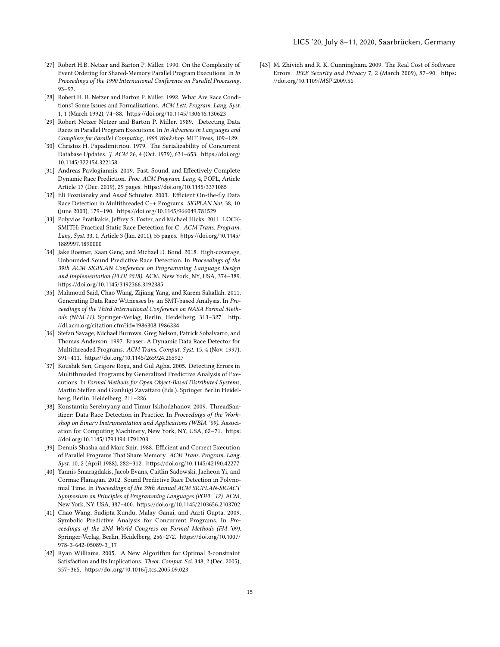#### LICS '20, July 8–11, 2020, Saarbrücken, Germany

- <span id="page-14-4"></span>[27] Robert H.B. Netzer and Barton P. Miller. 1990. On the Complexity of Event Ordering for Shared-Memory Parallel Program Executions. In In Proceedings of the 1990 International Conference on Parallel Processing. 93–97.
- [28] Robert H. B. Netzer and Barton P. Miller. 1992. What Are Race Conditions? Some Issues and Formalizations. ACM Lett. Program. Lang. Syst. 1, 1 (March 1992), 74–88. <https://doi.org/10.1145/130616.130623>
- <span id="page-14-5"></span>[29] Robert Netzer Netzer and Barton P. Miller. 1989. Detecting Data Races in Parallel Program Executions. In In Advances in Languages and Compilers for Parallel Computing, 1990 Workshop. MIT Press, 109–129.
- <span id="page-14-13"></span>[30] Christos H. Papadimitriou. 1979. The Serializability of Concurrent Database Updates. J. ACM 26, 4 (Oct. 1979), 631–653. [https://doi.org/](https://doi.org/10.1145/322154.322158) [10.1145/322154.322158](https://doi.org/10.1145/322154.322158)
- <span id="page-14-10"></span>[31] Andreas Pavlogiannis. 2019. Fast, Sound, and Effectively Complete Dynamic Race Prediction. Proc. ACM Program. Lang. 4, POPL, Article Article 17 (Dec. 2019), 29 pages. <https://doi.org/10.1145/3371085>
- <span id="page-14-2"></span>[32] Eli Pozniansky and Assaf Schuster. 2003. Efficient On-the-fly Data Race Detection in Multithreaded C++ Programs. SIGPLAN Not. 38, 10 (June 2003), 179–190. <https://doi.org/10.1145/966049.781529>
- <span id="page-14-1"></span>[33] Polyvios Pratikakis, Jeffrey S. Foster, and Michael Hicks. 2011. LOCK-SMITH: Practical Static Race Detection for C. ACM Trans. Program. Lang. Syst. 33, 1, Article 3 (Jan. 2011), 55 pages. [https://doi.org/10.1145/](https://doi.org/10.1145/1889997.1890000) [1889997.1890000](https://doi.org/10.1145/1889997.1890000)
- <span id="page-14-11"></span>[34] Jake Roemer, Kaan Genç, and Michael D. Bond. 2018. High-coverage, Unbounded Sound Predictive Race Detection. In Proceedings of the 39th ACM SIGPLAN Conference on Programming Language Design and Implementation (PLDI 2018). ACM, New York, NY, USA, 374–389. <https://doi.org/10.1145/3192366.3192385>
- <span id="page-14-7"></span>[35] Mahmoud Said, Chao Wang, Zijiang Yang, and Karem Sakallah. 2011. Generating Data Race Witnesses by an SMT-based Analysis. In Proceedings of the Third International Conference on NASA Formal Methods (NFM'11). Springer-Verlag, Berlin, Heidelberg, 313–327. [http:](http://dl.acm.org/citation.cfm?id=1986308.1986334) [//dl.acm.org/citation.cfm?id=1986308.1986334](http://dl.acm.org/citation.cfm?id=1986308.1986334)
- <span id="page-14-3"></span>[36] Stefan Savage, Michael Burrows, Greg Nelson, Patrick Sobalvarro, and Thomas Anderson. 1997. Eraser: A Dynamic Data Race Detector for Multithreaded Programs. ACM Trans. Comput. Syst. 15, 4 (Nov. 1997), 391–411. <https://doi.org/10.1145/265924.265927>
- <span id="page-14-6"></span>[37] Koushik Sen, Grigore Roşu, and Gul Agha. 2005. Detecting Errors in Multithreaded Programs by Generalized Predictive Analysis of Executions. In Formal Methods for Open Object-Based Distributed Systems, Martin Steffen and Gianluigi Zavattaro (Eds.). Springer Berlin Heidelberg, Berlin, Heidelberg, 211–226.
- <span id="page-14-9"></span>[38] Konstantin Serebryany and Timur Iskhodzhanov. 2009. ThreadSanitizer: Data Race Detection in Practice. In Proceedings of the Workshop on Binary Instrumentation and Applications (WBIA '09). Association for Computing Machinery, New York, NY, USA, 62–71. [https:](https://doi.org/10.1145/1791194.1791203) [//doi.org/10.1145/1791194.1791203](https://doi.org/10.1145/1791194.1791203)
- <span id="page-14-14"></span>[39] Dennis Shasha and Marc Snir. 1988. Efficient and Correct Execution of Parallel Programs That Share Memory. ACM Trans. Program. Lang. Syst. 10, 2 (April 1988), 282–312. <https://doi.org/10.1145/42190.42277>
- <span id="page-14-12"></span>[40] Yannis Smaragdakis, Jacob Evans, Caitlin Sadowski, Jaeheon Yi, and Cormac Flanagan. 2012. Sound Predictive Race Detection in Polynomial Time. In Proceedings of the 39th Annual ACM SIGPLAN-SIGACT Symposium on Principles of Programming Languages (POPL '12). ACM, New York, NY, USA, 387–400. <https://doi.org/10.1145/2103656.2103702>
- <span id="page-14-8"></span>[41] Chao Wang, Sudipta Kundu, Malay Ganai, and Aarti Gupta. 2009. Symbolic Predictive Analysis for Concurrent Programs. In Proceedings of the 2Nd World Congress on Formal Methods (FM '09). Springer-Verlag, Berlin, Heidelberg, 256–272. [https://doi.org/10.1007/](https://doi.org/10.1007/978-3-642-05089-3_17) [978-3-642-05089-3\\_17](https://doi.org/10.1007/978-3-642-05089-3_17)
- <span id="page-14-15"></span>[42] Ryan Williams. 2005. A New Algorithm for Optimal 2-constraint Satisfaction and Its Implications. Theor. Comput. Sci. 348, 2 (Dec. 2005), 357–365. <https://doi.org/10.1016/j.tcs.2005.09.023>

<span id="page-14-0"></span>[43] M. Zhivich and R. K. Cunningham. 2009. The Real Cost of Software Errors. IEEE Security and Privacy 7, 2 (March 2009), 87–90. [https:](https://doi.org/10.1109/MSP.2009.56) [//doi.org/10.1109/MSP.2009.56](https://doi.org/10.1109/MSP.2009.56)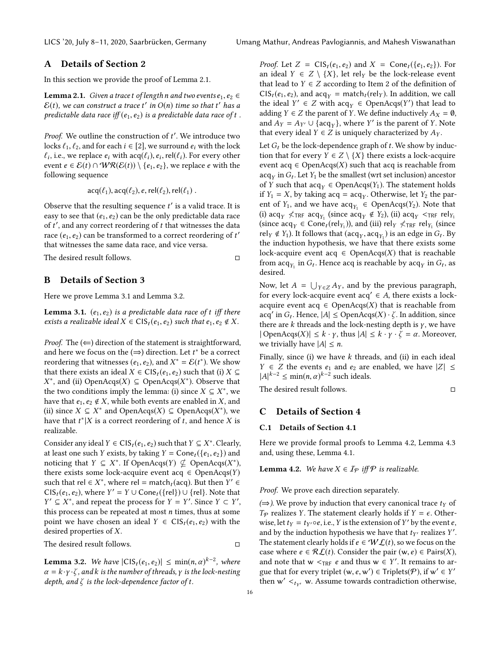# <span id="page-15-0"></span>A Details of Section [2](#page-2-1)

In this section we provide the proof of Lemma [2.1.](#page-3-0)

**Lemma 2.1.** Given a trace t of length n and two events  $e_1, e_2 \in$  $\mathcal{E}(t)$ , we can construct a trace  $t'$  in  $O(n)$  time so that  $t'$  has a predictable data race of t predictable data race iff  $(e_1, e_2)$  is a predictable data race of t.

*Proof.* We outline the construction of t'. We introduce two locks  $f_1, f_2$  and for each  $i \in [2]$  we surround e, with the lock locks  $\ell_1, \ell_2$ , and for each  $i \in [2]$ , we surround  $e_i$  with the lock event  $e \in \mathcal{E}(t) \cap \mathcal{WR}(\mathcal{E}(t)) \setminus \{e_1, e_2\}$ , we replace e with the following sequence , i.e., we replace  $e_i$  with  $\text{acq}(\ell_i), e_i, \text{rel}(\ell_i)$ . For every other  $e \in \mathcal{E}(t) \cap \text{WR}(\mathcal{E}(t)) \setminus \{e_i, e_2\}$ , we replace e with the following sequence

$$
acq(\ell_1), acq(\ell_2), e, rel(\ell_2), rel(\ell_1).
$$

Observe that the resulting sequence  $t'$  is a valid trace. It is easy to see that  $(e, e_0)$  can be the only predictable data race easy to see that  $(e_1, e_2)$  can be the only predictable data race of t', and any correct reordering of t that witnesses the data<br>race  $(e, e_2)$  can be transformed to a correct reordering of t' race  $(e_1, e_2)$  can be transformed to a correct reordering of  $t'$ <br>that witnesses the same data race, and vice versa that witnesses the same data race, and vice versa.

The desired result follows. □

## B Details of Section [3](#page-5-0)

Here we prove Lemma [3.1](#page-6-1) and Lemma [3.2.](#page-6-3)

**Lemma 3.1.**  $(e_1, e_2)$  is a predictable data race of t iff there exists a realizable ideal  $X \in \text{CIS}_t(e_1, e_2)$  such that  $e_1, e_2 \notin X$ .

*Proof.* The  $(\Leftarrow)$  direction of the statement is straightforward, and here we focus on the  $(\Rightarrow)$  direction. Let  $t^*$  be a correct reordering that witnesses  $(e, e_0)$  and  $Y^* = E(t^*)$ . We show reordering that witnesses  $(e_1, e_2)$ , and  $X^* = \mathcal{E}(t^*)$ . We show<br>that there exists an ideal  $X \in \mathcal{C}(\mathcal{S}, (e, e_2))$  such that (i)  $X \subset$ that there exists an ideal  $X \in \text{CIS}_t(e_1, e_2)$  such that (i)  $X \subseteq$ the two conditions imply the lemma: (i) since  $X \subseteq X^*$ , we have that e. e.  $\notin X$  while both events are enabled in X and <sup>\*</sup>, and (ii) OpenAcqs(*X*) ⊆ OpenAcqs(*X*<sup>\*</sup>). Observe that  $\bullet$  two conditions imply the lemma; (i) since *X* ⊂ *X*<sup>\*</sup> we have that  $e_1, e_2 \notin X$ , while both events are enabled in X, and (ii) since  $X \subseteq X^*$  and OpenAcqs $(X) \subseteq$  OpenAcqs $(X^*)$ , we have that  $t^*|X$  is a correct reordering of t and hence X is have that  $t^*|X$  is a correct reordering of t, and hence X is realizable. realizable.

Consider any ideal  $Y \in \text{CIS}_t(e_1, e_2)$  such that  $Y \subseteq X^*$ . Clearly,<br>at least one such X exists by taking  $Y = \text{Cone}_t(f_{e_1}, e_2)$  and at least one such Y exists, by taking  $Y = Cone_t({e_1, e_2})$  and noticing that  $Y \subseteq X^*$ . If OpenAcqs(Y)  $\nsubseteq$  OpenAcqs(X<sup>\*</sup>),<br>there exists some lock-acquire event acq.  $\in$  OpenAcqs(Y) there exists some lock-acquire event acq  $\in$  OpenAcqs(Y) such that rel  $\in X^*$ , where rel = match<sub>t</sub> (acq). But then  $Y' \in$ <br>CIS. (e, e), where  $Y' = Y \cup$ Cone (*frel*)  $\cup$  frel). Note that CIS<sub>t</sub>(e<sub>1</sub>, e<sub>2</sub>), where  $Y' = Y \cup Cone_t({\{rel\}}) \cup {\{rel\}}$ . Note that  $Y' \subset X^*$  and repeat the process for  $Y = Y'$  Since  $Y \subset Y'$ . this process can be repeated at most *n* times, thus at some<br>point we have chosen an ideal  $Y \in \text{CS}(e, e_0)$  with the  $\prime \subseteq X^*$ , and repeat the process for  $Y = Y'$ . Since  $Y \subset Y'$ , since  $Y \subset Y'$ , since see an he repeated at most *n* times, thus at some point we have chosen an ideal  $Y \in \text{CIS}_t(e_1, e_2)$  with the desired properties of X.

The desired result follows. □

**Lemma 3.2.** We have  $|C|S_t(e_1, e_2)| \le \min(n, \alpha)^{k-2}$ , where  $\alpha = k, \nu, \lambda$  and k is the number of threads  $\nu$  is the lock-nesting  $\alpha = k \cdot y \cdot \zeta$ , and k is the number of threads, y is the lock-nesting depth, and  $\zeta$  is the lock-dependence factor of t.

*Proof.* Let  $Z = \text{CIS}_t(e_1, e_2)$  and  $X = \text{Cone}_t(\{e_1, e_2\})$ . For an ideal  $Y \in Z \setminus \{X\}$ , let rel<sub>Y</sub> be the lock-release event that lead to  $Y \in Z$  according to Item [2](#page-6-0) of the definition of  $CIS_t(e_1, e_2)$ , and  $acq_y = match_t (rel_y)$ . In addition, we call the ideal  $Y' \in Z$  with  $\text{acq}_Y \in \text{OpenAcqs}(Y')$  that lead to adding  $Y \in Z$  the parent of  $Y$ . We define inductively  $A_Y = \emptyset$ adding  $Y \in Z$  the parent of Y. We define inductively  $A_X = \emptyset$ , and  $A_Y = A_{Y'} \cup \{acq_Y\}$ , where Y' is the parent of Y. Note<br>that every ideal  $Y \in Z$  is uniquely characterized by  $A_{Y}$ that every ideal  $Y \in Z$  is uniquely characterized by  $A_Y$ .

Let  $G_t$  be the lock-dependence graph of t. We show by induction that for every  $Y \in Z \setminus \{X\}$  there exists a lock-acquire event acq  $\in$  OpenAcqs(X) such that acq is reachable from  $\arg \inf_{\mathbf{G}_t} G_t$ . Let  $Y_1$  be the smallest (wrt set inclusion) ancestor  $\inf_{\mathbf{G}_t} Y$  such that  $\arg \in \text{Open} \text{A}\text{cos}(Y)$ . The statement holds of Y such that  $acq_y \in \text{OpenAcqs}(Y_1)$ . The statement holds<br>if  $Y_1 - Y_2$  by taking  $acq = 2ca$ . Otherwise, let  $Y_2$  the parif  $Y_1 = X$ , by taking  $\text{acq} = \text{acq}_Y$ . Otherwise, let  $Y_2$  the par-<br>ent of  $Y_2$  and we have assumed consequent of  $Y_1$  and we have ent of  $Y_1$ , and we have  $\text{acq}_{Y_1} \in \text{OpenAcqs}(Y_2)$ . Note that<br>(i)  $\text{acq}_{Y_1} \neq \text{cq}_{Y_1} \neq \text{cq}_{Y_2} \neq \text{cq}_{Y_1} \neq \text{cq}_{Y_2} \neq \text{cq}_{Y_1} \neq \text{cq}_{Y_2} \neq \text{cq}_{Y_1} \neq \text{cq}_{Y_2} \neq \text{cq}_{Y_1} \neq \text{cq}_{Y_2} \neq \text{cq}_{Y_1}$ (i)  $\arg Y \nless TRF$   $\arg Y_1$  (since  $\arg Y_2$ ), (ii)  $\arg Y_2$   $\arg Y_3$  (iii)  $\arg Y_4$ (since  $\text{acq}_Y \in \text{Cone}_t(\text{rel}_{Y_1})$ ), and (iii)  $\text{rel}_Y \nleq \text{rRF} \text{rel}_{Y_1}$  (since  $\text{rel}_{Y_1} \notin Y_1$ ). It follows that (200, 200, ) is an edge in G. By rel<sub>Y</sub>  $\notin Y_1$ ). It follows that  $(\text{acq}_Y, \text{acq}_{Y_1})$  is an edge in  $G_t$ . By the induction hypothesis, we have that there exists some lock-acquire event acq  $\in$  OpenAcqs(X) that is reachable from  $\operatorname{acq}_{Y_1}$  in  $G_t$ . Hence acq is reachable by  $\operatorname{acq}_Y$  in  $G_t$ , as desired desired.

Now, let  $A = \bigcup_{Y \in \mathbb{Z}} A_Y$ , and by the previous paragraph,<br>for every lock-acquire event acq'  $\in A$ , there exists a lockfor every lock-acquire event  $acq' \in A$ , there exists a lockacquire event acq  $\in$  OpenAcqs(X) that is reachable from  $\text{acq}'$  in  $G_t$ . Hence,  $|A| \leq \text{OpenAcqs}(X) \cdot \zeta$ . In addition, since there are k threads and the lock-nesting denth is  $\chi$ , we have there are  $k$  threads and the lock-nesting depth is  $\gamma$ , we have  $|\text{OpenAcqs}(X)| \leq k \cdot \gamma$ , thus  $|A| \leq k \cdot \gamma \cdot \zeta = \alpha$ . Moreover, we trivially have  $|A| \leq n$ .

Finally, since  $(i)$  we have  $k$  threads, and  $(ii)$  in each ideal *Y* ∈ *Z* the events  $e_1$  and  $e_2$  are enabled, we have  $|Z|$  ≤  $|A|^{k-2} \le \min(n, \alpha)^{k-2}$  such ideals.

The desired result follows. □

## C Details of Section [4](#page-6-5)

## <span id="page-15-1"></span>C.1 Details of Section [4.1](#page-6-6)

Here we provide formal proofs to Lemma [4.2,](#page-6-7) Lemma [4.3](#page-6-8) and, using these, Lemma [4.1.](#page-6-2)

**Lemma 4.2.** We have  $X \in I_{\mathcal{P}}$  iff  $\mathcal{P}$  is realizable.

Proof. We prove each direction separately.

( $\Rightarrow$ ). We prove by induction that every canonical trace t<sub>Y</sub> of  $T_P$  realizes Y. The statement clearly holds if  $Y = \epsilon$ . Otherwise, let  $t_Y = t_{Y'} \circ e$ , i.e., Y is the extension of Y' by the event  $e$ , and by the induction by pothesis we have that  $t_W$  realizes  $Y'$ . and by the induction hypothesis we have that  $t_{Y'}$  realizes Y'.<br>The statement clearly holds if  $e \in W$   $\Gamma(t)$  so we focus on the The statement clearly holds if  $e \in \mathcal{WL}(t)$ , so we focus on the case where  $e \in \mathcal{RL}(t)$ . Consider the pair  $(w, e) \in \text{Pairs}(X)$ , and note that  $w <_{TRF} e$  and thus  $w \in Y'$ . It remains to ar-<br>que that for every triplet  $(w, e, w') \in$  Triplets( $\mathcal{P}$ ) if  $w' \in Y'$ . gue that for every triplet  $(w, e, w') \in \text{Triplets}(\mathcal{P})$ , if  $w' \in Y'$ <br>then  $w' \leq w$  Assume towards contradiction otherwise then  $w' <_{t_{Y'}} w$ . Assume towards contradiction otherwise,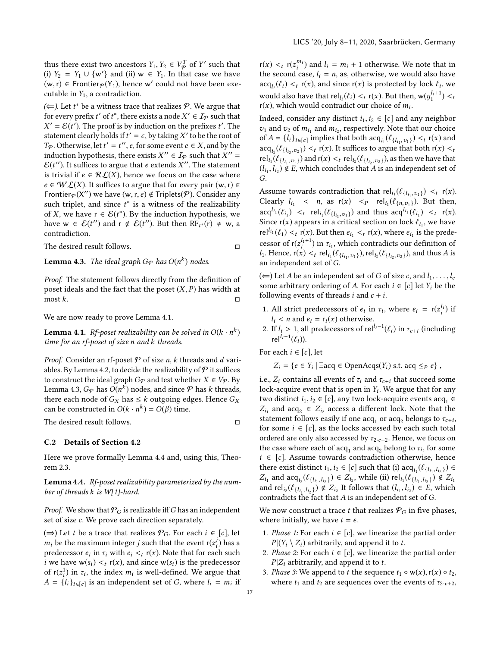thus there exist two ancestors  $Y_1, Y_2 \in V_p^T$  of Y' such that<br>(i)  $Y_2 - Y_1 + \{w'\}$  and (ii)  $w \in Y$ . In that case we have (i)  $Y_2 = Y_1 \cup \{w'\}$  and (ii)  $w \in Y_1$ . In that case we have  $(w, r) \in$  Frontier<sub> $x(Y_1)$ </sub> hence  $w'$  could not have been exectly  $(w, r)$  ∈ Frontier $\varphi$ (Y<sub>1</sub>), hence w' could not have been executable in *Y*<sub>2</sub> a contradiction cutable in  $Y_1$ , a contradiction.

( $\Leftarrow$ ). Let  $t^*$  be a witness trace that realizes  $P$ . We argue that for every prefix  $t'$  of  $t^*$  there exists a node  $X' \in I_2$  such that for every prefix t' of t<sup>\*</sup>, there exists a node  $X' \in I_{\mathcal{P}}$  such that  $X' = \mathcal{E}(t')$ . The proof is by induction on the prefixes t'. The statement clearly holds if  $t' = \epsilon$ , by taking X' to be the root of  $T_{\infty}$ . Otherwise, let  $t' = t''$ , e. for some event  $e \in X$ , and by the  $\mathcal{E}' = \mathcal{E}(t')$ . The proof is by induction on the prefixes t'. The stement clearly holds if  $t' = \epsilon$  by taking  $Y'$  to be the root of  $T_p$ . Otherwise, let  $t' = t''$ ,  $e$ , for some event  $e \in X$ , and by the induction by nothesis, there exists  $X'' \in \mathcal{I}_p$  such that  $X'' =$ induction hypothesis, there exists  $X'' \in \mathcal{I}_P$  such that  $X'' = \mathcal{E}(t'')$ . It suffices to argue that e extends  $X''$ . The statement  $\mathcal{E}(t'')$ . It suffices to argue that e extends X''. The statement<br>is trivial if  $e \in \mathcal{R} f(X)$  hence we focus on the case where is trivial if  $e \in \mathcal{RL}(X)$ , hence we focus on the case where  $e \in \mathcal{WL}(X)$ . It suffices to argue that for every pair  $(w, r) \in$ Frontier  $p(X'')$  we have  $(w, r, e) \notin$  Triplets( $P$ ). Consider any such triplet and since  $t^*$  is a witness of the realizability such triplet, and since  $t^*$  is a witness of the realizability<br>of X we have  $r \in \mathcal{E}(t^*)$ . By the induction hypothesis we of X, we have  $r \in \mathcal{E}(t^*)$ . By the induction hypothesis, we have  $w \in \mathcal{E}(t'')$  and  $r \notin \mathcal{E}(t'')$ . But then  $RE_v(r) \neq w \neq$ have  $w \in \mathcal{E}(t'')$  and  $r \notin \mathcal{E}(t'')$ . But then  $RF_{t^*}(r) \neq w$ , a contradiction contradiction.

The desired result follows. □

**Lemma 4.3.** The ideal graph G<sub>P</sub> has  $O(n^k)$  nodes.

Proof. The statement follows directly from the definition of poset ideals and the fact that the poset  $(X, P)$  has width at most  $k$ .  $\Box$  most k.  $\Box$ 

We are now ready to prove Lemma [4.1.](#page-6-2)

**Lemma 4.1.** Rf-poset realizability can be solved in  $O(k \cdot n^k)$ <br>time for an rf-poset of size n and k threads time for an rf-poset of size n and k threads.

*Proof.* Consider an rf-poset  $P$  of size n, k threads and d vari-ables. By Lemma [4.2,](#page-6-7) to decide the realizability of  $\mathcal P$  it suffices to construct the ideal graph  $G_{\mathcal{P}}$  and test whether  $X \in V_{\mathcal{P}}$ . By Lemma [4.3,](#page-6-8)  $G_{\mathcal{P}}$  has  $O(n^k)$  nodes, and since  $\mathcal P$  has k threads,<br>there each node of  $G_{\mathcal{P}}$  has  $\lt k$  outgoing edges. Hence  $G_{\mathcal{P}}$ there each node of  $G_X$  has  $\leq k$  outgoing edges. Hence  $G_X$ can be constructed in  $O(k \cdot n^k) = O(\beta)$  time.

The desired result follows. □

#### <span id="page-16-0"></span>C.2 Details of Section [4.2](#page-6-9)

Here we prove formally Lemma [4.4](#page-6-4) and, using this, Theorem [2.3.](#page-4-4)

**Lemma 4.4.** Rf-poset realizability parameterized by the number of threads k is W[1]-hard.

*Proof.* We show that  $P_G$  is realizable iff G has an independent set of size c. We prove each direction separately.

(⇒) Let *t* be a trace that realizes  $P_G$ . For each *i* ∈ [*c*], let  $m_i$  be the maximum integer j such that the event  $r(z_i^j)$  has a predecessor eximination  $z_i$ ,  $r(x)$ . Note that for each such predecessor  $e_i$  in  $\tau_i$  with  $e_i \leq r(\tau)$ . Note that for each such integration is the predecessor *i* we have  $w(s_i) <_t r(x)$ , and since  $w(s_i)$  is the predecessor of  $r(z_i^1)$  in  $\tau_i$ , the index  $m_i$  is well-defined. We argue that  $A = IL$ ,  $\tau_i$  is an independent set of G, where  $L_i = m_i$  if  $A = \{l_i\}_{i \in [c]}$  is an independent set of G, where  $l_i = m_i$  if

 $r(x) <_t r(z_i^{m_i})$  and  $l_i = m_i + 1$  otherwise. We note that in the second case  $l_i - n$  as otherwise, we would also have the second case,  $l_i = n$ , as, otherwise, we would also have  $\sum_{i=1}^{n} (l_i) \leq r(x)$  and since  $r(x)$  is protected by lock  $l_i$ , we  $\text{acq}_{i_l}(\ell_i) \leq t$  r(x), and since r(x) is protected by lock  $\ell_i$ , we would also have that  $rel_{l_i}(\ell_i) <_t r(x)$ . But then,  $w(y_1^{l_1+1}) <_t r(x)$ , which would contradict our choice of m.  $r(x)$ , which would contradict our choice of  $m_i$ .

Indeed, consider any distinct  $i_1, i_2 \in [c]$  and any neighbor  $v_1$  and  $v_2$  of  $m_{i_1}$  and  $m_{i_2}$ , respectively. Note that our choice<br>of  $A = IL_{i_1}$  implies that both assault  $(u_1, \ldots) \leq u(x)$  and of  $A = \{l_i\}_{i \in [c]}$  implies that both  $acq_{i_1}(\ell_{\{l_1, v_1\}}) < t$  (x) and<br>  $\sum_{i=1}^{\infty} f(x)$ . It suffices to argue that both  $r(x) < t$  $\arg\left(\ell_{\{l_1, v_2\}}\right) < r(x)$ . It suffices to argue that both  $r(x) < t$ <br>  $\arg\left(\ell_{\{l_1, v_2\}}\right) < r(x)$ . It suffices to argue that both  $r(x) < t$ rel<sub>i1</sub>( $\ell_{\{l_1, v_1\}}$ ) and  $r(x) <_t$  rel<sub>i2</sub>( $\ell_{\{l_2, v_2\}}$ ), as then we have that<br>(1, 1, )  $\notin$  F, which concludes that A is an independent set of  $(l_1, l_2) \notin \overline{E}$ , which concludes that A is an independent set of G.

Assume towards contradiction that  $rel_i(\ell_{\{l_1, v_1\}}) <_t r(x)$ .<br>Closely  $l_i \leq r$ , so  $r(x) \leq r$ , reli $(\ell_i)$ . But then Clearly  $l_{i_1} < n$ , as  $r(x) < p$  rel<sub>i1</sub>( $\ell_{\{n,v_1\}}$ ). But then,  $\text{arg}^{l_{i_1}}(\ell_{i_1}) \leq t \text{ rel}_{i_1}(\ell_{\{l_{i_1}, v_1\}})$  and thus  $\text{arg}^{l_{i_1}}(\ell_{i_1}) \leq t \text{ r}(x)$ .<br>Since  $\text{r}(x)$  appears in a critical section on lock  $\ell_1$ , we have Since  $r(x)$  appears in a critical section on lock  $\ell_{i_1}$ , we have rel<sup> $l_{i_1}(\ell_1) <_t r(x)$ </sup>. But then  $e_{i_1} <_t r(x)$ , where  $e_{i_1}$  is the prede-<br>cases of  $u(e^{l_1+1})$  in a unkigh sentualized cum definition of cessor of  $r(z_i^{l_1+1})$  in  $\tau_{i_1}$ , which contradicts our definition of  $l_1$ . Hence  $r(x) \leq r e l_1(\ell_1, \ldots)$  rel.  $(\ell_1, \ldots)$  and thus A is  $l_1$ . Hence,  $r(x) <_t r \text{el}_{i_1}(\ell_{\{l_{i_1}, v_1\}})$ ,  $rel_{i_2}(\ell_{\{l_{i_2}, v_2\}})$ , and thus A is an independent set of G.

(∈) Let *A* be an independent set of *G* of size *c*, and  $l_1, \ldots, l_c$ some arbitrary ordering of A. For each  $i \in [c]$  let  $Y_i$  be the following events of threads *i* and  $c + i$ .

- 1. All strict predecessors of  $e_i$  in  $\tau_i$ , where  $e_i = r(z_i^{l_i})$  if  $l_i \leq n$  and  $e_i = r_i(\tau)$  otherwise  $l_i$  < *n* and  $e_i$  =  $r_i(x)$  otherwise.
- 2. If  $l_i > 1$ , all predecessors of rel<sup> $l_i-1$ </sup>( $\ell_i$ ) in  $\tau_{c+i}$  (including relatively) rel<sup>l<sub>i</sub>-1</sup>( $\ell_i$ )).

For each  $i \in [c]$ , let

 $Z_i = \{e \in Y_i \mid \exists acq \in OpenAcqs(Y_i) \text{ s.t. } acq \leq_P e\},\$ 

i.e.,  $Z_i$  contains all events of  $\tau_i$  and  $\tau_{c+i}$  that succeed some lock-acquire event that is open in  $Y_i$ . We argue that for any two lock-acquire events as  $a_i \in \mathbb{R}$  any two lock-acquire events as  $a_i \in \mathbb{R}$ two distinct  $i_1, i_2 \in [c]$ , any two lock-acquire events acq<sub>1</sub>  $\in$  Z, and acq<sub>1</sub>  $\in$  Z, access a different lock. Note that the  $Z_{t_1}$  and  $\deg_2 \in \mathbb{Z}_{t_2}$  access a unified for some  $\tau_{c+i}$ ,<br>statement follows easily if one  $\arg_1$  or  $\arg_2$  belongs to  $\tau_{c+i}$ ,<br>for some  $i \in [c]$  as the locks accessed by each such total and  $acq_2 \in Z_{i_2}$  access a different lock. Note that the ement follows easily if one acquainted and helongs to  $\tau$ . for some  $i \in [c]$ , as the locks accessed by each such total ordered are only also accessed by  $\tau_{2\cdot c+2}$ . Hence, we focus on the case where each of  $acq_1$  and  $acq_2$  belong to  $\tau_i$ , for some  $i \in [c]$ . Assume towards contradiction otherwise, hence  $i \in [c]$ . Assume towards contradiction otherwise, hence there exist distinct  $i_1, i_2 \in [c]$  such that (i)  $\text{acq}_{i_1}(\ell_{\{i_1, i_2\}}) \in$ <br>  $\mathbb{Z}_2$  and  $\text{acq}_{i_1}(\ell_{\{i_1, i_2\}}) \in \mathbb{Z}_2$  while (ii)  $\text{col}(\ell_{\{i_1, i_2\}}) \notin \mathbb{Z}_2$ and  $acq_{i_2}(\ell_{\{l_{i_1},l_{i_2}\}}) \in Z_{i_2}$ , while (ii)  $rel_{i_1}(\ell_{\{l_{i_1},l_{i_2}\}}) \notin Z_{i_1}$ <br>rel.  $(\ell_{\{l_{i_1},l_{i_2}\}}) \notin Z$ . It follows that  $(l, l) \in E$  which  $Z_{l_1}$  and  $rel_{l_2}(e_{\{l_{i_1},l_{i_2}\}}) \notin Z_{l_2}$  It follows that  $(l_{i_1},l_{i_2}) \in E$ , which<br>contradicts the fact that A is an independent set of C ,li2 ,li<sup>2</sup> contradicts the fact that A is an independent set of G.

We now construct a trace t that realizes  $P_G$  in five phases, where initially, we have  $t = \epsilon$ .

- 1. Phase 1: For each  $i \in [c]$ , we linearize the partial order  $P | (Y_i \setminus Z_i)$  arbitrarily, and append it to t.
- <span id="page-16-1"></span>2. Phase 2: For each  $i \in [c]$ , we linearize the partial order  $P|Z_i$  arbitrarily, and append it to t.
- 3. *Phase 3*: We append to t the sequence  $t_1 \circ w(x)$ ,  $r(x) \circ t_2$ , where  $t_1$  and  $t_2$  are sequences over the events of  $\tau_{2\cdot c+2}$ ,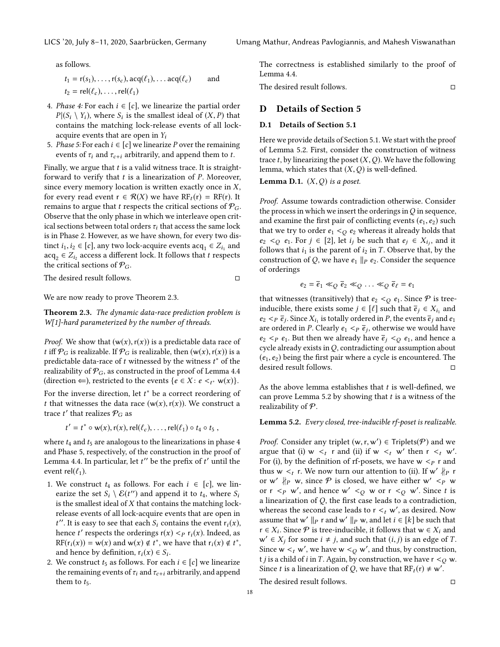as follows.

$$
t_1 = r(s_1), \dots, r(s_c), \text{acq}(\ell_1), \dots \text{acq}(\ell_c) \quad \text{and} \quad t_2 = \text{rel}(\ell_c), \dots, \text{rel}(\ell_1)
$$

- <span id="page-17-1"></span>4. Phase 4: For each  $i \in [c]$ , we linearize the partial order  $P|(S_i \setminus Y_i)$ , where  $S_i$  is the smallest ideal of  $(X, P)$  that contains the matching lock-release events of all lockcontains the matching lock-release events of all lockacquire events that are open in  $Y_i$
- <span id="page-17-2"></span>5. Phase 5: For each  $i \in [c]$  we linearize P over the remaining events of  $\tau_i$  and  $\tau_{c+i}$  arbitrarily, and append them to t.

Finally, we argue that  $t$  is a valid witness trace. It is straightforward to verify that  $t$  is a linearization of  $P$ . Moreover, since every memory location is written exactly once in  $X$ , for every read event  $r \in \mathcal{R}(X)$  we have  $RF_t(r) = RF(r)$ . It remains to argue that t respects the critical sections of  $P_G$ . Observe that the only phase in which we interleave open critical sections between total orders  $\tau_i$  that access the same lock is in Phase [2.](#page-16-1) However, as we have shown, for every two distinct  $i_1, i_2 \in [c]$ , any two lock-acquire events  $acq_1 \in Z_{i_1}$  and  $acq_2 \in Z_{i_2}$  access a different lock. It follows that t respects acq<sub>2</sub> ∈  $Z_{i_2}$  access a different lock. It follows that t respects<br>the critical sections of  $\mathcal{P}_\Omega$ the critical sections of  $P_G$ .

The desired result follows. □

We are now ready to prove Theorem [2.3.](#page-4-4)

Theorem 2.3. The dynamic data-race prediction problem is W[1]-hard parameterized by the number of threads.

*Proof.* We show that  $(w(x), r(x))$  is a predictable data race of t iff  $\mathcal{P}_G$  is realizable. If  $\mathcal{P}_G$  is realizable, then  $(w(x), r(x))$  is a predictable data-race of t witnessed by the witness  $t^*$  of the realizability of  $\mathcal{P}_{\alpha}$  as constructed in the proof of Lemma 4.4 realizability of  $P_G$ , as constructed in the proof of Lemma [4.4](#page-6-4) (direction  $\Leftarrow$ ), restricted to the events  $\{e \in X : e \leq t^* \leq w(x)\}.$ 

For the inverse direction, let  $t^*$  be a correct reordering of  $t$  that witnesses the data race  $(w(x), r(x))$ . We construct a t that witnesses the data race  $(w(x), r(x))$ . We construct a trace  $t'$  that realizes  $\mathcal{P}_G$  as

$$
t' = t^* \circ w(x), r(x), rel(\ell_c), \ldots, rel(\ell_1) \circ t_4 \circ t_5,
$$

where  $t_4$  and  $t_5$  are analogous to the linearizations in phase [4](#page-17-1) and Phase [5,](#page-17-2) respectively, of the construction in the proof of Lemma [4.4.](#page-6-4) In particular, let  $t''$  be the prefix of  $t'$  until the event rel( $\ell$ .) event rel $(\ell_1)$ .

- 1. We construct  $t_4$  as follows. For each  $i \in [c]$ , we linearize the set  $S_i \setminus \mathcal{E}(t'')$  and append it to  $t_4$ , where  $S_i$  is the smallest ideal of *Y* that contains the matching lock is the smallest ideal of  $X$  that contains the matching lockrelease events of all lock-acquire events that are open in hence t' respects the orderings  $r(x) < p r_i(x)$ . Indeed, as  $t''$ . It is easy to see that each  $S_i$  contains the event  $r_i(x)$ , RF( $r_i(x)$ ) = w(x) and w(x)  $\notin t^*$ , we have that  $r_i(x) \notin t^*$ ,<br>and hance by definition  $r_i(x) \in S$ . and hence by definition,  $r_i(x) \in S_i$ .<br>We construct to as follows. For each
- 2. We construct  $t_5$  as follows. For each  $i \in [c]$  we linearize the remaining events of  $\tau_i$  and  $\tau_{c+i}$  arbitrarily, and append them to  $t_5$ .

The correctness is established similarly to the proof of Lemma [4.4.](#page-6-4)

The desired result follows. □

# D Details of Section [5](#page-7-1)

## <span id="page-17-0"></span>D.1 Details of Section [5.1](#page-7-2)

Here we provide details of Section [5.1.](#page-7-2) We start with the proof of Lemma [5.2.](#page-8-2) First, consider the construction of witness trace t, by linearizing the poset  $(X, Q)$ . We have the following lemma, which states that  $(X, Q)$  is well-defined.

**Lemma D.1.**  $(X, O)$  is a poset.

Proof. Assume towards contradiction otherwise. Consider the process in which we insert the orderings in  $Q$  in sequence, and examine the first pair of conflicting events  $(e_1, e_2)$  such that we try to order  $e_1 <_O e_2$  whereas it already holds that  $e_2 <_{Q} e_1$ . For  $j \in [2]$ , let  $i_j$  be such that  $e_j \in X_{i_j}$ , and it follows that is in the parent of is in T. Observe that by the follows that  $i_1$  is the parent of  $i_2$  in T. Observe that, by the construction of Q, we have  $e_1 \parallel_P e_2$ . Consider the sequence of orderings

$$
e_2 = \overline{e}_1 \ll_Q \overline{e}_2 \ll_Q \ldots \ll_Q \overline{e}_\ell = e_1
$$

that witnesses (transitively) that  $e_2 <_Q e_1$ . Since  $P$  is treeinducible, there exists some  $j \in [\ell]$  such that  $\overline{e}_j \in X_{i_1}$  and  $e_i \leq \overline{e}_i$ . Since X<sub>i</sub> is totally ordered in *P* the events  $\overline{e}_i$  and  $e_i$  $e_2 <_\mathbf{P} \overline{e}_j$ . Since  $X_{i_1}$  is totally ordered in *P*, the events  $\overline{e}_j$  and  $e_1$ <br>are ordered in *P*. Clearly  $e_i <_\mathbf{P} \overline{e}_j$ , otherwise we would have are ordered in P. Clearly  $e_1 < p \overline{e}_j$ , otherwise we would have<br> $e_2 < p \overline{e}_i$ . But then we already have  $\overline{e}_i < q \overline{e}_i$  and hence a  $e_2$  <  $e_1$ . But then we already have  $\bar{e}_i$  <  $\sim$   $e_1$ , and hence a cycle already exists in  $Q$ , contradicting our assumption about  $(e_1, e_2)$  being the first pair where a cycle is encountered. The desired result follows. desired result follows.

As the above lemma establishes that  $t$  is well-defined, we can prove Lemma [5.2](#page-8-2) by showing that  $t$  is a witness of the realizability of  $P$ .

Lemma 5.2. Every closed, tree-inducible rf-poset is realizable.

*Proof.* Consider any triplet  $(w, r, w') \in$  Triplets( $P$ ) and we argue that (i)  $w \le r$  and (ii) if  $w \le w'$  then  $r \le w''$ argue that (i)  $w <_t r$  and (ii) if  $w <_t w'$  then  $r <_t w'$ .<br>For (i) by the definition of rf-posets we have  $w <_p r$  and For (i), by the definition of rf-posets, we have  $w < p r$  and thus w  $\lt_l r$ . We now turn our attention to (ii). If w'  $\nparallel_p r$ <br>or  $w'$   $\nparallel_p w$  since  $\mathcal P$  is closed, we have either  $w' \lt \sim_p w$ or w'  $\vert p \vert p$  w, since  $P$  is closed, we have either w'  $\langle p \vert p \rangle$  w or  $r < p \le c$ , and hence  $w' < q \le r \le c$  w or  $r < q \le s'$ . Since t is a linearization of Q, the first case leads to a contradiction, whereas the second case leads to  $r <_t w'$ , as desired. Now<br>assume that  $w' \parallel_0 r$  and  $w' \parallel_0 w$  and let  $i \in [k]$  be such that assume that w'  $||p \times ||p \times w$ , and let  $i \in [k]$  be such that  $r \in X$ . Since  $\mathcal{P}$  is tree-inducible it follows that  $w \in X$ , and  $r \in X_i$ . Since  $P$  is tree-inducible, it follows that  $w \in X_i$  and  $w' \in X$  for some  $i \neq i$  and such that  $(i, i)$  is an edge of T  $w' \in X_j$  for some  $i \neq j$ , and such that  $(i, j)$  is an edge of T.<br>Since  $w \leq w'$  we have  $w \leq c$  w' and thus by construction Since  $w <_t w'$ , we have  $w <_Q w'$ , and thus, by construction,<br>t i is a child of i in T. Again, by construction, we have  $r <_Q w'$ . t $j$  is a child of  $i$  in  $T.$  Again, by construction, we have  $\mathsf{r}<_O\mathsf{w}.$ Since *t* is a linearization of *Q*, we have that  $RF_t(r) \neq w'$ .

The desired result follows. □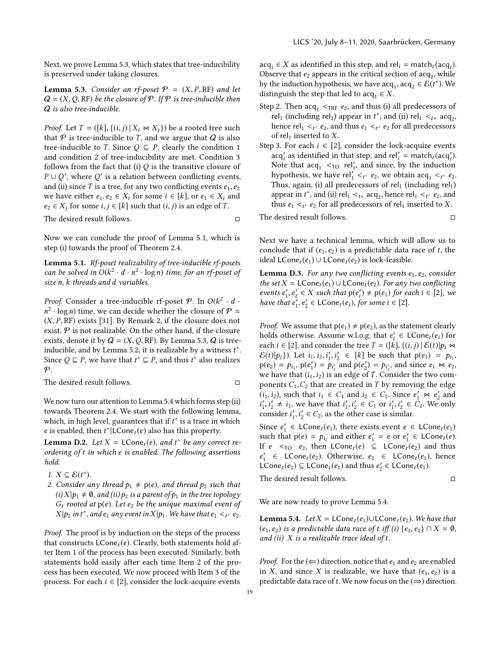Next, we prove Lemma [5.3,](#page-8-3) which states that tree-inducibility is preserved under taking closures.

**Lemma 5.3.** Consider an rf-poset  $P = (X, P, RF)$  and let  $Q = (X, Q, RF)$  be the closure of P. If P is tree-inducible then Q is also tree-inducible.

*Proof.* Let  $T = (\lceil k \rceil, \{(i, j) \mid X_i \bowtie X_j\})$  be a rooted tree such that  $P$  is tree-inducible to T, and we argue that  $Q$  is also tree-inducible to T. Since  $Q \subseteq P$ , clearly the condition [1](#page-8-4) and condition [2](#page-8-5) of tree-inducibility are met. Condition [3](#page-8-6) follows from the fact that (i)  $Q$  is the transitive closure of  $P \cup Q'$ , where  $Q'$  is a relation between conflicting events,<br>and (ii) since  $T$  is a tree for any two conflicting events  $e_1$ ,  $e_2$ and (ii) since T is a tree, for any two conflicting events  $e_1, e_2$ we have either  $e_1, e_2 \in X_i$  for some  $i \in [k]$ , or  $e_1 \in X_i$  and  $e_2 \in X_j$  for some  $i, j \in [k]$  such that  $(i, j)$  is an edge of T.

The desired result follows. □

Now we can conclude the proof of Lemma [5.1,](#page-8-1) which is step (i) towards the proof of Theorem [2.4.](#page-4-5)

Lemma 5.1. Rf-poset realizability of tree-inducible rf-posets can be solved in  $O(k^2 \cdot d \cdot n^2 \cdot \log n)$  time, for an rf-poset of<br>size n k threads and d variables size n, k threads and d variables.

*Proof.* Consider a tree-inducible rf-poset  $\mathcal{P}$ . In  $O(k^2 \cdot d \cdot n^2)$  log n time, we can decide whether the closure of  $\mathcal{P}$  $(X, P, RF)$  exists [\[31\]](#page-14-10). By Remark [2,](#page-5-3) if the closure does not exist  $P$  is not realizable. On the other hand, if the closure <sup>2</sup> · log *n*) time, we can decide whether the closure of  $P =$ <br> $X \times P$  RF) exists [31]. By Remark 2, if the closure does not exist,  $P$  is not realizable. On the other hand, if the closure exists, denote it by  $Q = (X, Q, RF)$ . By Lemma [5.3,](#page-8-3)  $Q$  is tree-inducible, and by Lemma [5.2,](#page-8-2) it is realizable by a witness  $t^*$ .<br>Since  $O \sqsubset P$ , we have that  $t^* \sqsubset P$ , and thus  $t^*$  also realizes Since  $Q \sqsubseteq P$ , we have that  $t^* \sqsubseteq P$ , and thus  $t^*$  also realizes  $\varphi$  $\mathcal{P}$ .

The desired result follows. □

We now turn our attention to Lemma [5.4](#page-9-0) which forms step (ii) towards Theorem [2.4.](#page-4-5) We start with the following lemma, which, in high level, guarantees that if  $t^*$  is a trace in which  $e$  is enabled then  $t^*$ ll Cone  $(e)$  also has this property *e* is enabled, then  $t^*$  | LCone<sub>t</sub> (e) also has this property.

<span id="page-18-0"></span>**Lemma D.2.** Let  $X = \text{LCone}_t(e)$ , and  $t^*$  be any correct re-<br>ordering of t in which e is enabled. The following assertions ordering of t in which e is enabled. The following assertions hold.

- 1.  $X \subseteq \mathcal{E}(t^*)$ .<br>2. Consider a
- 2. Consider any thread  $p_1 \neq p(e)$ , and thread  $p_2$  such that (i)  $X | p_1 \neq \emptyset$ , and (ii)  $p_2$  is a parent of  $p_1$  in the tree topology  $G_t$  rooted at  $p(e)$ . Let  $e_2$  be the unique maximal event of  $X|p_2$  in  $t^*$ , and  $e_1$  any event in  $X|p_1$ . We have that  $e_1 <_{t^*} e_2$ .

Proof. The proof is by induction on the steps of the process that constructs  $LCone_t(e)$ . Clearly, both statements hold after Item [1](#page-8-7) of the process has been executed. Similarly, both statements hold easily after each time Item [2](#page-8-8) of the process has been executed. We now proceed with Item [3](#page-9-2) of the process. For each  $i \in [2]$ , consider the lock-acquire events

 $acq_i \in X$  as identified in this step, and rel<sub>i</sub> = match<sub>t</sub> (acq<sub>i</sub>).<br>Observe that es appears in the critical section of acq., while Observe that  $e_2$  appears in the critical section of acq<sub>2</sub>, while<br>by the induction bypothesis, we have acq<sub>2</sub> acq<sub>2</sub>  $\in \mathcal{E}(t^*)$ . We by the induction hypothesis, we have  $acq_1, acq_2 \in \widetilde{\mathcal{E}}(t^*)$ . We distinguish the step that led to as  $a \in X$ distinguish the step that led to  $acq_1 \in X$ .

- Step [2.](#page-8-8) Then  $\text{acq}_1$  < $\text{TRF}$   $e_2$ , and thus (i) all predecessors of rel<sub>1</sub> (including rel<sub>1</sub>) appear in  $t^*$ , and (ii) rel<sub>1</sub>  $\lt t_t^*$  acq<sub>2</sub>,<br>hence rel<sub>1</sub>  $\lt t_t^*$  and thus e<sub>1</sub>  $\lt t_t^*$  for all predecessors hence  $rel_1 <_{t^*} e_2$ , and thus  $e_1 <_{t^*} e_2$  for all predecessors of rel, inserted to  $X$ of rel<sub>1</sub> inserted to X.
- Step [3.](#page-9-2) For each  $i \in [2]$ , consider the lock-acquire events  $\text{acq}'_i$  as identified in that step, and  $\text{rel}'_i = \text{match}_t(\text{acq}'_i)$ .<br>Note that acq.  $\leq$   $\infty$  rel' and since by the induction Note that  $acq_1 <_{TO} rel'_1$ , and since, by the induction<br>hypothesis we have rel<sup>(</sup>  $\leq_{CP}$  es we obtain acq.  $\leq_{CP}$  es hypothesis, we have  $rel'_1 <_{t^*} e_2$ , we obtain  $acq_1 <_{t^*} e_2$ .<br>Thus again (i) all predecessors of rel. (including rel.) Thus, again, (i) all predecessors of rel<sub>1</sub> (including rel<sub>1</sub>)<br>Thus, again, (i) all predecessors of rel<sub>1</sub> (including rel<sub>1</sub>) appear in  $t^*$ , and (ii) rel<sub>1</sub> <<sub>t\*</sub> acq<sub>2</sub>, hence rel<sub>1</sub> <<sub>t\*</sub> e<sub>2</sub>, and<br>thus e<sub>4</sub> <  $\epsilon_0$  for all predecessors of rel, inserted to Y thus  $e_1 <_{t^*} e_2$  for all predecessors of rel<sub>1</sub> inserted to *X*.

The desired result follows. □

Next we have a technical lemma, which will allow us to conclude that if  $(e_1, e_2)$  is a predictable data race of t, the ideal LCone<sub>t</sub>( $e_1$ ) ∪ LCone<sub>t</sub>( $e_2$ ) is lock-feasible.

<span id="page-18-1"></span>**Lemma D.3.** For any two conflicting events  $e_1, e_2$ , consider the set  $X = \mathsf{LCone}_t(e_1) \cup \mathsf{LCone}_t(e_2)$ . For any two conflicting events  $e'_1, e'_2 \in X$  such that  $p(e'_i) \neq p(e_1)$  for each  $i \in [2]$ , we have that  $e' \cdot e' \in \text{LCone.}(e_1)$  for some  $i \in [2]$ have that  $e'_1, e'_2 \in \textsf{LCone}_t(e_i), f$  $y'_2 \in \textsf{LCone}_t(e_i)$ , for some  $i \in [2]$ .

*Proof.* We assume that  $p(e_1) \neq p(e_2)$ , as the statement clearly holds otherwise. Assume w.l.o.g. that  $e'_i \in LCone_i(e_i)$  for each  $i \in [2]$  and consider the tree  $T - (kJ)(i, j) | \mathcal{E}(t)|$  by  $M$ each  $i \in [2]$ , and consider the tree  $T = (\vec{k}, \{(i, j) | \mathcal{E}(t)|p_i \bowtie \mathcal{E}(t)|n_i)\}$  Let  $i, j \in [k]$  be such that  $p(e_i) = n_i$ .  $\mathcal{E}(t)|p_j\rangle$ ). Let  $i_1, i_2, i'_1, i'_2 \in [k]$  be such that  $p(e_1) = p_{i_1}$ ,<br> $p(e_2) = p_{i_1} \cdot p(e') = p_{i_2}$  and  $p(e') = p_{i_3} \cdot p_{i_4}$  and since  $e_1 \bowtie e_2$  $p(e_2) = p_{i_2}, p(e'_1) = p_{i'_1}$  and  $p(e'_2) = p_{i'_2}$ , and since  $e_1 \bowtie e_2$ ,<br>we have that  $(i, j)$  is an edge of T. Consider the two comwe have that  $(i_1,i_2)$  is an edge of T. Consider the two components  $C_1$ ,  $C_2$  that are created in T by removing the edge  $(i_1, i_2)$ , such that  $i_1 \in C_1$  and  $i_2 \in C_2$ . Since  $e'_1 \bowtie e'_2$  and  $i'_2 \nmid i'_1 \neq i_2$ , we have that  $i'_1 \nmid i'_2 \in C_1$  or  $i'_2 \nmid i'_2 \in C_2$ . We only consider  $i'_1$ ,  $i'_2 \in C_2$ , as the other case is sim  $'_{1}, i'_{2} \neq i_{1}$ , we have that  $i'_{1}, i'_{2} \in C_{1}$  or  $i'_{1}, i'_{2} \in C_{2}$ . We only consider  $i'$ ,  $i' \in C_{2}$  as the other case is similar  $\gamma_2' \in C_2$ , as the other case is similar.

Since  $e'_1 \in \text{LCone}_t(e_1)$ , there exists event  $e \in \text{LCone}_t(e_1)$ <br>such that  $p(e) = p_1$ , and either  $e' = e$  or  $e' \in \text{LCone}_t(e)$ such that  $p(e) = p_{i_2}$  and either  $e'_1 = e$  or  $e'_1 \in LCone_t(e)$ .<br>If  $e \leq Cone$ ,  $e$ , then  $LCone_t(e) \subseteq LCone_t(e)$  and thus If  $e \leq_{TO} e_2$ , then  $LCone_t(e) \subseteq LCone_t(e_2)$  and thus LCone<sub>t</sub> $(e_2) \subseteq \text{LCone}_t(e_1)$  and thus  $e'_2 \in \text{LCone}_t(e_1)$ .  $\begin{array}{l} \n\text{'} \quad \in \quad \text{LCone}_{t}(e_{2}) \quad \text{Otherwise}, \ e_{2} \quad \in \quad \text{LCone}_{t}(e_{1}), \ \text{hence} \quad \text{Cone}_{t}(e_{2}) \subseteq \text{LCone}_{t}(e_{1}) \quad \text{and thus} \ e' \in \text{LCone}_{t}(e_{2}). \n\end{array}$ 

The desired result follows. □

We are now ready to prove Lemma [5.4.](#page-9-0)

**Lemma 5.4.** Let  $X = \textsf{LCone}_t(e_1) \cup \textsf{LCone}_t(e_2)$ . We have that  $(e_1, e_2)$  is a predictable data race of t iff (i)  $\{e_1, e_2\} \cap X = \emptyset$ , and (ii)  $X$  is a realizable trace ideal of  $t$ .

*Proof.* For the  $(\Leftarrow)$  direction, notice that  $e_1$  and  $e_2$  are enabled in X, and since X is realizable, we have that  $(e_1, e_2)$  is a predictable data race of t. We now focus on the  $(\Rightarrow)$  direction.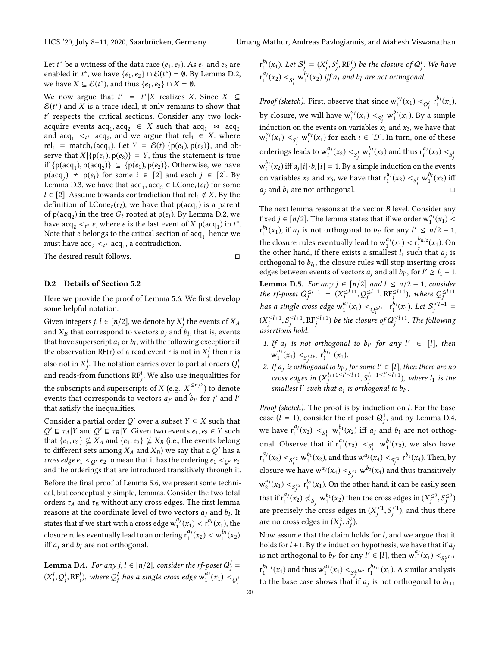Let  $t^*$  be a witness of the data race  $(e_1, e_2)$ . As  $e_1$  and  $e_2$  are<br>enabled in  $t^*$  we have  $\{e_1, e_2\} \cap \mathcal{E}(t^*) = \emptyset$ . By Lemma D 2 enabled in  $t^*$ , we have  $\{e_1, e_2\} \cap \mathcal{E}(t^*) = \emptyset$ . By Lemma [D.2,](#page-18-0) we have  $X \subseteq \mathcal{E}(t^*)$ , and thus  $\{e_1, e_2\} \cap X = \emptyset$ .

We now argue that  $t' = t^*|X$  realizes X. Since  $X \subseteq \mathcal{E}(t^*)$  and X is a trace ideal it only remains to show that  $\mathcal{E}(t^*)$  and X is a trace ideal, it only remains to show that  $t'$  respects the critical sections. Consider any two lockacquire events  $acq_1, acq_2 \in X$  such that  $acq_1 \bowtie acq_2$ <br>and  $acq_2 \leq c_1$  and we argue that rel.  $\in X$  where ′ respects the critical sections. Consider any two lockand  $acq_1 \leq t^*$  acq<sub>2</sub>, and we argue that rel<sub>1</sub>  $\in X$ . where rel<sub>1</sub> = match (acq) Let  $Y = \mathcal{E}(t)[f(n(e), p(e_2))]$  and obrel<sub>1</sub> = match<sub>t</sub>(acq<sub>1</sub>). Let  $Y = \mathcal{E}(t) \{p(e_1), p(e_2)\}$ , and ob-<br>serve that  $Y \mid f_1(e_1), p(e_2) \mid -Y$  thus the statement is true serve that  $X | {p(e_1), p(e_2)} = Y$ , thus the statement is true if {p(acq<sub>1</sub>), p(acq<sub>2</sub>)} ⊆ {p(e<sub>1</sub>), p(e<sub>2</sub>)}. Otherwise, we have<br>p(acq)  $\pm$  p(e<sub>1</sub>) for some  $i \in [2]$  and each  $i \in [2]$  By  $p(acq_j) \neq p(e_i)$  for some  $i \in [2]$  and each  $j \in [2]$ . By Lemma [D.3,](#page-18-1) we have that  $acq_1, acq_2 \in LCone_t(e_l)$  for some  $l \in [2]$ . Assume towards contradiction that rel.  $\notin Y$ . By the  $l ∈ [2]$ . Assume towards contradiction that rel<sub>1</sub> ∉ *X*. By the definition of  $LCone_t(e_l)$ , we have that  $p(acq_1)$  is a parent<br>of  $p(acc)$  in the tree G, rooted at  $p(e_l)$ . By Lemma D, 2, we of  $p(acq_2)$  in the tree  $G_t$  rooted at  $p(e_l)$ . By Lemma [D.2,](#page-18-0) we have a  $ca \leq x e$ , where e is the last event of  $X \mid p(a; c)$  in  $t^*$ have  $acq_2 <sub>t</sub>$ <sup>\*</sup> e, where e is the last event of  $X|p(acq_1)$  in  $t^*$ .<br>Note that e belongs to the critical section of acq., hence we Note that *e* belongs to the critical section of  $acq_1$ , hence we must have acq.  $\leq$  as a contradiction must have  $\operatorname{acq}_2 <_{t^*} \operatorname{acq}_1$ , a contradiction.

The desired result follows. □

#### <span id="page-19-0"></span>D.2 Details of Section [5.2](#page-9-3)

Here we provide the proof of Lemma [5.6.](#page-9-1) We first develop some helpful notation.

Given integers  $j, l \in [n/2]$ , we denote by  $X_j^l$  the events of  $X_A$ <br>and  $Y_t$  thet correspond to vectors a and  $h_t$  that is events and  $X_B$  that correspond to vectors  $a_j$  and  $b_l$ , that is, events<br>that have superscript  $a_j$  or  $b_j$ , with the following exception; if that have superscript  $a_j$  or  $b_l$ , with the following exception: if<br>the observation  $\text{PF}(r)$  of a read event r is not in  $X^l$  then r is the observation RF(r) of a read event r is not in  $X_j^l$  then r is also not in  $X_j^l$ . The notation carries over to partial orders  $Q_j^l$ and reads-from functions  $\mathbb{RF}^l_i$ . We also use inequalities for the subscripts and superscripts of X (e.g.,  $X_j^{\le n/2}$ ) to denote<br>events that corresponds to vectors and the for i' and l' events that corresponds to vectors  $a_{j'}$  and  $b_{l'}$  for  $j'$  and  $l'$ <br>that satisfy the inequalities that satisfy the inequalities.

Consider a partial order Q' over a subset  $Y \subseteq X$  such that  $Q' \sqsubset \tau_1 | Y$  and  $Q' \sqsubset \tau_2 | Y$  Given two events  $e_1, e_2 \in Y$  such that  $\{e_1, e_2\} \nsubseteq X_A$  and  $\{e_1, e_2\} \nsubseteq X_B$  (i.e., the events belong<br>to different sets among  $X_+$  and  $X_2$ ) we say that a O' has a  $\mathcal{V} \subseteq \tau_A | Y$  and  $\mathcal{Q}' \subseteq \tau_B | Y$ . Given two events  $e_1, e_2 \in Y$  such  $\mathcal{Q} \subseteq \tau_A | Y \subseteq \tau_B | Y \subseteq \tau_B | Y \subseteq \tau_A | Y \subseteq \tau_A | Y \subseteq \tau_A | Y \subseteq \tau_A | Y \subseteq \tau_A | Y \subseteq \tau_A | Y \subseteq \tau_A | Y \subseteq \tau_A | Y \subseteq \tau_A | Y \subseteq \tau_A | Y \subseteq \tau_A | Y \subseteq \tau_A | Y \subseteq \tau_A | Y \subseteq \tau_A | Y \subseteq \tau_A | Y \subseteq \tau_A | Y \subseteq \tau_A | Y \subseteq$ to different sets among  $X_A$  and  $X_B$ ) we say that a Q' has a<br>cross edge e.  $\leq$  at a mean that it has the ordering e.  $\leq$  at eq. cross edge  $e_1 <_{Q'} e_2$  to mean that it has the ordering  $e_1 <_{Q'} e_2$ and the orderings that are introduced transitively through it.

Before the final proof of Lemma [5.6,](#page-9-1) we present some technical, but conceptually simple, lemmas. Consider the two total orders  $\tau_A$  and  $\tau_B$  without any cross edges. The first lemma reasons at the coordinate level of two vectors  $a_j$  and  $b_l$ . It<br>this that if we state with a group of two  $a_l^i(\omega)$ ,  $a_l^b(\omega)$ , then states that if we start with a cross edge  $w_1^{a_j}(x_1) < r_1^{b_j}(x_1)$ , the closure rules eventually lead to an ordering  $r_1^{a_j}(x_2) < w_1^{b_j}(x_2)$ <br>iff a und hyperpot orthogonal iff  $a_i$  and  $b_l$  are not orthogonal.

<span id="page-19-1"></span>**Lemma D.4.** For any j,  $l \in [n/2]$ , consider the rf-poset  $Q_j^l = (N^l, Q^l, \text{PR}^l)$ , where  $Q^l$  has a simple mass advance  $q^l(i)$ .  $(X_j^l, Q_j^l, \text{RF}_j^l)$ , where  $Q_j^l$  has a single cross edge  $\mathsf{w}_1^{a_j}(x_1) <_{Q_i^l}$ 

 $r_1^{b_l}(x_1)$ . Let  $S_j^l = (X_j^l, S_j^l, RF_j^l)$  be the closure of  $Q_j^l$ . We have  $f_1^{a_j}(x_2) <_{S_j^l}$   $\mathbf{w}_1^{b_l}(x_2)$  iff  $a_j$  and  $b_l$  are not orthogonal.

*Proof (sketch).* First, observe that since  $w_1^{a_j}(x_1) <_{Q_j^l} r_1^{b_l}(x_1)$ , by closure, we will have  $w_1^{a_j}(x_1) <_{S_j^l} w_1^{b_l}(x_1)$ . By a simple induction on the events on variables  $x_1$  and  $x_3$  , we have that  $w_i^{a_j}(x_1) <_{S_j^l} w_i^{b_l}(x_1)$  for each  $i \in [D]$ . In turn, one of these orderings leads to  $w_i^{a_j}(x_2) <_{S_j^l} w_i^{b_l}(x_2)$  and thus  $r_i^{a_j}(x_2) <_{S_j^l}$  $w_i^{b_i}(x_2)$  iff  $a_j[i] \cdot b_l[i] = 1$ . By a simple induction on the events on variables  $x_2$  and  $x_6$ , we have that  $r_1^{a_j}(x_2) <_{S_j^l} w_1^{b_l}(x_2)$  iff  $a_i$  and  $b_l$  are not orthogonal.

The next lemma reasons at the vector  $B$  level. Consider any fixed  $j \in [n/2]$ . The lemma states that if we order  $w_1^{a_1}(x_1) <$  $r_1^{b_1}(x_1)$ , if  $a_j$  is not orthogonal to  $b_{l'}$  for any  $l' \leq n/2 - 1$ , the closure rules eventually lead to  $w_1^{a_j}(x_1) < r_1^{b_{n/2}}(x_1)$ . On<br>the other hand, if there exists a smallest *l*, such that *g*, is the other hand, if there exists a smallest  $l_1$  such that  $a_j$  is<br>orthogonal to by the closure rules will stop inserting cross orthogonal to  $b_{l_1}$ , the closure rules will stop inserting cross<br>edges between events of vectors  $a_1$  and all  $b_1$ , for  $l' > l_1 + 1$ edges between events of vectors  $a_j$  and all  $b_{l'}$ , for  $l' \ge l_1 + 1$ . **Lemma D.5.** For any  $j \in [n/2]$  and  $l \leq n/2 - 1$ , consider<br>the rf-poset  $Q_j^{\leq l+1} = (X_j^{\leq l+1}, Q_j^{\leq l+1}, RF_j^{\leq l+1})$ , where  $Q_j^{\leq l+1}$ j j ,Q j j j has a single cross edge w aj 1 (x1) <sup>&</sup>lt;Q ≤l+1 j r b1 1 (x1). Let <sup>S</sup> <sup>≤</sup>l+<sup>1</sup> =  $(X_j^{\leq l+1}, S_j^{\leq l+1}, RF_j^{\leq l+1})$  be the closure of  $Q_j^{\leq l+1}$ . The following  $\sum_{j=1}^{n}$  is sertions hold. j j

- <span id="page-19-4"></span><span id="page-19-2"></span>1. If  $a_j$  is not orthogonal to  $b_{l'}$  for any  $l' \in [l]$ , then  $w_1^{a_j}(x_1) <_{S_j^{\leq l+1}} r_1^{b_{l+1}}(x_1).$
- <span id="page-19-3"></span>2. If  $a_j$  is orthogonal to  $b_{l'}$ , for some  $l' \in [l]$ , then there are no<br>  $a_{l}$  and  $a_{l+1}$  is  $a_{l+1}$  is  $l' \leq l+1$ ,  $a_{l+1}$  is  $l' \leq l+1$ ,  $a_{l+1}$  is then cross edges in  $(X_j^{l_1+1\leq l'\leq l+1}, S_j^{l_1+1\leq l'\leq l+1})$ , where  $l_1$  is the smallest  $l'$  such that a is orthogonal to by smallest l' such that  $a_j$  is orthogonal to  $b_{l'}$ .

Proof (sketch). The proof is by induction on *l*. For the base case ( $l = 1$ ), consider the rf-poset  $Q_j^1$ , and by Lemma [D.4,](#page-19-1) we have  $r_1^{a_j}(x_2) <_{S_j^1} w_1^{b_1}(x_2)$  iff  $a_j$  and  $b_1$  are not orthogonal. Observe that if  $r_1^{a_j}(x_2) <_{S_j^1} w_1^{b_1}(x_2)$ , we also have  $\mathsf{r}_1^{a_j}(x_2) <_{S_j^{\leq 2}} \mathsf{w}_1^{b_1}(x_2)$ , and thus  $\mathsf{w}_{3j}^{a_j}(x_4) <_{S_j^{\leq 2}} \mathsf{r}_{3j}^{b_1}(x_4)$ . Then, by closure we have  $w^{a_j}(x_4) <_{S_j^{\leq 2}} w^{b_2}(x_4)$  and thus transitively  $w_2^{a_j}(x_1) <_{S^{\leq 2}} r_1^{b_2}(x_1)$ . On the other hand, it can be easily seen that if  $r_1^{a_j}(x_2) \nless s_j^1$  w $_1^{b_1}(x_2)$  then the cross edges in  $(X_2^{\leq 2}, S_j^{\leq 2})$ are precisely the cross edges in  $(X_j^{\leq 1}, S_j^{\leq 1})$ , and thus the  $\int$ ,  $\int$ ,  $\int$ ,  $\int$ ,  $\int$ ,  $\int$ ,  $\int$ ,  $\int$ ,  $\int$ ,  $\int$ ,  $\int$ ,  $\int$ ,  $\int$ ,  $\int$ ,  $\int$ ,  $\int$ ,  $\int$ ,  $\int$ ,  $\int$ ,  $\int$ ,  $\int$ ,  $\int$ ,  $\int$ ,  $\int$ ,  $\int$ ,  $\int$ ,  $\int$ ,  $\int$ ,  $\int$ ,  $\int$ ,  $\int$ ,  $\int$ ,  $\int$ ,  $\int$ ,  $\int$ ,  $\int$ ,  $\int$ , ≤1  $j^{1/2}$ , and thus there are no cross edges in  $(X_j^2, S_j^2)$ .

Now assume that the claim holds for *l*, and we argue that it<br>holds for *l* + 1. By the induction hypothesis, we have that if *a*. holds for  $l + 1$ . By the induction hypothesis, we have that if  $a_j$ is not orthogonal to  $b_{l'}$  for any  $l' \in [l]$ , then  $w_1^{a_j}(x_1) <_{S_j^{\leq l+1}}$  $r_1^{b_{l+1}}(x_1)$  and thus  $w_1^{a_j}(x_1) <_{S_j \le l+2} r_1^{b_{l+1}}(x_1)$ . A similar analysis  $t_1$ , the theorem of the state of the state of the state of the state of the state of the state of the state of the state of the state to the base case shows that if  $a_j$  is not orthogonal to  $b_{l+1}$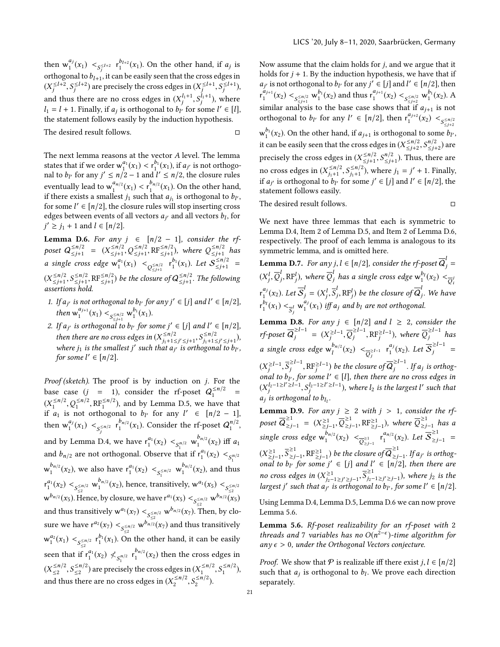then  $w_1^{a_j}(x_1) <_{S_j \leq l+2} r_1^{b_{l+2}}(x_1)$ . On the other hand, if  $a_j$  is orthogonal to  $b_{l+1}$ , it can be easily seen that the cross edges in  $(Y^{\leq l+2} \leq S^{l+2})$  are precisely the cross edges in  $(Y^{\leq l+1} \leq S^{l+1})$  $(X_j^{\leq l+2}, S_j^{\leq l+2})$  are precisely the cross edges in  $(X_j^{\leq l+1}, S_j^{\leq l+1})$ , and thus there are no cross edges in  $(X_j^{l_1+1}, S_j^{l_1+1})$ , where  $l_1 = l + 1$ . Finally, if  $a_j$  is orthogonal to  $b_l$  for some  $l' \in [l]$ ,<br>the statement follows easily by the induction bypothesis the statement follows easily by the induction hypothesis. The desired result follows.  $\Box$ 

The next lemma reasons at the vector A level. The lemma states that if we order  $w_1^{a_1}(x_1) < r_1^{b_1}(x_1)$ , if  $a_j$  is not orthogo-<br>nal to by for any  $i' < n/2 - 1$  and  $i' < n/2$ , the closure rules nal to  $b_l$  for any  $j' \le n/2 - 1$  and  $l' \le n/2$ , the closure rules eventually lead to  $w_1^{a_{n/2}}(x_1) < r_1^{b_{n/2}}(x_1)$ . On the other hand,<br>if there exists a smallest *i*, such that *a*, is orthogonal to *b*<sub>y</sub> if there exists a smallest  $j_1$  such that  $a_{j_1}$  is orthogonal to  $b_{l'}$ ,<br>for some  $l' \in [n/2]$ , the closure rules will stop inserting cross for some  $l' \in [n/2]$ , the closure rules will stop inserting cross<br>edges between events of all vectors  $a_u$  and all vectors  $b_u$  for edges between events of all vectors  $a_{j'}$  and all vectors  $b_l$ , for  $i' > i$ ,  $+1$  and  $l \in [n/2]$  $j' \geq j_1 + 1$  and  $l \in [n/2]$ .

<span id="page-20-1"></span> $\overline{\phantom{a}}$ **Lemma D.6.** For any  $j \in [n/2 - 1]$ , consider the rf-<br>poset  $Q_{< i+1}^{\le n/2} = (X_{< i+1}^{\le n/2}, Q_{< i+1}^{\le n/2}, RF_{< i+1}^{\le n/2})$ , where  $Q_{< i+1}^{\le n/2}$  has  $\leq n/2$  =  $(X \leq n/2)$ <br>  $\leq j+1$  =  $(X \leq n/2)$  $\leq n/2$ <br> $\leq j+1$ ,  $Q \leq j+1$  $\leq_{j+1}^{5n/2}, \text{RF}_{\leq j+1}^{5n/2}$ , where  $Q_{\leq j+1}^{5n/2}$  $\leq f+1$  has<br>
a ≤n/2 *a* single cross edge  $w_1^{a_1}(x_1) < \int_{Q_{\leq j+1}}^{x_1} r_1^{b_1}(x_1)$ . Let  $S_{\leq j+1}^{\leq n/2}$  $\leq_{j+1}^{5n/2}$  =  $(X_{\leq j+1}^{\leq n/2})$  $\leq n/2$ <br>  $\leq j+1$ ,  $S \leq j+1$ <br>
sextions hol  $\frac{\leq n/2}{\leq j+1}$ , RF $\frac{\leq n/2}{\leq j+1}$ ) be the closure of  $Q \frac{\leq n/2}{\leq j+1}$  $\leq_{j+1}^{n/2}$ . The following assertions hold.

- <span id="page-20-2"></span>1. If  $a_{j'}$  is not orthogonal to  $b_{l'}$  for any  $j' \in [j]$  and  $l' \in [n/2]$ ,<br>then  $a_{j+1}^{a_{j+1}}(v)$ ,  $\lambda_{l'} = b_{l'}^{b_{l}}(v)$ then  $w_1^{a_{j+1}}(x_1) < \frac{a_{\leq n/2}}{s_{\leq j+1}} w_1^{b_1}(x_1)$ .
- <span id="page-20-0"></span>2. If  $a_{j'}$  is orthogonal to b<sub>l'</sub> for some  $j' \in [j]$  and  $l' \in [n/2]$ ,<br>then there are no some due in  $(V^{\leq n/2} \cap S^{\leq n/2})$ then there are no cross edges in  $(X_{j_1+1}^{\leq n/2})$ <br>where in is the smallest if such that a  $\frac{\leq n/2}{j_1+1 \leq j' \leq j+1}$ ,  $S\frac{\leq n/2}{j_1+1 \leq j}$ <br>at a u is orthogon. ≤n/2<br>j<sub>1</sub>+1≤j′≤j+1<sup>),</sup><br>vgonal to b.. where  $j_1$  is the smallest j' such that  $a_{j'}$  is orthogonal to  $b_{l'}$ ,<br>for some  $l' \in [n/2]$ for some  $l' \in [n/2]$ .

Proof (sketch). The proof is by induction on  $j$ . For the base case  $(j = 1)$ , consider the rf-poset  $Q_1^{\le n/2}$  =  $(X_1^{\leq n/2}, Q_1^{\leq n/2}, RF_1^{\leq n/2})$ , and by Lemma [D.5,](#page-19-2) we have that  $A_1, B_2, B_3$  and orthogonal to by for any  $I' \in [n/2 - 1]$ if  $a_1$  is not orthogonal to  $b_l$  for any  $l' \in [n/2 - 1]$ , then  $w_1^{a_j}(x_1) <_{S_j^{\le n/2}} r_1^{b_{n/2}}(x_1)$ . Consider the rf-poset  $Q_1^{n/2}$ , and by Lemma [D.4,](#page-19-1) we have  $r_1^{a_1}(x_2) <_{S_1^{n/2}} w_1^{b_{n/2}}(x_2)$  iff  $a_1$ and  $b_{n/2}$  are not orthogonal. Observe that if  $r_1^{a_1}(x_2)   
\n\frac{b_{n/2}}{s_1^{n/2}}$ 1  $w_1^{b_{n/2}}(x_2)$ , we also have  $r_1^{a_1}(x_2) <_{S_1^{\leq n/2}} w_1^{b_{n/2}}(x_2)$ , and thus  $r_1^{a_1}(x_2) <_{S \leq n/2 \atop S \leq x}$  w<sup>o</sup>n/2(x<sub>2</sub>), hence, transitively, w<sup>a</sup>(x<sub>5</sub>) < <sub>S\sqn</sub>/2  $w^{b_{n/2}}(x_5)$ . Hence, by closure, we have  $r^{a_1}(x_5) < \frac{1}{5} \leq w^{b_{n/2}}(x_5)$ and thus transitively  $w^{a_1}(x_7) < \frac{S_2^{5n/2}}{2} w^{b_{n/2}}(x_7)$ . Then, by closure we have  $r^{a_2}(x_7) <_{S_{\leq 2}^{\leq n/2}} w^{b_{n/2}}(x_7)$  and thus transitively  $w_1^{a_2}(x_1) <_{S_{\leq 2}^{\leq n/2}} r_1^{b_1}(x_1)$ . On the other hand, it can be easily seen that if  $r_1^{a_1}(x_2) \nless s_1^{n/2}$   $r_1^{b_{n/2}}(x_2)$  then the cross edges in  $(X_{\leq 2}^{\leq n/2}, S_{\leq 2}^{\leq n/2})$  are precisely the cross edges in  $(X_1^{\leq n/2}, S_1^{\leq n/2})$ , and thus there are no cross edges in  $(X_2^{\le n/2}, S_2^{\le n/2})$ .

Now assume that the claim holds for j, and we argue that it holds for  $j + 1$ . By the induction hypothesis, we have that if  $r_1^{a_{j+1}}(x_2) <_{S \leq n/2 \atop \leq j+1} \mathsf{w}_1^{b_1}(x_2)$  and thus  $r_1^{a_{j+1}}(x_2) <_{S \leq n/2 \atop \leq j+2} \mathsf{w}_1^{b_1}(x_2)$ . A *i* is not orthogonal to  $b_V$  for any  $j' \in [j]$  and  $l' \in [n/2]$ , then similar analysis to the base case shows that if  $a_{j+1}$  is not<br>orthogonal to be for any  $l' \in [n/2]$  than  $r^{a_{j+2}}(x)$ orthogonal to  $b_{l'}$  for any  $l' \in [n/2]$ , then  $r_1^{a_{j+2}}(x_2) <_{S \leq n/2 \atop \leq j+2}$  $w_1^{b_1}(x_2)$ . On the other hand, if  $a_{j+1}$  is orthogonal to some  $b_{l'}$ , it can be easily seen that the cross edges in  $(X_{\leq j+2}^{\leq n/2})$  $≤j+2$ precisely the cross edges in  $(X_{\leq j+1}^{\leq n/2}, S_{j+1}^{n/2})$ . Thus, t  $\frac{n}{2}$  $\frac{n/2}{\leq j+2}$ ) are  $\leq j+1$ no cross edges in  $(X_{j+1}^{\leq n/2}, S_{j+1}^{\leq n/2})$ , where  $S_{j+1}$  is expressed to be for some i.  $\frac{n}{2}$  $\frac{n/2}{\leq j+1}$ ). Thus, there are  $\frac{\leq n/2}{j_1+1}, S_{j_1+1}^{\leq n/2}$  $\sum_{j_1+1}^{\leq n/2}$ , where  $j_1 = j' + 1$ . Finally,<br>i.some i'  $\in$  [i] and  $l' \in$  [n/2] the if  $a_{j'}$  is orthogonal to  $b_{l'}$  for some  $j' \in [j]$  and  $l' \in [n/2]$ , the statement follows easily statement follows easily.

The desired result follows. □

We next have three lemmas that each is symmetric to Lemma [D.4,](#page-19-1) Item [2](#page-19-3) of Lemma [D.5,](#page-19-2) and Item [2](#page-20-0) of Lemma [D.6,](#page-20-1) respectively. The proof of each lemma is analogous to its symmetric lemma, and is omitted here.

**Lemma D.7.** For any  $j, l \in [n/2]$ , consider the rf-poset  $Q_j =$  $(X_j^l,\overline{Q}_j^l)$ j j  $\mathcal{L}_j^L, \text{RF}_j^L$ ), where  $\overline{Q}_j^L$  has a single cross edge  $\mathsf{w}_1^{p_1}(x_2) <_{\overline{Q}_j^L}$  $r_1^{a_j}(x_2)$ . Let  $S_j = (X_j^l, \overline{S}_j^l, RF_j^l)$  be the closure of  $Q_j$ . We have  $f_1^{b_l}(x_1) < \frac{a_l}{s_j}$   $\bigvee_{j=1}^{a_l}(x_1)$  iff  $a_j$  and  $b_l$  are not orthogonal.

<span id="page-20-3"></span>**Lemma D.8.** For any  $j \in [n/2]$  and  $l \ge 2$ , consider the  $\textit{tf-poset} \ \overline{\mathbf{Q}}_j^{\ge l-1} = (X_j^{\ge l-1}, \overline{\mathbf{Q}}_j^{\ge l-1}, \text{RF}_j^{\ge l-1}), \text{ where } \overline{\mathbf{Q}}_j^{\ge l-1} \text{ has } j \ge l-1.$ a single cross edge  $w_l^{b_{n/2}}(x_2) < \frac{z_1}{Q_j}$   $r_1^{a_j}(x_2)$ . Let  $\overline{S}_j^{\ge l-1}$  =  $(X_j^{\ge l-1}, \overline{S}_j^{\ge l-1}, \text{RF}_j^{\ge l-1})$  be the closure of  $\overline{Q}_j^{\ge l-1}$ . If a<sub>j</sub> is orthog-<br>consult to be the compa l' ⊆ [1], then there are no exces odges in onal to b<sub>l</sub>, for some  $l' \in [l]$ , then there are no cross edges in<br>  $\frac{1}{2} \left( \frac{1}{2} + \frac{1}{2} \right)^{l} \geq l-1$ , then there are no cross edges in  $(X_j^{l_2-1\geq l'\geq l-1}, S_j^{l_2-1\geq l'\geq l-1}),$  where  $l_2$  is the largest l' such that is orthogonal to  $b_{l_2}$ .

<span id="page-20-4"></span>**Lemma D.9.** For any  $j \ge 2$  with  $j > 1$ , consider the rf-<br>poset  $\overline{Q}^{\ge 1}_{\ge j-1} = (X^{\ge 1}_{\ge j-1}, \overline{Q}^{\ge 1}_{\ge j-1}, \text{RF}^{\ge 1}_{\ge j-1})$ , where  $\overline{Q}^{\ge 1}_{\ge j-1}$  has a  $\sim$ ≥1  $\sum_{\geq j-1}^{\geq 1}$ , RF $\geq j-1$ ), where  $\overline{Q}^{\geq 1}$  has a  $\overline{Q}^{\geq 1}$ single cross edge  $w_1^{\check{b}_{n/2}}(x_2) < \frac{1}{Q_{\geq j-1}^{\geq 1}} \rvert^{a_{n/2}}(x_2)$ . Let  $\overline{\mathcal{S}}_{\geq j-1}^{\geq 1} =$  $(X_{\geq j-1}^{\geq 1}, \overline{S})$ ≥1  $\sum_{j=1}^{n}$ , RF $\sum_{j=1}^{n}$ ) be the closure of  $\overline{Q}_{\geq j}^{\geq 1}$ <br>∴ for some i' ∈ [i] and l' ∈ [n'i  $\sum_{j=1}^{n}$ . If a<sub>j'</sub> is orthogonal to b<sub>l</sub> for some  $j' \in [j]$  and  $l' \in [n/2]$ , then there are no cross edges in  $(X_{j_2-1\geq j'\geq j-1}^{\geq 1}, \overline{S}$ <br>largest i', such that a is orthogon ≥1  $\sum_{j_2-1\geq j'\geq j-1}^{2}$ ), where  $j_2$  is the largest j' such that  $a_{j'}$  is orthogonal to  $b_{l'}$ , for some  $l' \in [n/2]$ .

Using Lemma [D.4,](#page-19-1) Lemma [D.5,](#page-19-2) Lemma [D.6](#page-20-1) we can now prove Lemma [5.6.](#page-9-1)

Lemma 5.6. Rf-poset realizability for an rf-poset with 2 threads and 7 variables has no  $O(n^{2-\epsilon})$ -time algorithm for<br>any  $\epsilon > 0$  under the Orthogonal Vectors conjecture any  $\epsilon > 0$ , under the Orthogonal Vectors conjecture.

*Proof.* We show that  $P$  is realizable iff there exist  $j, l \in [n/2]$ such that  $a_j$  is orthogonal to  $b_l$ . We prove each direction separately separately.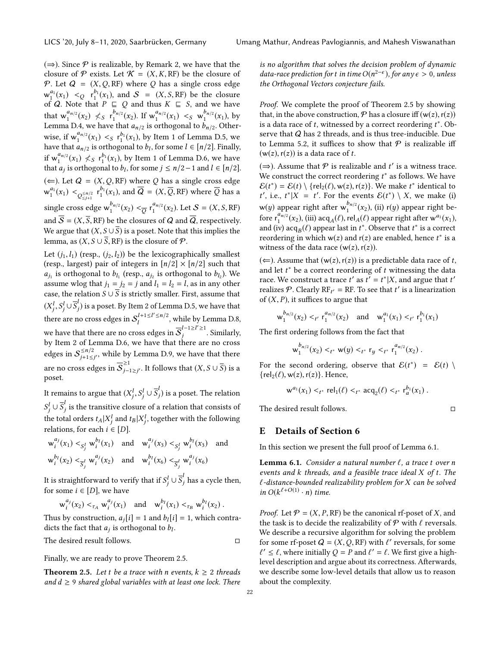$(\Rightarrow)$ . Since P is realizable, by Remark [2,](#page-5-3) we have that the closure of  $P$  exists. Let  $K = (X, K, RF)$  be the closure of P. Let  $Q = (X, Q, RF)$  where Q has a single cross edge  $w_1^{a_1}(x_1) <_{\mathcal{Q}} r_1^{b_1}(x_1)$ , and  $\mathcal{S} = (X, S, RF)$  be the closure of *Q*. Note that *P* ⊑ *Q* and thus *K* ⊑ *S*, and we have<br>that  $w_1^{a_{n/2}}(x_2) \nleq s \, r_1^{b_{n/2}}(x_2)$ . If  $w_1^{a_{n/2}}(x_1) \nleq s \, w_1^{b_{n/2}}(x_1)$ , by<br>Lemma D<sub>4</sub> we have that *a* to is orthogonal to *b* to Other. Lemma [D.4,](#page-19-1) we have that  $a_{n/2}$  is orthogonal to  $b_{n/2}$ . Other-<br>wise if  $a_{n/2}^{a_{n/2}}$  (c)  $a_{n/2}^{b_1}$  (c) here there 1 of Lemma D.5, and wise, if  $w_1^{a_{n/2}}(x_1) < s r_1^{b_1}(x_1)$ , by Item [1](#page-19-4) of Lemma [D.5,](#page-19-2) we have that  $a_{n/2}$  is orthogonal to by for some  $l \in [n/2]$ . Finally have that  $a_{n/2}$  is orthogonal to  $b_l$ , for some  $l \in [n/2]$ . Finally,<br>if  $a_n^{a_{n/2}}(u)$ ,  $b_n^{b_1}(u)$ , has Itany 1 of Language D.C. and have if  $w_1^{a_{n/2}}(x_1) \nless s_1^{b_1}(x_1)$ , by Item [1](#page-20-2) of Lemma [D.6,](#page-20-1) we have<br>that *a*, is orthogonal to *b*, for some  $i \le n/2 - 1$  and  $l \in [n/2]$ that  $a_j$  is orthogonal to  $b_l$ , for some  $j \leq n/2-1$  and  $l \in [n/2]$ .  $(\Leftarrow)$ . Let  $Q = (X, Q, RF)$  where Q has a single cross edge  $w_1^{a_1}(x_1) <_{Q_{\leq j+1}^{\leq n/2}} r_1^{b_1}(x_1)$ , and  $Q = (X, \overline{Q}, RF)$  where  $\overline{Q}$  has a single cross edge  $w_1^{p_{n/2}}(x_2) < \frac{1}{Q} r_1^{a_{n/2}}(x_2)$ . Let  $S = (X, S, RF)$ and  $\overline{S} = (X, \overline{S}, RF)$  be the closures of Q and  $\overline{Q}$ , respectively. We argue that  $(X, S \cup \overline{S})$  is a poset. Note that this implies the lemma, as  $(X, S \cup \overline{S}, RF)$  is the closure of  $P$ .

Let  $(j_1, l_1)$  (resp.,  $(j_2, l_2)$ ) be the lexicographically smallest (resp., largest) pair of integers in  $\lfloor n/2 \rfloor \times \lfloor n/2 \rfloor$  such that assume wlog that  $j_1 = j_2 = j$  and  $l_1 = l_2 = l$ , as in any other<br>assume wlog that  $j_1 = j_2 = j$  and  $l_1 = l_2 = l$ , as in any other is orthogonal to  $b_{l_1}$  (resp.,  $a_{j_2}$  is orthogonal to  $b_{l_2}$ ). We<br>uppe who that  $i_1 = i_2 = i$  and  $l_1 = l_2 = l$  as in any other case, the relation  $S \cup \overline{S}$  is strictly smaller. First, assume that  $(X_j^l, S_j^l \cup \overline{S}_j^l)$  is a poset. By Item [2](#page-19-3) of Lemma [D.5,](#page-19-2) we have that there are no cross edges in  $S_t^{l+1 \le l' \le n/2}$ , while by Lemma [D.8,](#page-20-3) we have that there are no cross edges in  $\overline{S}_i^{l-1\ge l'\ge 1}$ . Similarly, by Item [2](#page-20-0) of Lemma [D.6,](#page-20-1) we have that there are no cross edges in  ${\cal S}_{i+1<}^{\leq n/2}$  $j_{j+1 \leq j'}^{n/2}$ , while by Lemma [D.9,](#page-20-4) we have that there are no cross edges in  $\overline{\mathcal{S}}_{i-1}^{\geq 1}$  $\sum_{j-1\geq j'}^{\infty}$ . It follows that  $(X, S \cup \overline{S})$  is a poset.

It remains to argue that  $(X_j^l, S_j^l \cup \overline{S}_j^l)$  is a poset. The relation j j the total orders  $t_A | X_j^l$  and  $t_B | X_j^l$ , together with the following<br>relations for each  $i \in [D]$  $\frac{1}{j} \cup \overline{S}_j^i$  is the transitive closure of a relation that consists of relations, for each  $i \in [D]$ . j

$$
w_i^{a_j}(x_1) <_{S_j^l} w_i^{b_l}(x_1) \text{ and } w_i^{a_j}(x_3) <_{S_j^l} w_i^{b_l}(x_3) \text{ and}
$$
  

$$
w_i^{b_l}(x_2) <_{\overline{S}_j^l} w_i^{a_j}(x_2) \text{ and } w_i^{b_l}(x_6) <_{\overline{S}_j^l} w_i^{a_j}(x_6)
$$

It is straightforward to verify that if  $S_j^l \cup \overline{S}_j^l$  has a cycle then,<br>for some  $i \in [D]$ , we have for some  $i \in [D]$ , we have

$$
w_i^{a_j}(x_2) <_{\tau_A} w_i^{a_j}(x_1)
$$
 and  $w_i^{b_j}(x_1) <_{\tau_B} w_i^{b_j}(x_2)$ .

Thus by construction,  $a_j[i] = 1$  and  $b_l[i] = 1$ , which contra-<br>dicts the fact that  $a_j$  is orthogonal to  $b_j$ . dicts the fact that  $a_j$  is orthogonal to  $b_l$ .

The desired result follows. □

Finally, we are ready to prove Theorem [2.5.](#page-4-6)

**Theorem 2.5.** Let t be a trace with n events,  $k \ge 2$  threads and  $d \geq 9$  shared global variables with at least one lock. There

is no algorithm that solves the decision problem of dynamic data-race prediction for t in time  $O(n^{2-\epsilon})$ , for any  $\epsilon > 0$ , unless<br>the Orthogonal Vectors conjecture fails the Orthogonal Vectors conjecture fails.

Proof. We complete the proof of Theorem [2.5](#page-4-6) by showing that, in the above construction,  $P$  has a closure iff  $(w(z), r(z))$ is a data race of t, witnessed by a correct reordering  $t^*$ . Observe that  $\Omega$  has 2 threads, and is thus tree-inducible. Due serve that Q has 2 threads, and is thus tree-inducible. Due to Lemma [5.2,](#page-8-2) it suffices to show that  $P$  is realizable iff  $(w(z), r(z))$  is a data race of t.

( $\Rightarrow$ ). Assume that  $\varphi$  is realizable and t' is a witness trace.<br>We construct the correct reordering t<sup>\*</sup> as follows. We have We construct the correct reordering  $t^*$  as follows. We have  $\mathcal{E}(t^*) - \mathcal{E}(t) \setminus \{rel_{\mathcal{E}}(\ell) \mid w(z) \mid r(z) \}$ . We make  $t^*$  identical to  $\mathcal{E}(t^*) = \mathcal{E}(t) \setminus \{ rel_2(\ell), w(z), r(z) \}.$  We make  $t^*$  identical to  $t'$  i.e.  $t^* \setminus Y - t'$  For the events  $\mathcal{E}(t^*) \setminus Y$  we make (i)  $w(y)$  appear right after  $w_1^{b_{n/2}}(x_2)$ , (ii) r(y) appear right be-<br>fore  $x_1^{a_{n/2}}(x_1)$ , (iii) agg. (6) rel. (6) appear right after  $w_1^{a_1}(x_1)$ . ', i.e.,  $t^*|X = t'$ . For the events  $\mathcal{E}(t^*) \setminus X$ , we make (i) fore  $r_1^{a_{n/2}}(x_2)$ , (iii) acq<sub>A</sub>( $\ell$ ), rel<sub>A</sub>( $\ell$ ) appear right after w<sup>a</sup>( $x_1$ ),<br>and (iv) acq. ( $\ell$ ) appear last in  $t^*$ . Observe that  $t^*$  is a correct and (iv)  $acq_B(\ell)$  appear last in  $t^*$ . Observe that  $t^*$  is a correct reordering in which  $y(z)$  and  $r(z)$  are enabled hence  $t^*$  is a reordering in which w(z) and r(z) are enabled, hence  $t^*$  is a witness of the data race  $(w(z), r(z))$ witness of the data race  $(w(z), r(z))$ .

(←). Assume that  $(w(z), r(z))$  is a predictable data race of t, and let  $t^*$  be a correct reordering of t witnessing the data<br>race We construct a trace  $t'$  as  $t' = t^*|X|$  and argue that  $t'$ race. We construct a trace  $t'$  as  $t' = t^*|X$ , and argue that  $t'$ <br>realizes  $\Phi$  Clearly RE<sub>V</sub> = RE To see that  $t'$  is a linearization realizes P. Clearly  $RF_{t'} = RF$ . To see that t' is a linearization<br>of  $(X, P)$  it suffices to argue that of  $(X, P)$ , it suffices to argue that

$$
w_1^{b_{n/2}}(x_2) <_t r_1^{a_{n/2}}(x_2)
$$
 and  $w_1^{a_1}(x_1) <_t r_1^{b_1}(x_1)$ 

The first ordering follows from the fact that

$$
\mathsf{w}_{1}^{b_{n/2}}(x_2) <_{t^*} \mathsf{w}(y) <_{t^*} \mathsf{r}_y <_{t^*} \mathsf{r}_1^{a_{n/2}}(x_2) .
$$

For the second ordering, observe that  $\mathcal{E}(t^*) = \mathcal{E}(t) \setminus \{ \text{rel}_2(\ell), \text{w}(z), \text{r}(z) \}$ .  $\{rel_2(\ell), w(z), r(z)\}.$  Hence,

$$
w^{a_1}(x_1) <_{t^*} \text{rel}_1(\ell) <_{t^*} \text{acq}_2(\ell) <_{t^*} r_a^{b_1}(x_1).
$$

The desired result follows. □

## <span id="page-21-0"></span>E Details of Section [6](#page-12-1)

In this section we present the full proof of Lemma [6.1.](#page-12-0)

Lemma 6.1. Consider a natural number  $\ell$ , a trace t over n events and k threads, and a feasible trace ideal X of t. The  $\ell$ -distance-bounded realizability problem for X can be solved in  $O(k^{\ell+O(1)} \cdot n)$  time.

*Proof.* Let  $P = (X, P, RF)$  be the canonical rf-poset of X, and the task is to decide the realizability of  $P$  with  $\ell$  reversals. We describe a recursive algorithm for solving the problem for some rf-poset  $Q = (X, Q, RF)$  with  $\ell'$  reversals, for some  $\ell' < \ell$  where initially  $Q - P$  and  $\ell' - \ell$ . We first give a highℓ level description and argue about its correctness. Afterwards,  $\ell' \leq \ell$ , where initially  $Q = P$  and  $\ell' = \ell$ . We first give a high-<br>syel description and argue about its correctness. Afterwards we describe some low-level details that allow us to reason about the complexity.